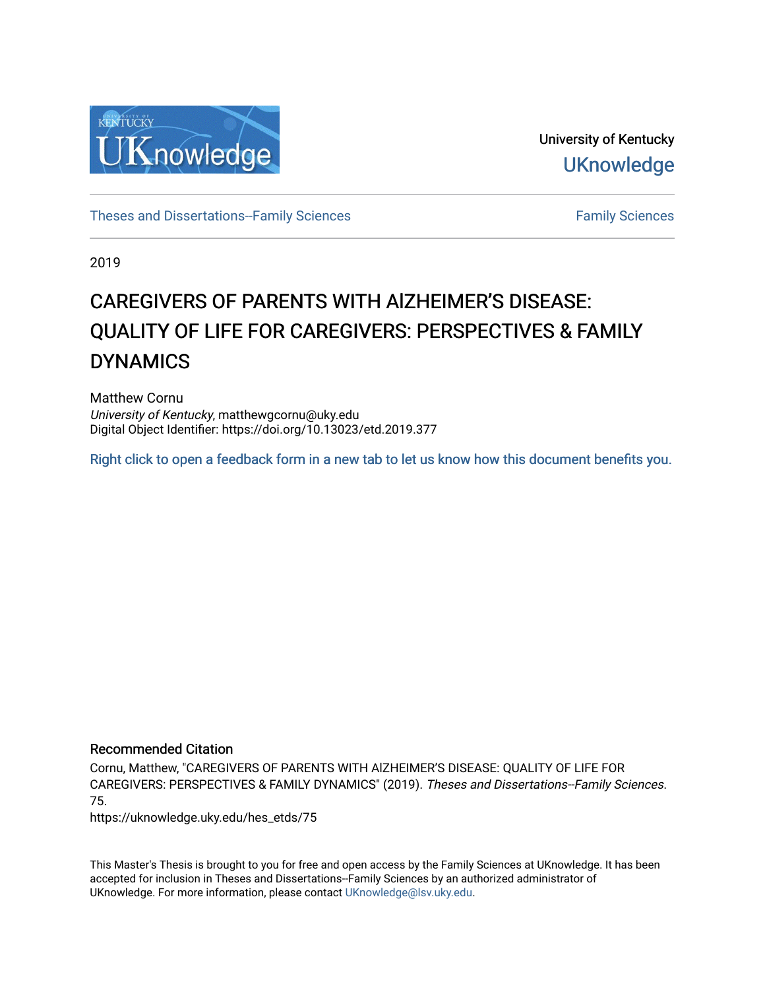

University of Kentucky **UKnowledge** 

[Theses and Dissertations--Family Sciences](https://uknowledge.uky.edu/hes_etds) [Family Sciences](https://uknowledge.uky.edu/hes) Family Sciences

2019

# CAREGIVERS OF PARENTS WITH AlZHEIMER'S DISEASE: QUALITY OF LIFE FOR CAREGIVERS: PERSPECTIVES & FAMILY DYNAMICS

Matthew Cornu University of Kentucky, matthewgcornu@uky.edu Digital Object Identifier: https://doi.org/10.13023/etd.2019.377

[Right click to open a feedback form in a new tab to let us know how this document benefits you.](https://uky.az1.qualtrics.com/jfe/form/SV_9mq8fx2GnONRfz7)

### Recommended Citation

Cornu, Matthew, "CAREGIVERS OF PARENTS WITH AlZHEIMER'S DISEASE: QUALITY OF LIFE FOR CAREGIVERS: PERSPECTIVES & FAMILY DYNAMICS" (2019). Theses and Dissertations--Family Sciences. 75.

https://uknowledge.uky.edu/hes\_etds/75

This Master's Thesis is brought to you for free and open access by the Family Sciences at UKnowledge. It has been accepted for inclusion in Theses and Dissertations--Family Sciences by an authorized administrator of UKnowledge. For more information, please contact [UKnowledge@lsv.uky.edu](mailto:UKnowledge@lsv.uky.edu).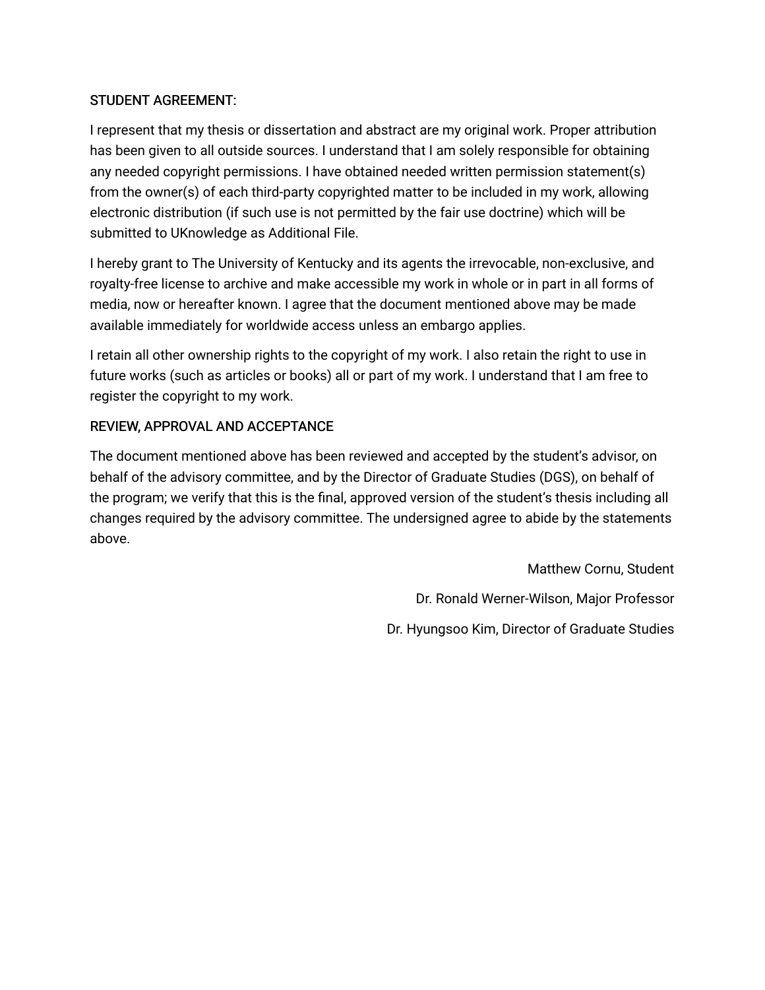## STUDENT AGREEMENT:

I represent that my thesis or dissertation and abstract are my original work. Proper attribution has been given to all outside sources. I understand that I am solely responsible for obtaining any needed copyright permissions. I have obtained needed written permission statement(s) from the owner(s) of each third-party copyrighted matter to be included in my work, allowing electronic distribution (if such use is not permitted by the fair use doctrine) which will be submitted to UKnowledge as Additional File.

I hereby grant to The University of Kentucky and its agents the irrevocable, non-exclusive, and royalty-free license to archive and make accessible my work in whole or in part in all forms of media, now or hereafter known. I agree that the document mentioned above may be made available immediately for worldwide access unless an embargo applies.

I retain all other ownership rights to the copyright of my work. I also retain the right to use in future works (such as articles or books) all or part of my work. I understand that I am free to register the copyright to my work.

## REVIEW, APPROVAL AND ACCEPTANCE

The document mentioned above has been reviewed and accepted by the student's advisor, on behalf of the advisory committee, and by the Director of Graduate Studies (DGS), on behalf of the program; we verify that this is the final, approved version of the student's thesis including all changes required by the advisory committee. The undersigned agree to abide by the statements above.

> Matthew Cornu, Student Dr. Ronald Werner-Wilson, Major Professor Dr. Hyungsoo Kim, Director of Graduate Studies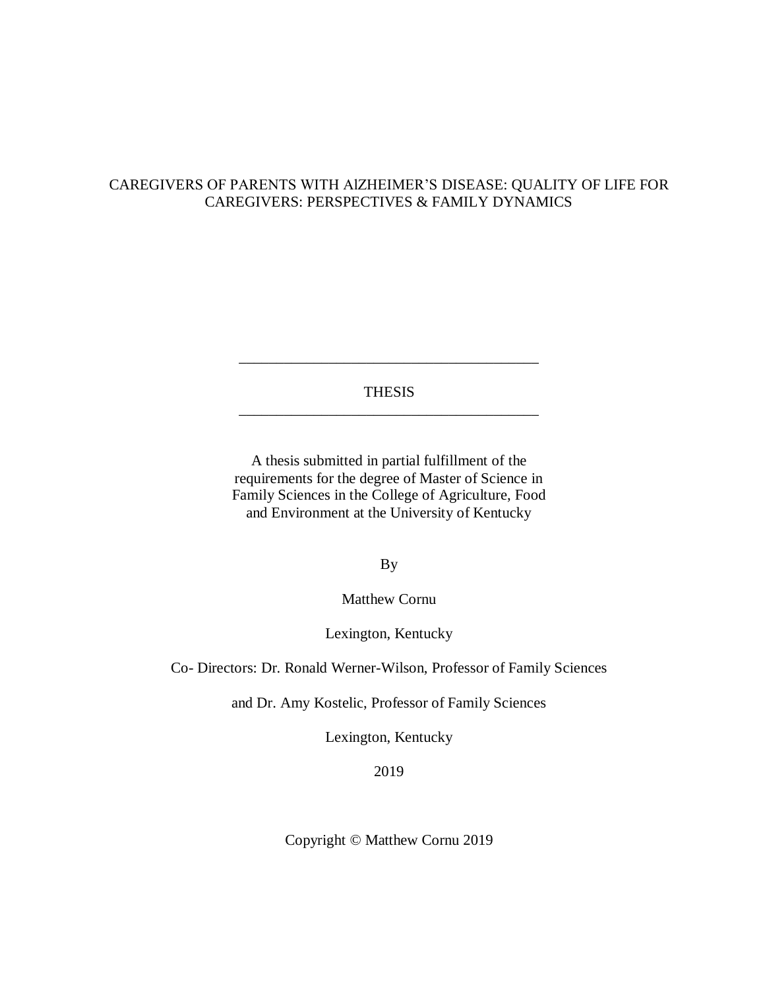## CAREGIVERS OF PARENTS WITH AlZHEIMER'S DISEASE: QUALITY OF LIFE FOR CAREGIVERS: PERSPECTIVES & FAMILY DYNAMICS

## THESIS \_\_\_\_\_\_\_\_\_\_\_\_\_\_\_\_\_\_\_\_\_\_\_\_\_\_\_\_\_\_\_\_\_\_\_\_\_\_\_\_

\_\_\_\_\_\_\_\_\_\_\_\_\_\_\_\_\_\_\_\_\_\_\_\_\_\_\_\_\_\_\_\_\_\_\_\_\_\_\_\_

A thesis submitted in partial fulfillment of the requirements for the degree of Master of Science in Family Sciences in the College of Agriculture, Food and Environment at the University of Kentucky

By

Matthew Cornu

Lexington, Kentucky

Co- Directors: Dr. Ronald Werner-Wilson, Professor of Family Sciences

and Dr. Amy Kostelic, Professor of Family Sciences

Lexington, Kentucky

2019

Copyright © Matthew Cornu 2019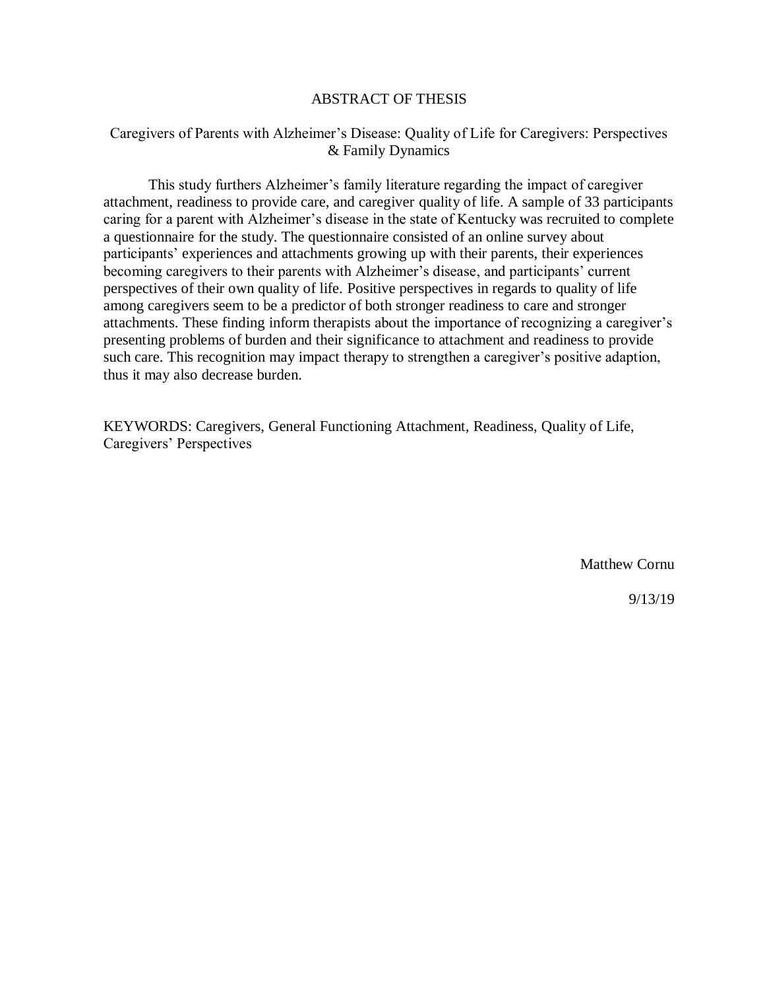### ABSTRACT OF THESIS

### Caregivers of Parents with Alzheimer's Disease: Quality of Life for Caregivers: Perspectives & Family Dynamics

This study furthers Alzheimer's family literature regarding the impact of caregiver attachment, readiness to provide care, and caregiver quality of life. A sample of 33 participants caring for a parent with Alzheimer's disease in the state of Kentucky was recruited to complete a questionnaire for the study. The questionnaire consisted of an online survey about participants' experiences and attachments growing up with their parents, their experiences becoming caregivers to their parents with Alzheimer's disease, and participants' current perspectives of their own quality of life. Positive perspectives in regards to quality of life among caregivers seem to be a predictor of both stronger readiness to care and stronger attachments. These finding inform therapists about the importance of recognizing a caregiver's presenting problems of burden and their significance to attachment and readiness to provide such care. This recognition may impact therapy to strengthen a caregiver's positive adaption, thus it may also decrease burden.

KEYWORDS: Caregivers, General Functioning Attachment, Readiness, Quality of Life, Caregivers' Perspectives

Matthew Cornu

9/13/19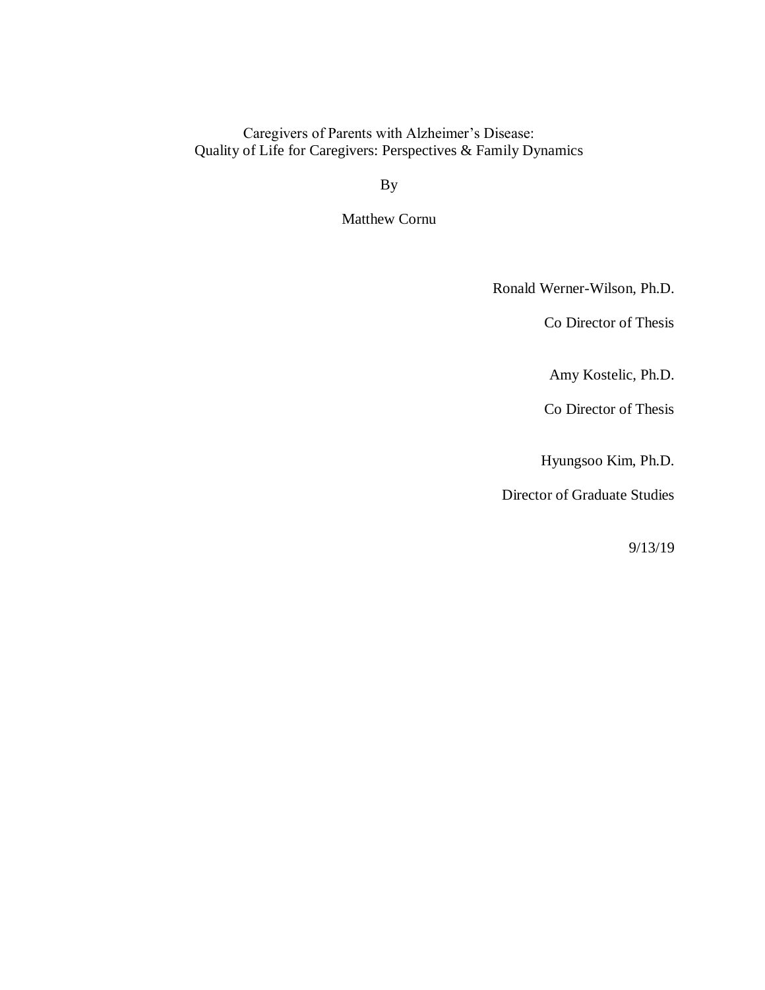## Caregivers of Parents with Alzheimer's Disease: Quality of Life for Caregivers: Perspectives & Family Dynamics

By

Matthew Cornu

Ronald Werner-Wilson, Ph.D.

Co Director of Thesis

Amy Kostelic, Ph.D.

Co Director of Thesis

Hyungsoo Kim, Ph.D.

Director of Graduate Studies

9/13/19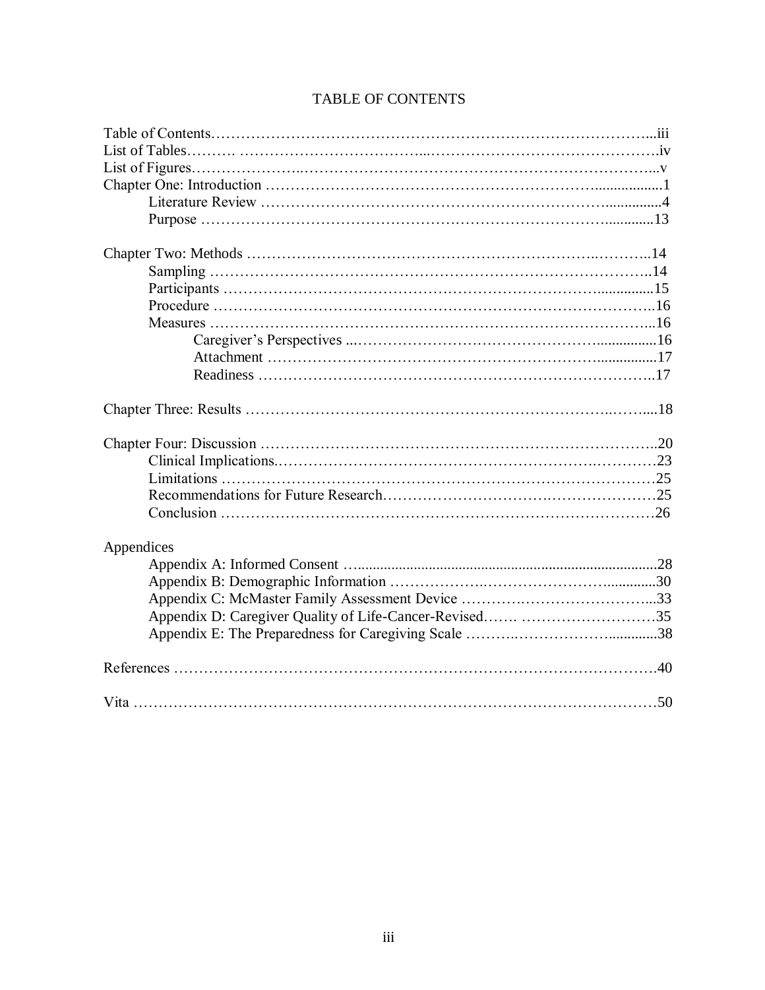| Appendices |  |
|------------|--|
|            |  |
|            |  |
|            |  |
|            |  |
|            |  |
|            |  |
|            |  |

## TABLE OF CONTENTS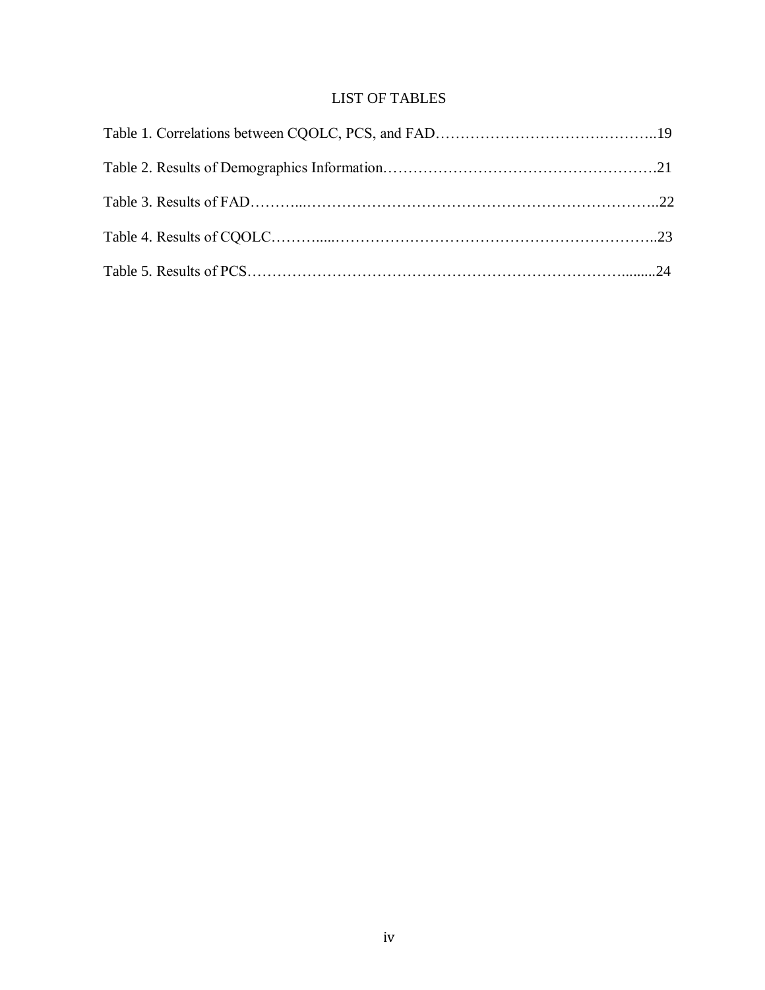## LIST OF TABLES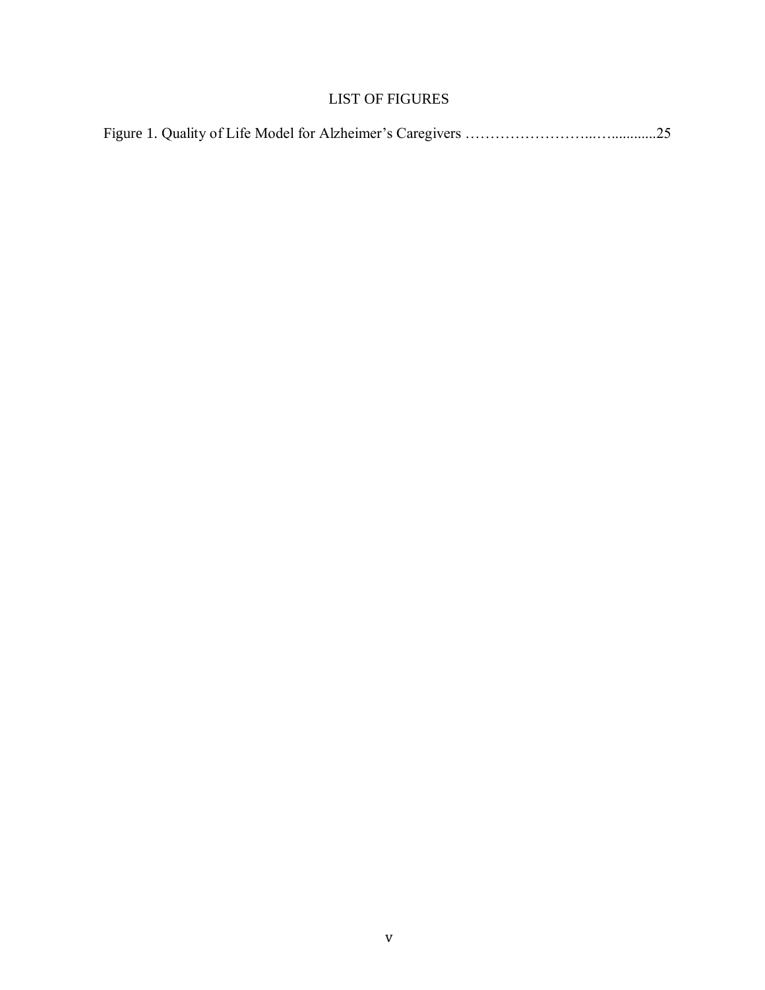## LIST OF FIGURES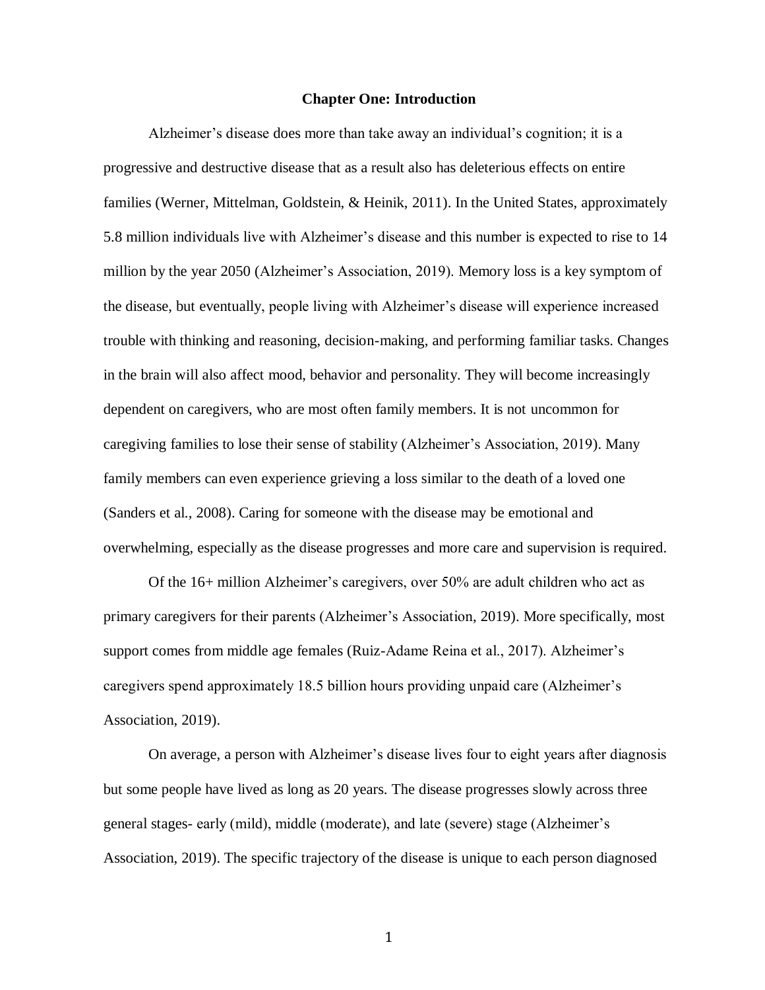### **Chapter One: Introduction**

Alzheimer's disease does more than take away an individual's cognition; it is a progressive and destructive disease that as a result also has deleterious effects on entire families (Werner, Mittelman, Goldstein, & Heinik, 2011). In the United States, approximately 5.8 million individuals live with Alzheimer's disease and this number is expected to rise to 14 million by the year 2050 (Alzheimer's Association, 2019). Memory loss is a key symptom of the disease, but eventually, people living with Alzheimer's disease will experience increased trouble with thinking and reasoning, decision-making, and performing familiar tasks. Changes in the brain will also affect mood, behavior and personality. They will become increasingly dependent on caregivers, who are most often family members. It is not uncommon for caregiving families to lose their sense of stability (Alzheimer's Association, 2019). Many family members can even experience grieving a loss similar to the death of a loved one (Sanders et al., 2008). Caring for someone with the disease may be emotional and overwhelming, especially as the disease progresses and more care and supervision is required.

Of the 16+ million Alzheimer's caregivers, over 50% are adult children who act as primary caregivers for their parents (Alzheimer's Association, 2019). More specifically, most support comes from middle age females (Ruiz-Adame Reina et al., 2017). Alzheimer's caregivers spend approximately 18.5 billion hours providing unpaid care (Alzheimer's Association, 2019).

On average, a person with Alzheimer's disease lives four to eight years after diagnosis but some people have lived as long as 20 years. The disease progresses slowly across three general stages- early (mild), middle (moderate), and late (severe) stage (Alzheimer's Association, 2019). The specific trajectory of the disease is unique to each person diagnosed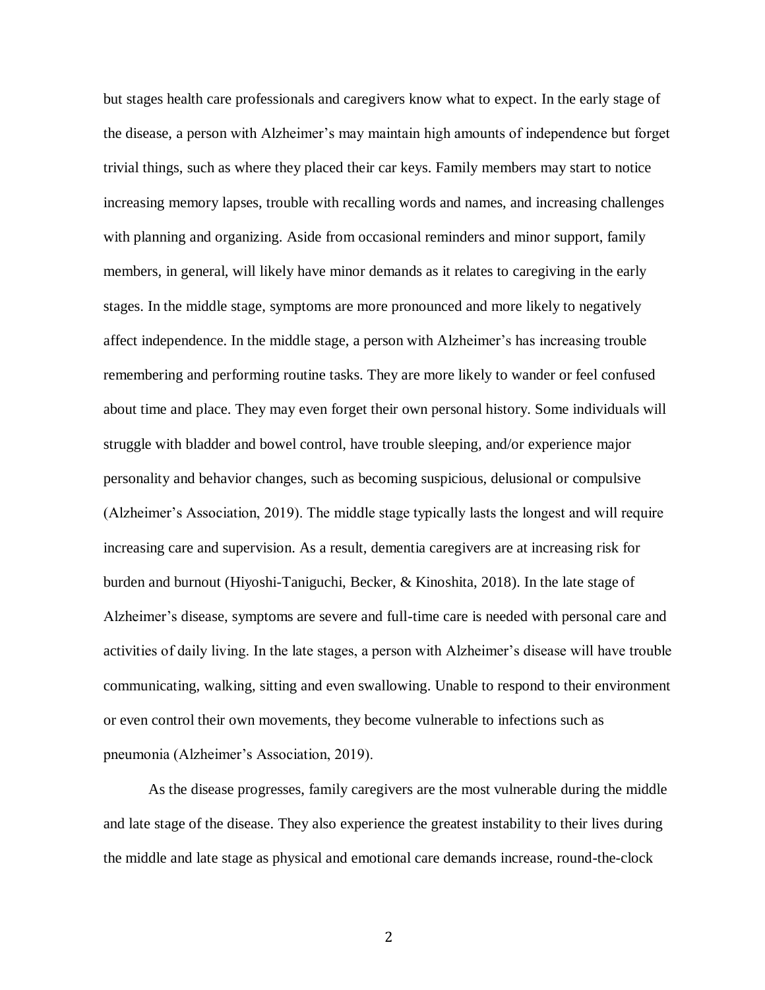but stages health care professionals and caregivers know what to expect. In the early stage of the disease, a person with Alzheimer's may maintain high amounts of independence but forget trivial things, such as where they placed their car keys. Family members may start to notice increasing memory lapses, trouble with recalling words and names, and increasing challenges with planning and organizing. Aside from occasional reminders and minor support, family members, in general, will likely have minor demands as it relates to caregiving in the early stages. In the middle stage, symptoms are more pronounced and more likely to negatively affect independence. In the middle stage, a person with Alzheimer's has increasing trouble remembering and performing routine tasks. They are more likely to wander or feel confused about time and place. They may even forget their own personal history. Some individuals will struggle with bladder and bowel control, have trouble sleeping, and/or experience major personality and behavior changes, such as becoming suspicious, delusional or compulsive (Alzheimer's Association, 2019). The middle stage typically lasts the longest and will require increasing care and supervision. As a result, dementia caregivers are at increasing risk for burden and burnout (Hiyoshi-Taniguchi, Becker, & Kinoshita, 2018). In the late stage of Alzheimer's disease, symptoms are severe and full-time care is needed with personal care and activities of daily living. In the late stages, a person with Alzheimer's disease will have trouble communicating, walking, sitting and even swallowing. Unable to respond to their environment or even control their own movements, they become vulnerable to infections such as pneumonia (Alzheimer's Association, 2019).

As the disease progresses, family caregivers are the most vulnerable during the middle and late stage of the disease. They also experience the greatest instability to their lives during the middle and late stage as physical and emotional care demands increase, round-the-clock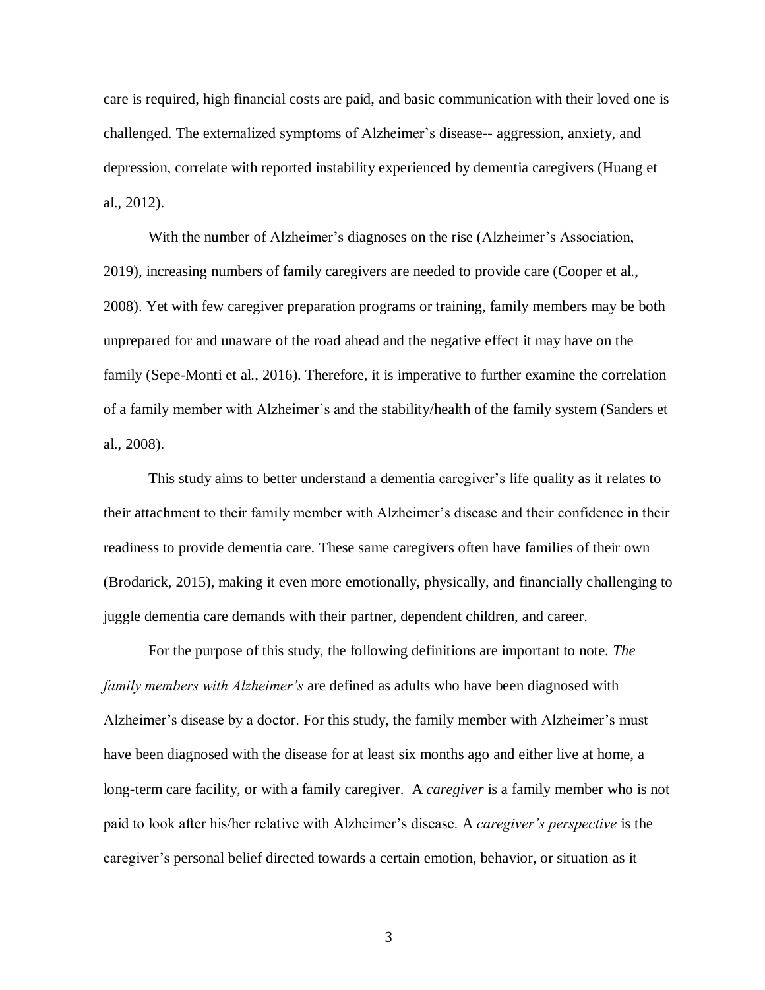care is required, high financial costs are paid, and basic communication with their loved one is challenged. The externalized symptoms of Alzheimer's disease-- aggression, anxiety, and depression, correlate with reported instability experienced by dementia caregivers (Huang et al., 2012).

With the number of Alzheimer's diagnoses on the rise (Alzheimer's Association, 2019), increasing numbers of family caregivers are needed to provide care (Cooper et al., 2008). Yet with few caregiver preparation programs or training, family members may be both unprepared for and unaware of the road ahead and the negative effect it may have on the family (Sepe-Monti et al., 2016). Therefore, it is imperative to further examine the correlation of a family member with Alzheimer's and the stability/health of the family system (Sanders et al., 2008).

This study aims to better understand a dementia caregiver's life quality as it relates to their attachment to their family member with Alzheimer's disease and their confidence in their readiness to provide dementia care. These same caregivers often have families of their own (Brodarick, 2015), making it even more emotionally, physically, and financially challenging to juggle dementia care demands with their partner, dependent children, and career.

For the purpose of this study, the following definitions are important to note. *The family members with Alzheimer's* are defined as adults who have been diagnosed with Alzheimer's disease by a doctor. For this study, the family member with Alzheimer's must have been diagnosed with the disease for at least six months ago and either live at home, a long-term care facility, or with a family caregiver. A *caregiver* is a family member who is not paid to look after his/her relative with Alzheimer's disease. A *caregiver's perspective* is the caregiver's personal belief directed towards a certain emotion, behavior, or situation as it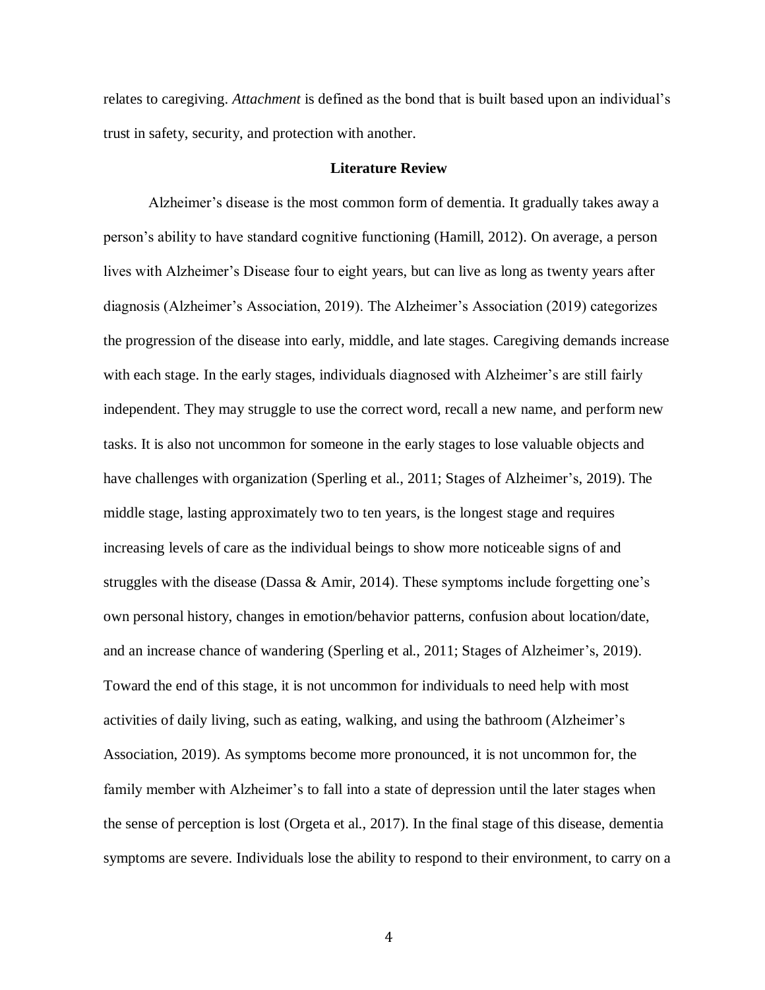relates to caregiving. *Attachment* is defined as the bond that is built based upon an individual's trust in safety, security, and protection with another.

### **Literature Review**

Alzheimer's disease is the most common form of dementia. It gradually takes away a person's ability to have standard cognitive functioning (Hamill, 2012). On average, a person lives with Alzheimer's Disease four to eight years, but can live as long as twenty years after diagnosis (Alzheimer's Association, 2019). The Alzheimer's Association (2019) categorizes the progression of the disease into early, middle, and late stages. Caregiving demands increase with each stage. In the early stages, individuals diagnosed with Alzheimer's are still fairly independent. They may struggle to use the correct word, recall a new name, and perform new tasks. It is also not uncommon for someone in the early stages to lose valuable objects and have challenges with organization (Sperling et al., 2011; Stages of Alzheimer's, 2019). The middle stage, lasting approximately two to ten years, is the longest stage and requires increasing levels of care as the individual beings to show more noticeable signs of and struggles with the disease (Dassa  $\&$  Amir, 2014). These symptoms include forgetting one's own personal history, changes in emotion/behavior patterns, confusion about location/date, and an increase chance of wandering (Sperling et al., 2011; Stages of Alzheimer's, 2019). Toward the end of this stage, it is not uncommon for individuals to need help with most activities of daily living, such as eating, walking, and using the bathroom (Alzheimer's Association, 2019). As symptoms become more pronounced, it is not uncommon for, the family member with Alzheimer's to fall into a state of depression until the later stages when the sense of perception is lost (Orgeta et al., 2017). In the final stage of this disease, dementia symptoms are severe. Individuals lose the ability to respond to their environment, to carry on a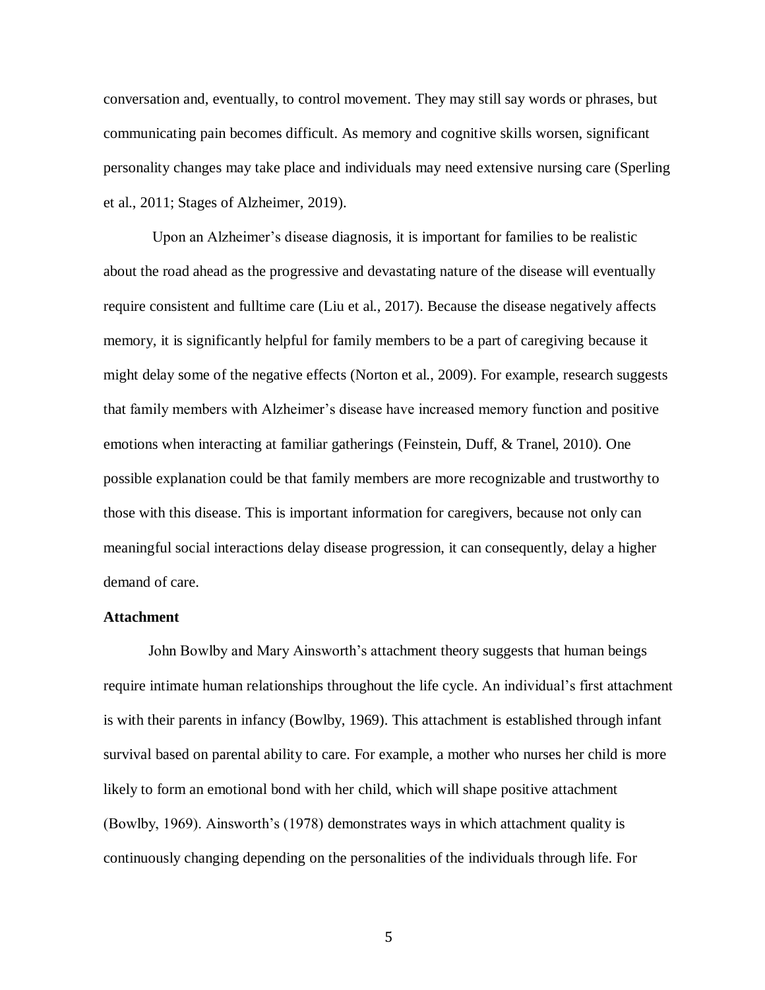conversation and, eventually, to control movement. They may still say words or phrases, but communicating pain becomes difficult. As memory and cognitive skills worsen, significant personality changes may take place and individuals may need extensive nursing care (Sperling et al., 2011; Stages of Alzheimer, 2019).

Upon an Alzheimer's disease diagnosis, it is important for families to be realistic about the road ahead as the progressive and devastating nature of the disease will eventually require consistent and fulltime care (Liu et al., 2017). Because the disease negatively affects memory, it is significantly helpful for family members to be a part of caregiving because it might delay some of the negative effects (Norton et al., 2009). For example, research suggests that family members with Alzheimer's disease have increased memory function and positive emotions when interacting at familiar gatherings (Feinstein, Duff, & Tranel, 2010). One possible explanation could be that family members are more recognizable and trustworthy to those with this disease. This is important information for caregivers, because not only can meaningful social interactions delay disease progression, it can consequently, delay a higher demand of care.

#### **Attachment**

John Bowlby and Mary Ainsworth's attachment theory suggests that human beings require intimate human relationships throughout the life cycle. An individual's first attachment is with their parents in infancy (Bowlby, 1969). This attachment is established through infant survival based on parental ability to care. For example, a mother who nurses her child is more likely to form an emotional bond with her child, which will shape positive attachment (Bowlby, 1969). Ainsworth's (1978) demonstrates ways in which attachment quality is continuously changing depending on the personalities of the individuals through life. For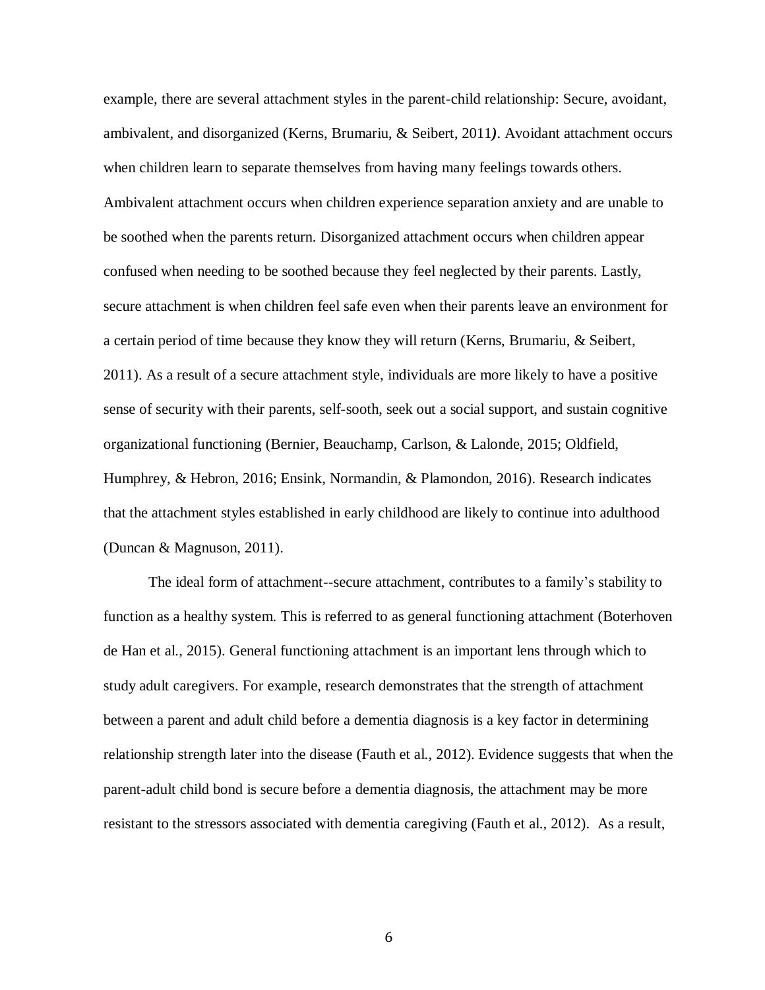example, there are several attachment styles in the parent-child relationship: Secure, avoidant, ambivalent, and disorganized (Kerns, Brumariu, & Seibert, 2011*)*. Avoidant attachment occurs when children learn to separate themselves from having many feelings towards others. Ambivalent attachment occurs when children experience separation anxiety and are unable to be soothed when the parents return. Disorganized attachment occurs when children appear confused when needing to be soothed because they feel neglected by their parents. Lastly, secure attachment is when children feel safe even when their parents leave an environment for a certain period of time because they know they will return (Kerns, Brumariu, & Seibert, 2011). As a result of a secure attachment style, individuals are more likely to have a positive sense of security with their parents, self-sooth, seek out a social support, and sustain cognitive organizational functioning (Bernier, Beauchamp, Carlson, & Lalonde, 2015; Oldfield, Humphrey, & Hebron, 2016; Ensink, Normandin, & Plamondon, 2016). Research indicates that the attachment styles established in early childhood are likely to continue into adulthood (Duncan & Magnuson, 2011).

The ideal form of attachment--secure attachment, contributes to a family's stability to function as a healthy system. This is referred to as general functioning attachment (Boterhoven de Han et al., 2015). General functioning attachment is an important lens through which to study adult caregivers. For example, research demonstrates that the strength of attachment between a parent and adult child before a dementia diagnosis is a key factor in determining relationship strength later into the disease (Fauth et al., 2012). Evidence suggests that when the parent-adult child bond is secure before a dementia diagnosis, the attachment may be more resistant to the stressors associated with dementia caregiving (Fauth et al., 2012). As a result,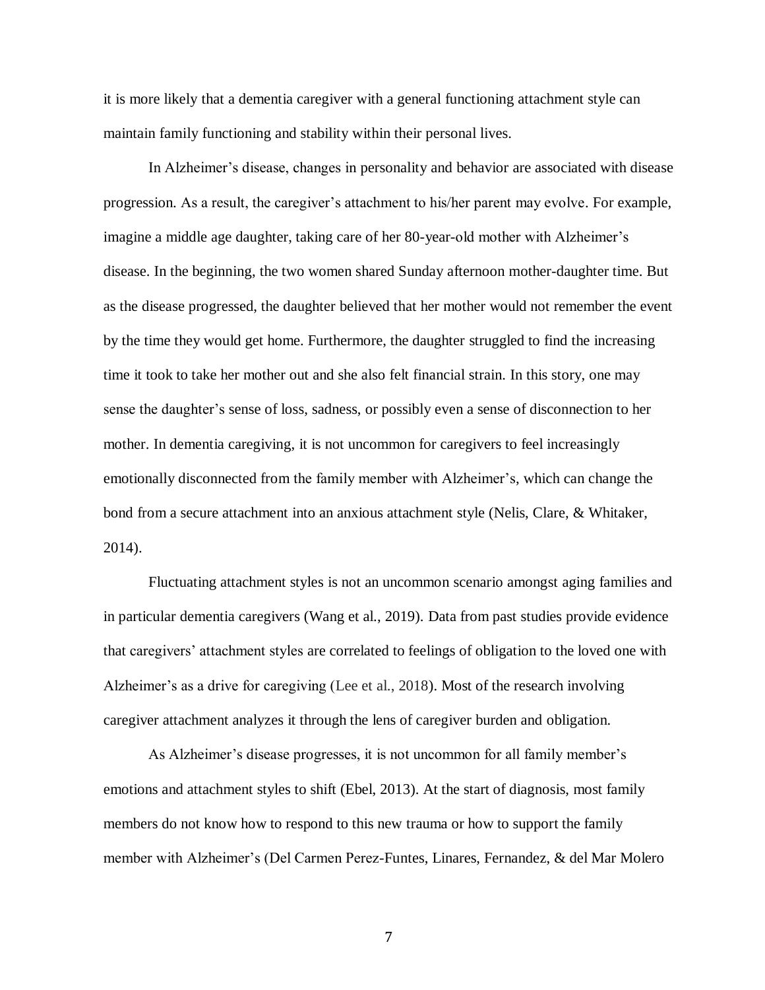it is more likely that a dementia caregiver with a general functioning attachment style can maintain family functioning and stability within their personal lives.

In Alzheimer's disease, changes in personality and behavior are associated with disease progression. As a result, the caregiver's attachment to his/her parent may evolve. For example, imagine a middle age daughter, taking care of her 80-year-old mother with Alzheimer's disease. In the beginning, the two women shared Sunday afternoon mother-daughter time. But as the disease progressed, the daughter believed that her mother would not remember the event by the time they would get home. Furthermore, the daughter struggled to find the increasing time it took to take her mother out and she also felt financial strain. In this story, one may sense the daughter's sense of loss, sadness, or possibly even a sense of disconnection to her mother. In dementia caregiving, it is not uncommon for caregivers to feel increasingly emotionally disconnected from the family member with Alzheimer's, which can change the bond from a secure attachment into an anxious attachment style (Nelis, Clare, & Whitaker, 2014).

Fluctuating attachment styles is not an uncommon scenario amongst aging families and in particular dementia caregivers (Wang et al., 2019). Data from past studies provide evidence that caregivers' attachment styles are correlated to feelings of obligation to the loved one with Alzheimer's as a drive for caregiving (Lee et al., 2018). Most of the research involving caregiver attachment analyzes it through the lens of caregiver burden and obligation.

As Alzheimer's disease progresses, it is not uncommon for all family member's emotions and attachment styles to shift (Ebel, 2013). At the start of diagnosis, most family members do not know how to respond to this new trauma or how to support the family member with Alzheimer's (Del Carmen Perez-Funtes, Linares, Fernandez, & del Mar Molero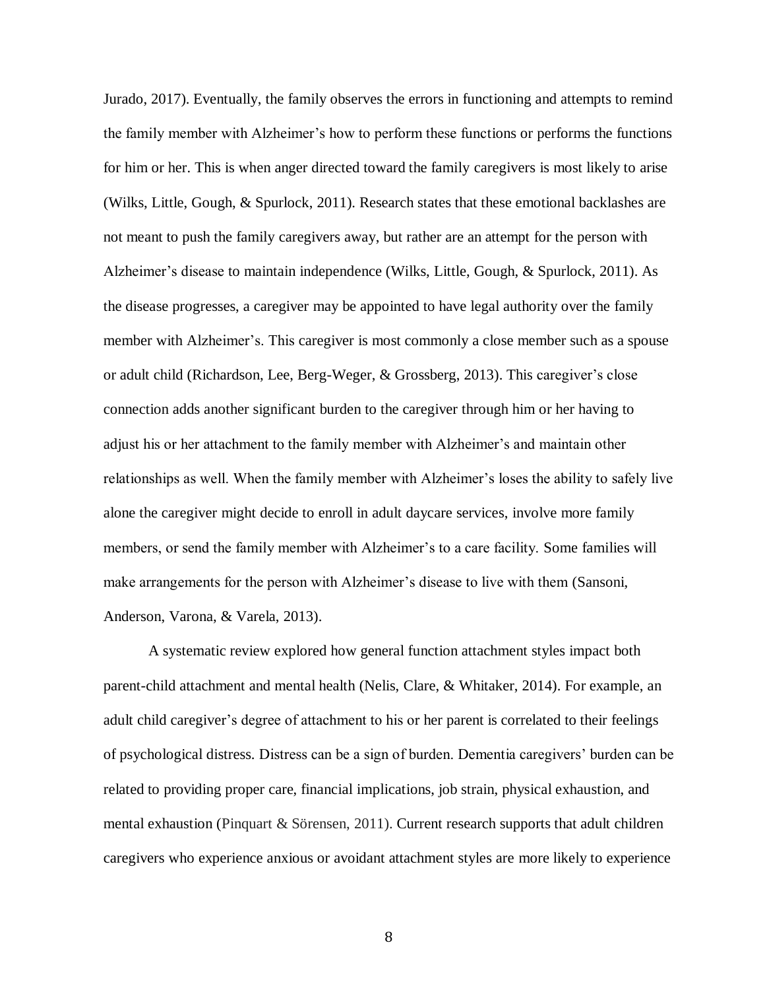Jurado, 2017). Eventually, the family observes the errors in functioning and attempts to remind the family member with Alzheimer's how to perform these functions or performs the functions for him or her. This is when anger directed toward the family caregivers is most likely to arise (Wilks, Little, Gough, & Spurlock, 2011). Research states that these emotional backlashes are not meant to push the family caregivers away, but rather are an attempt for the person with Alzheimer's disease to maintain independence (Wilks, Little, Gough, & Spurlock, 2011). As the disease progresses, a caregiver may be appointed to have legal authority over the family member with Alzheimer's. This caregiver is most commonly a close member such as a spouse or adult child (Richardson, Lee, Berg-Weger, & Grossberg, 2013). This caregiver's close connection adds another significant burden to the caregiver through him or her having to adjust his or her attachment to the family member with Alzheimer's and maintain other relationships as well. When the family member with Alzheimer's loses the ability to safely live alone the caregiver might decide to enroll in adult daycare services, involve more family members, or send the family member with Alzheimer's to a care facility. Some families will make arrangements for the person with Alzheimer's disease to live with them (Sansoni, Anderson, Varona, & Varela, 2013).

A systematic review explored how general function attachment styles impact both parent-child attachment and mental health (Nelis, Clare, & Whitaker, 2014). For example, an adult child caregiver's degree of attachment to his or her parent is correlated to their feelings of psychological distress. Distress can be a sign of burden. Dementia caregivers' burden can be related to providing proper care, financial implications, job strain, physical exhaustion, and mental exhaustion (Pinquart & Sörensen, 2011). Current research supports that adult children caregivers who experience anxious or avoidant attachment styles are more likely to experience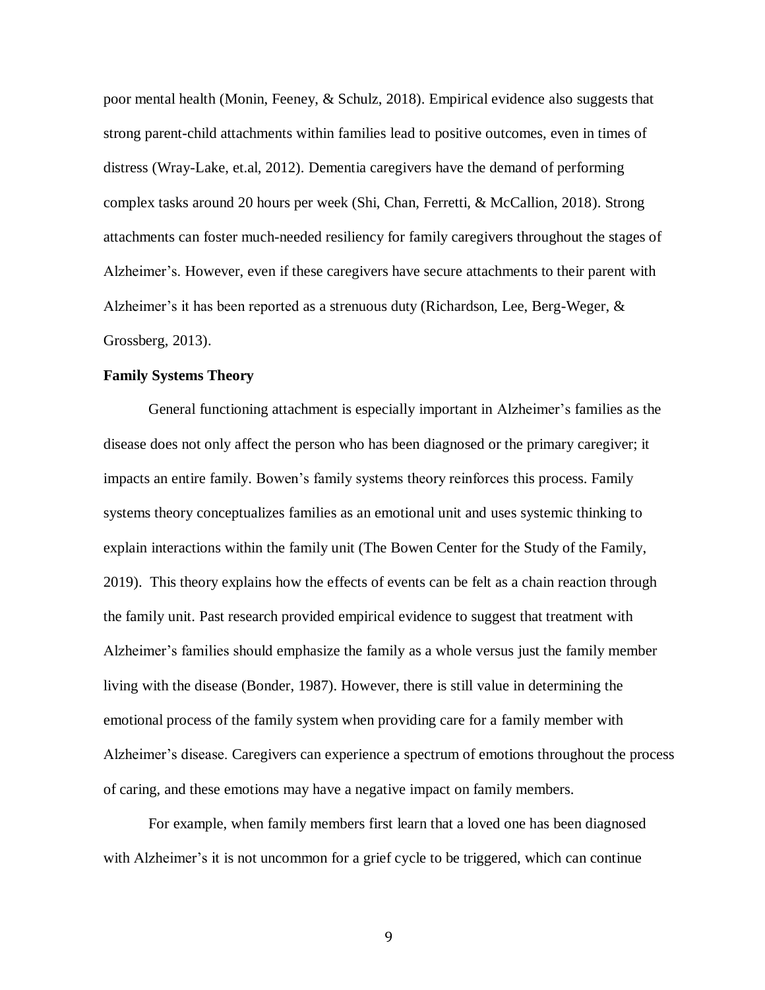poor mental health (Monin, Feeney, & Schulz, 2018). Empirical evidence also suggests that strong parent-child attachments within families lead to positive outcomes, even in times of distress (Wray-Lake, et.al, 2012). Dementia caregivers have the demand of performing complex tasks around 20 hours per week (Shi, Chan, Ferretti, & McCallion, 2018). Strong attachments can foster much-needed resiliency for family caregivers throughout the stages of Alzheimer's. However, even if these caregivers have secure attachments to their parent with Alzheimer's it has been reported as a strenuous duty (Richardson, Lee, Berg-Weger, & Grossberg, 2013).

### **Family Systems Theory**

General functioning attachment is especially important in Alzheimer's families as the disease does not only affect the person who has been diagnosed or the primary caregiver; it impacts an entire family. Bowen's family systems theory reinforces this process. Family systems theory conceptualizes families as an emotional unit and uses systemic thinking to explain interactions within the family unit (The Bowen Center for the Study of the Family, 2019). This theory explains how the effects of events can be felt as a chain reaction through the family unit. Past research provided empirical evidence to suggest that treatment with Alzheimer's families should emphasize the family as a whole versus just the family member living with the disease (Bonder, 1987). However, there is still value in determining the emotional process of the family system when providing care for a family member with Alzheimer's disease. Caregivers can experience a spectrum of emotions throughout the process of caring, and these emotions may have a negative impact on family members.

For example, when family members first learn that a loved one has been diagnosed with Alzheimer's it is not uncommon for a grief cycle to be triggered, which can continue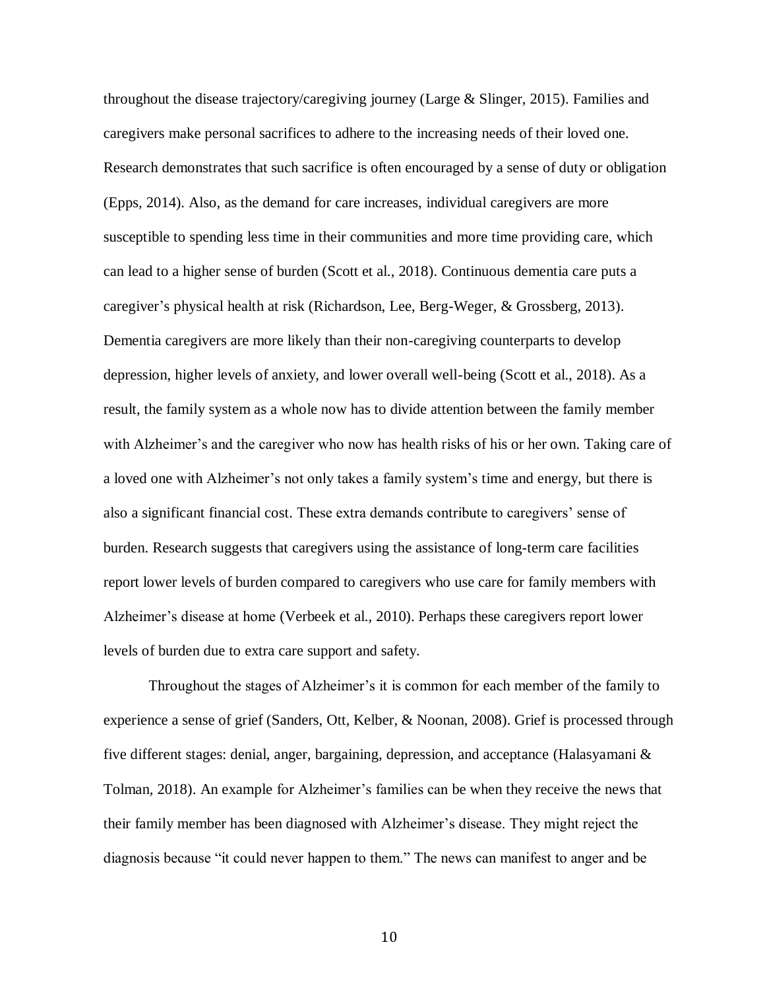throughout the disease trajectory/caregiving journey (Large & Slinger, 2015). Families and caregivers make personal sacrifices to adhere to the increasing needs of their loved one. Research demonstrates that such sacrifice is often encouraged by a sense of duty or obligation (Epps, 2014). Also, as the demand for care increases, individual caregivers are more susceptible to spending less time in their communities and more time providing care, which can lead to a higher sense of burden (Scott et al., 2018). Continuous dementia care puts a caregiver's physical health at risk (Richardson, Lee, Berg-Weger, & Grossberg, 2013). Dementia caregivers are more likely than their non-caregiving counterparts to develop depression, higher levels of anxiety, and lower overall well-being (Scott et al., 2018). As a result, the family system as a whole now has to divide attention between the family member with Alzheimer's and the caregiver who now has health risks of his or her own. Taking care of a loved one with Alzheimer's not only takes a family system's time and energy, but there is also a significant financial cost. These extra demands contribute to caregivers' sense of burden. Research suggests that caregivers using the assistance of long-term care facilities report lower levels of burden compared to caregivers who use care for family members with Alzheimer's disease at home (Verbeek et al., 2010). Perhaps these caregivers report lower levels of burden due to extra care support and safety.

Throughout the stages of Alzheimer's it is common for each member of the family to experience a sense of grief (Sanders, Ott, Kelber, & Noonan, 2008). Grief is processed through five different stages: denial, anger, bargaining, depression, and acceptance (Halasyamani & Tolman, 2018). An example for Alzheimer's families can be when they receive the news that their family member has been diagnosed with Alzheimer's disease. They might reject the diagnosis because "it could never happen to them." The news can manifest to anger and be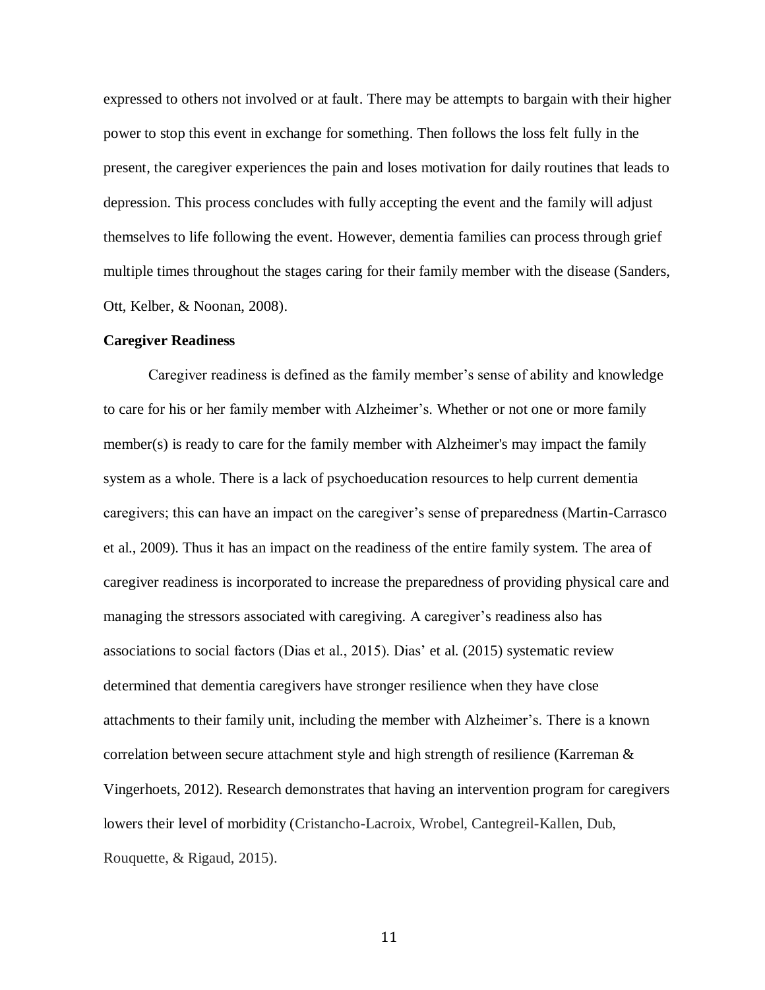expressed to others not involved or at fault. There may be attempts to bargain with their higher power to stop this event in exchange for something. Then follows the loss felt fully in the present, the caregiver experiences the pain and loses motivation for daily routines that leads to depression. This process concludes with fully accepting the event and the family will adjust themselves to life following the event. However, dementia families can process through grief multiple times throughout the stages caring for their family member with the disease (Sanders, Ott, Kelber, & Noonan, 2008).

### **Caregiver Readiness**

Caregiver readiness is defined as the family member's sense of ability and knowledge to care for his or her family member with Alzheimer's. Whether or not one or more family member(s) is ready to care for the family member with Alzheimer's may impact the family system as a whole. There is a lack of psychoeducation resources to help current dementia caregivers; this can have an impact on the caregiver's sense of preparedness (Martin-Carrasco et al., 2009). Thus it has an impact on the readiness of the entire family system. The area of caregiver readiness is incorporated to increase the preparedness of providing physical care and managing the stressors associated with caregiving. A caregiver's readiness also has associations to social factors (Dias et al., 2015). Dias' et al. (2015) systematic review determined that dementia caregivers have stronger resilience when they have close attachments to their family unit, including the member with Alzheimer's. There is a known correlation between secure attachment style and high strength of resilience (Karreman  $\&$ Vingerhoets, 2012). Research demonstrates that having an intervention program for caregivers lowers their level of morbidity (Cristancho-Lacroix, Wrobel, Cantegreil-Kallen, Dub, Rouquette, & Rigaud, 2015).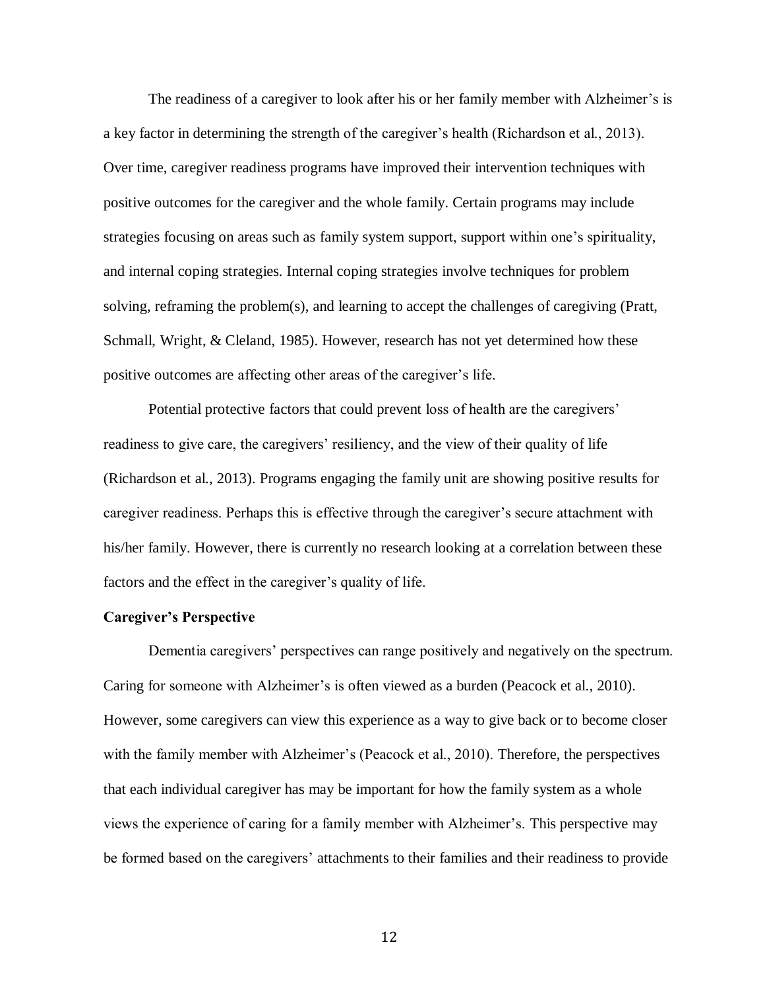The readiness of a caregiver to look after his or her family member with Alzheimer's is a key factor in determining the strength of the caregiver's health (Richardson et al., 2013). Over time, caregiver readiness programs have improved their intervention techniques with positive outcomes for the caregiver and the whole family. Certain programs may include strategies focusing on areas such as family system support, support within one's spirituality, and internal coping strategies. Internal coping strategies involve techniques for problem solving, reframing the problem(s), and learning to accept the challenges of caregiving (Pratt, Schmall, Wright, & Cleland, 1985). However, research has not yet determined how these positive outcomes are affecting other areas of the caregiver's life.

Potential protective factors that could prevent loss of health are the caregivers' readiness to give care, the caregivers' resiliency, and the view of their quality of life (Richardson et al., 2013). Programs engaging the family unit are showing positive results for caregiver readiness. Perhaps this is effective through the caregiver's secure attachment with his/her family. However, there is currently no research looking at a correlation between these factors and the effect in the caregiver's quality of life.

### **Caregiver's Perspective**

Dementia caregivers' perspectives can range positively and negatively on the spectrum. Caring for someone with Alzheimer's is often viewed as a burden (Peacock et al., 2010). However, some caregivers can view this experience as a way to give back or to become closer with the family member with Alzheimer's (Peacock et al., 2010). Therefore, the perspectives that each individual caregiver has may be important for how the family system as a whole views the experience of caring for a family member with Alzheimer's. This perspective may be formed based on the caregivers' attachments to their families and their readiness to provide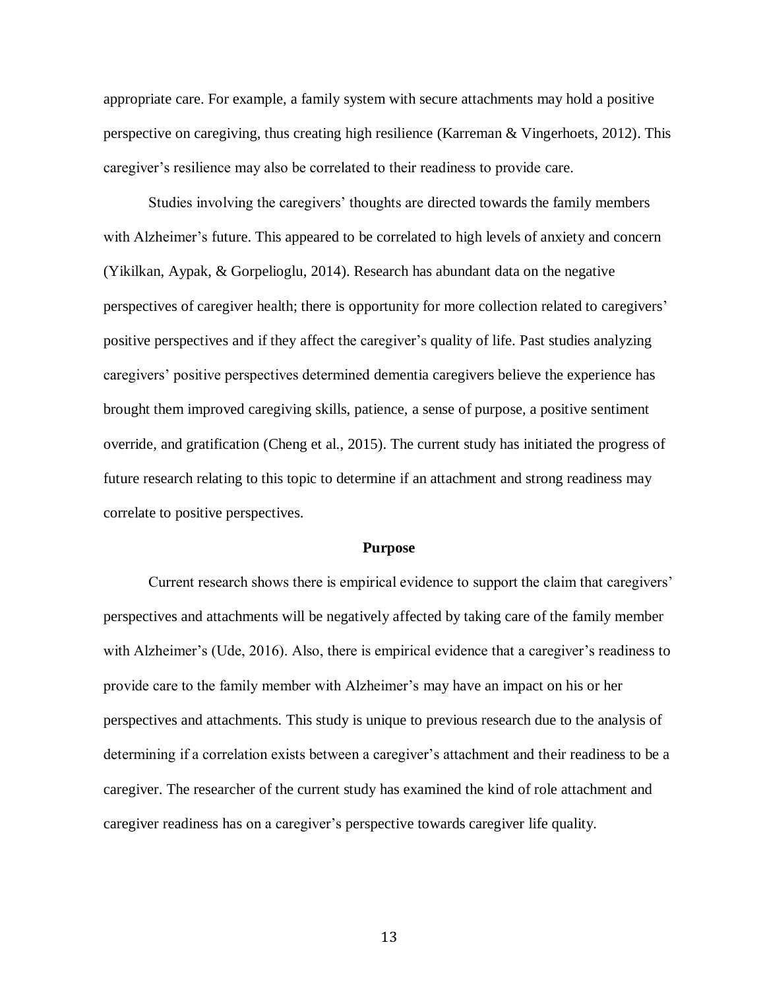appropriate care. For example, a family system with secure attachments may hold a positive perspective on caregiving, thus creating high resilience (Karreman & Vingerhoets, 2012). This caregiver's resilience may also be correlated to their readiness to provide care.

Studies involving the caregivers' thoughts are directed towards the family members with Alzheimer's future. This appeared to be correlated to high levels of anxiety and concern (Yikilkan, Aypak, & Gorpelioglu, 2014). Research has abundant data on the negative perspectives of caregiver health; there is opportunity for more collection related to caregivers' positive perspectives and if they affect the caregiver's quality of life. Past studies analyzing caregivers' positive perspectives determined dementia caregivers believe the experience has brought them improved caregiving skills, patience, a sense of purpose, a positive sentiment override, and gratification (Cheng et al., 2015). The current study has initiated the progress of future research relating to this topic to determine if an attachment and strong readiness may correlate to positive perspectives.

#### **Purpose**

Current research shows there is empirical evidence to support the claim that caregivers' perspectives and attachments will be negatively affected by taking care of the family member with Alzheimer's (Ude, 2016). Also, there is empirical evidence that a caregiver's readiness to provide care to the family member with Alzheimer's may have an impact on his or her perspectives and attachments. This study is unique to previous research due to the analysis of determining if a correlation exists between a caregiver's attachment and their readiness to be a caregiver. The researcher of the current study has examined the kind of role attachment and caregiver readiness has on a caregiver's perspective towards caregiver life quality.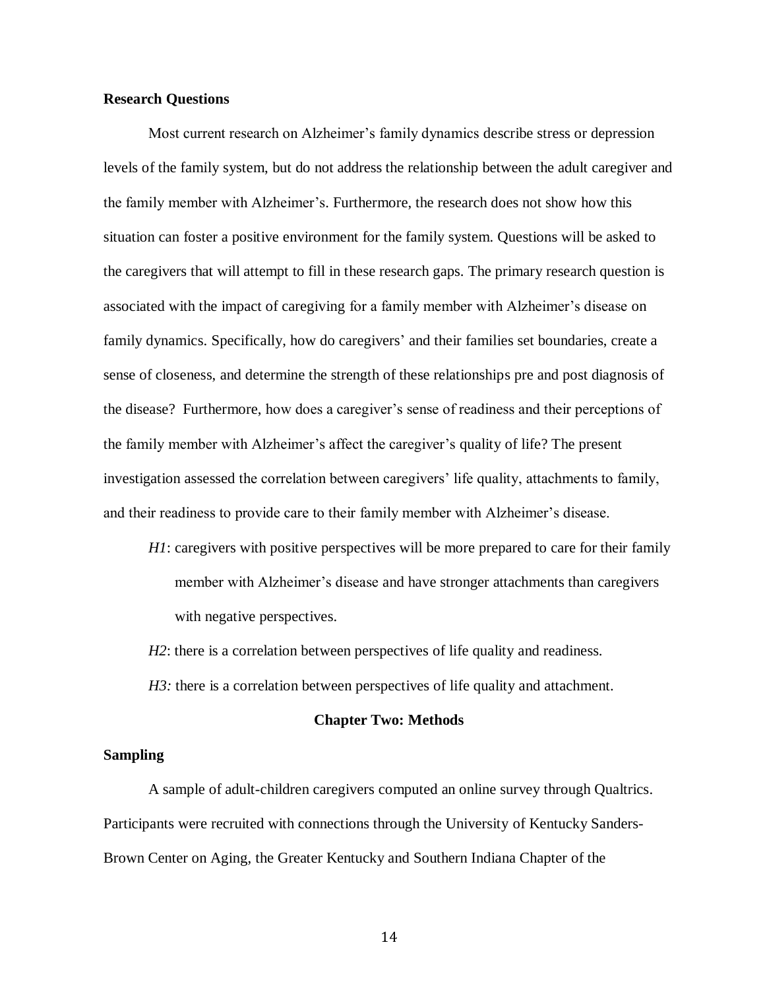### **Research Questions**

Most current research on Alzheimer's family dynamics describe stress or depression levels of the family system, but do not address the relationship between the adult caregiver and the family member with Alzheimer's. Furthermore, the research does not show how this situation can foster a positive environment for the family system. Questions will be asked to the caregivers that will attempt to fill in these research gaps. The primary research question is associated with the impact of caregiving for a family member with Alzheimer's disease on family dynamics. Specifically, how do caregivers' and their families set boundaries, create a sense of closeness, and determine the strength of these relationships pre and post diagnosis of the disease? Furthermore, how does a caregiver's sense of readiness and their perceptions of the family member with Alzheimer's affect the caregiver's quality of life? The present investigation assessed the correlation between caregivers' life quality, attachments to family, and their readiness to provide care to their family member with Alzheimer's disease.

- *H1*: caregivers with positive perspectives will be more prepared to care for their family member with Alzheimer's disease and have stronger attachments than caregivers with negative perspectives.
- *H2*: there is a correlation between perspectives of life quality and readiness.
- *H3*: there is a correlation between perspectives of life quality and attachment.

### **Chapter Two: Methods**

### **Sampling**

A sample of adult-children caregivers computed an online survey through Qualtrics. Participants were recruited with connections through the University of Kentucky Sanders-Brown Center on Aging, the Greater Kentucky and Southern Indiana Chapter of the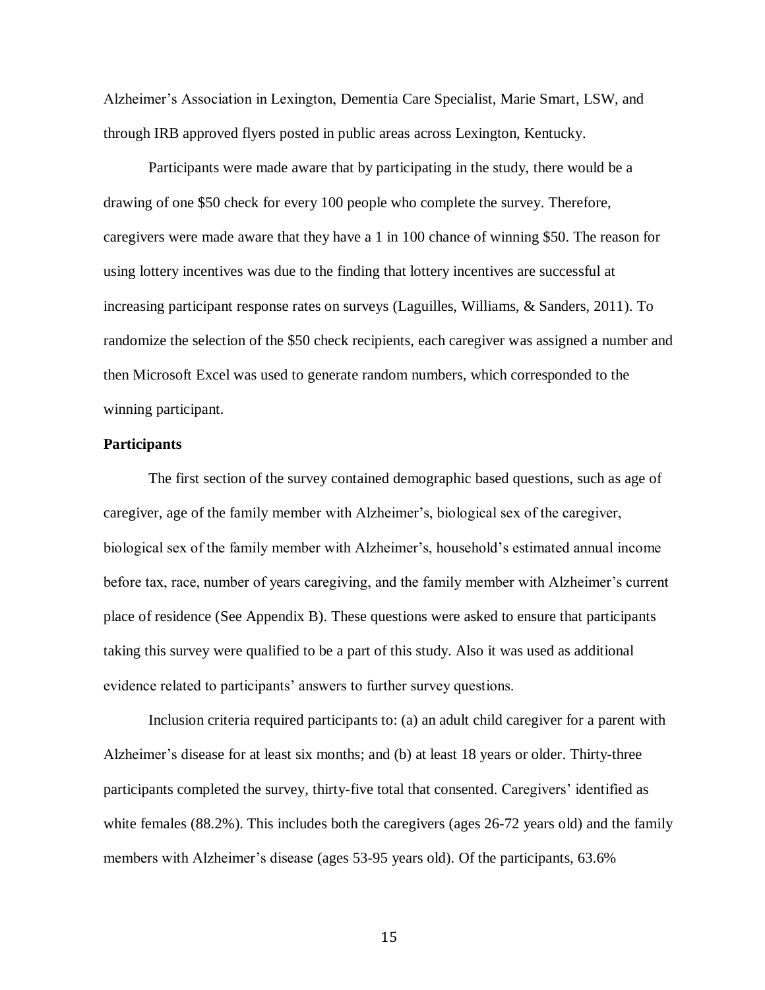Alzheimer's Association in Lexington, Dementia Care Specialist, Marie Smart, LSW, and through IRB approved flyers posted in public areas across Lexington, Kentucky.

Participants were made aware that by participating in the study, there would be a drawing of one \$50 check for every 100 people who complete the survey. Therefore, caregivers were made aware that they have a 1 in 100 chance of winning \$50. The reason for using lottery incentives was due to the finding that lottery incentives are successful at increasing participant response rates on surveys (Laguilles, Williams, & Sanders, 2011). To randomize the selection of the \$50 check recipients, each caregiver was assigned a number and then Microsoft Excel was used to generate random numbers, which corresponded to the winning participant.

### **Participants**

The first section of the survey contained demographic based questions, such as age of caregiver, age of the family member with Alzheimer's, biological sex of the caregiver, biological sex of the family member with Alzheimer's, household's estimated annual income before tax, race, number of years caregiving, and the family member with Alzheimer's current place of residence (See Appendix B). These questions were asked to ensure that participants taking this survey were qualified to be a part of this study. Also it was used as additional evidence related to participants' answers to further survey questions.

Inclusion criteria required participants to: (a) an adult child caregiver for a parent with Alzheimer's disease for at least six months; and (b) at least 18 years or older. Thirty-three participants completed the survey, thirty-five total that consented. Caregivers' identified as white females (88.2%). This includes both the caregivers (ages 26-72 years old) and the family members with Alzheimer's disease (ages 53-95 years old). Of the participants, 63.6%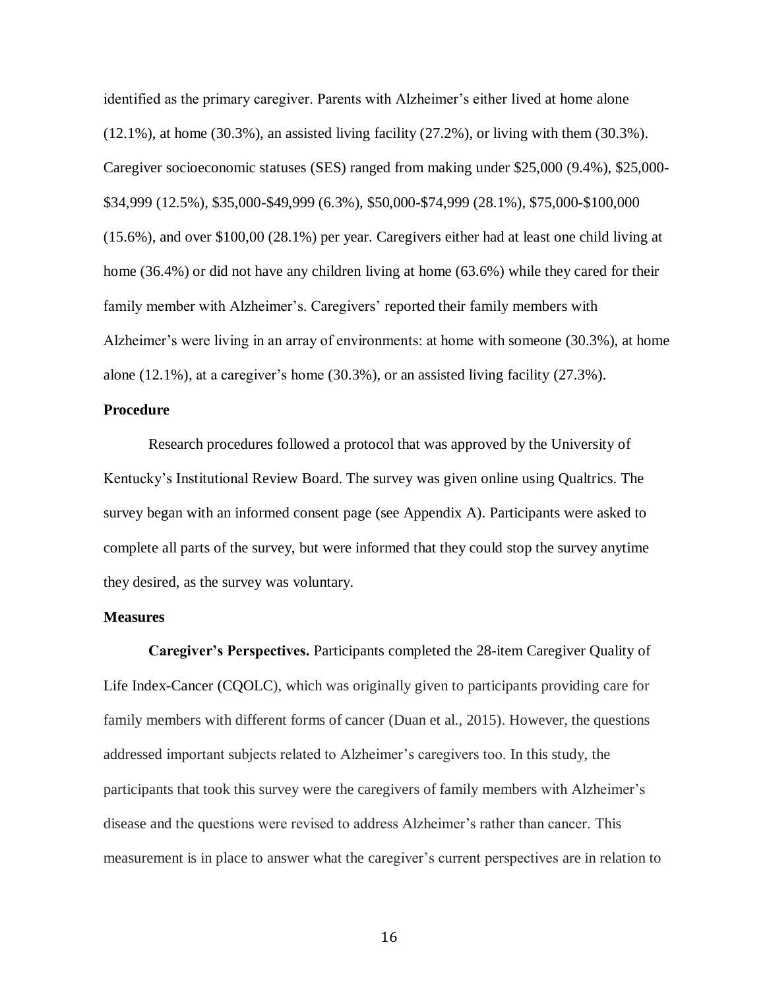identified as the primary caregiver. Parents with Alzheimer's either lived at home alone (12.1%), at home (30.3%), an assisted living facility (27.2%), or living with them (30.3%). Caregiver socioeconomic statuses (SES) ranged from making under \$25,000 (9.4%), \$25,000- \$34,999 (12.5%), \$35,000-\$49,999 (6.3%), \$50,000-\$74,999 (28.1%), \$75,000-\$100,000 (15.6%), and over \$100,00 (28.1%) per year. Caregivers either had at least one child living at home (36.4%) or did not have any children living at home (63.6%) while they cared for their family member with Alzheimer's. Caregivers' reported their family members with Alzheimer's were living in an array of environments: at home with someone (30.3%), at home alone (12.1%), at a caregiver's home (30.3%), or an assisted living facility (27.3%).

### **Procedure**

Research procedures followed a protocol that was approved by the University of Kentucky's Institutional Review Board. The survey was given online using Qualtrics. The survey began with an informed consent page (see Appendix A). Participants were asked to complete all parts of the survey, but were informed that they could stop the survey anytime they desired, as the survey was voluntary.

### **Measures**

**Caregiver's Perspectives.** Participants completed the 28-item Caregiver Quality of Life Index-Cancer (CQOLC), which was originally given to participants providing care for family members with different forms of cancer (Duan et al., 2015). However, the questions addressed important subjects related to Alzheimer's caregivers too. In this study, the participants that took this survey were the caregivers of family members with Alzheimer's disease and the questions were revised to address Alzheimer's rather than cancer. This measurement is in place to answer what the caregiver's current perspectives are in relation to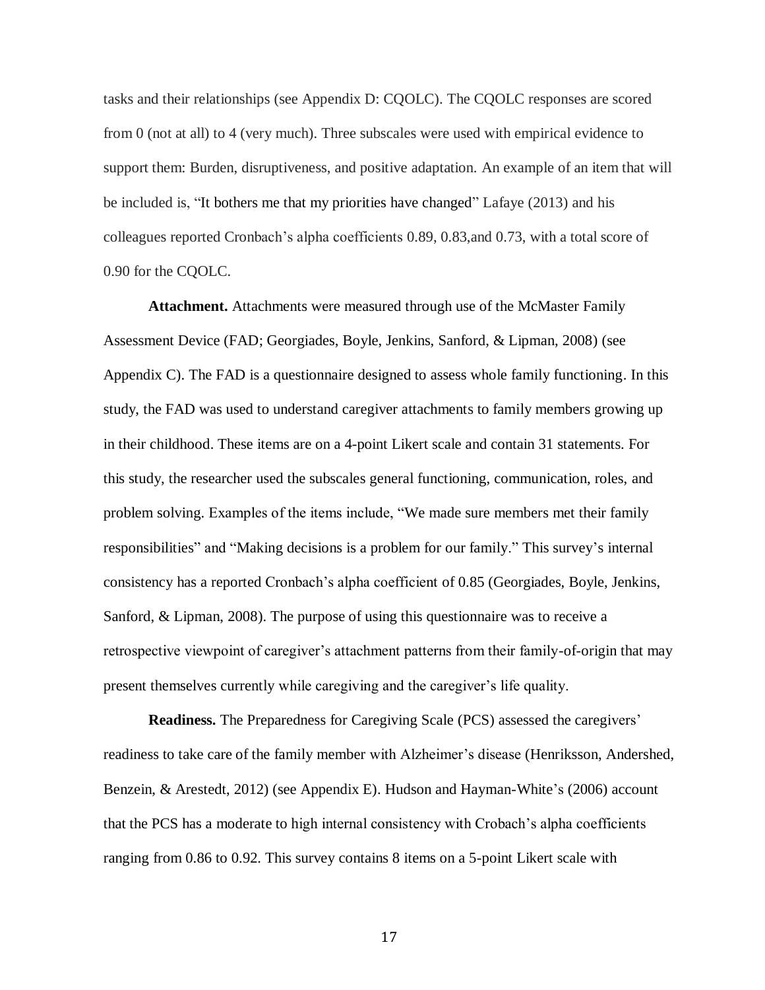tasks and their relationships (see Appendix D: CQOLC). The CQOLC responses are scored from 0 (not at all) to 4 (very much). Three subscales were used with empirical evidence to support them: Burden, disruptiveness, and positive adaptation. An example of an item that will be included is, "It bothers me that my priorities have changed" Lafaye (2013) and his colleagues reported Cronbach's alpha coefficients 0.89, 0.83,and 0.73, with a total score of 0.90 for the CQOLC.

**Attachment.** Attachments were measured through use of the McMaster Family Assessment Device (FAD; Georgiades, Boyle, Jenkins, Sanford, & Lipman, 2008) (see Appendix C). The FAD is a questionnaire designed to assess whole family functioning. In this study, the FAD was used to understand caregiver attachments to family members growing up in their childhood. These items are on a 4-point Likert scale and contain 31 statements. For this study, the researcher used the subscales general functioning, communication, roles, and problem solving. Examples of the items include, "We made sure members met their family responsibilities" and "Making decisions is a problem for our family." This survey's internal consistency has a reported Cronbach's alpha coefficient of 0.85 (Georgiades, Boyle, Jenkins, Sanford, & Lipman, 2008). The purpose of using this questionnaire was to receive a retrospective viewpoint of caregiver's attachment patterns from their family-of-origin that may present themselves currently while caregiving and the caregiver's life quality.

**Readiness.** The Preparedness for Caregiving Scale (PCS) assessed the caregivers' readiness to take care of the family member with Alzheimer's disease (Henriksson, Andershed, Benzein, & Arestedt, 2012) (see Appendix E). Hudson and Hayman-White's (2006) account that the PCS has a moderate to high internal consistency with Crobach's alpha coefficients ranging from 0.86 to 0.92. This survey contains 8 items on a 5-point Likert scale with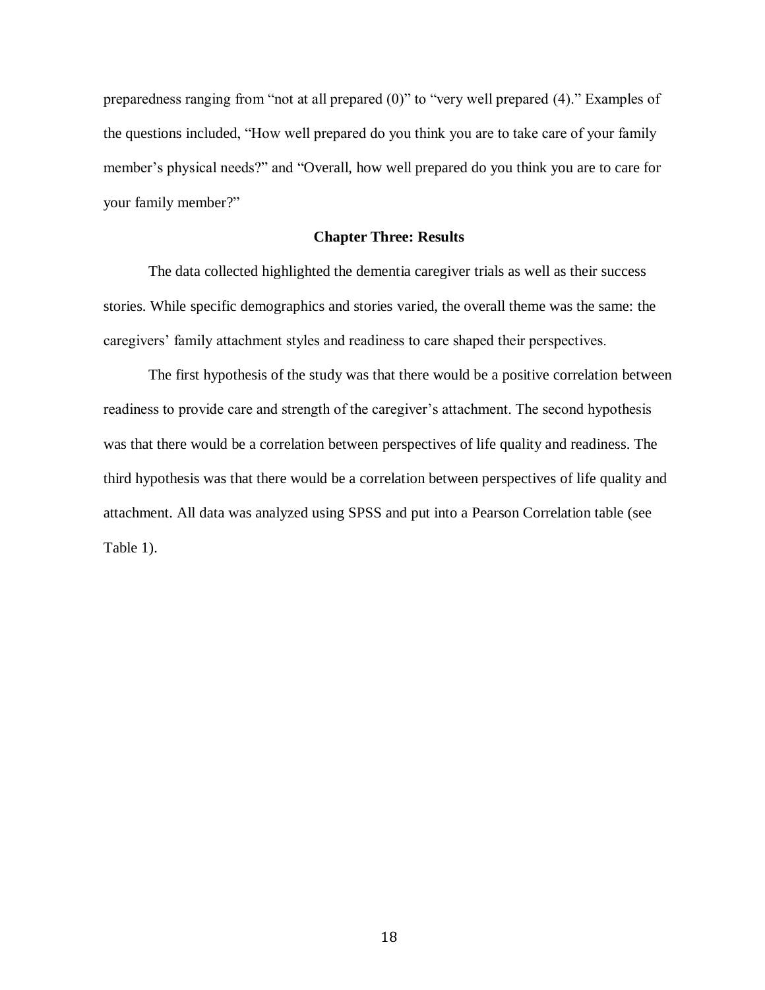preparedness ranging from "not at all prepared (0)" to "very well prepared (4)." Examples of the questions included, "How well prepared do you think you are to take care of your family member's physical needs?" and "Overall, how well prepared do you think you are to care for your family member?"

### **Chapter Three: Results**

The data collected highlighted the dementia caregiver trials as well as their success stories. While specific demographics and stories varied, the overall theme was the same: the caregivers' family attachment styles and readiness to care shaped their perspectives.

The first hypothesis of the study was that there would be a positive correlation between readiness to provide care and strength of the caregiver's attachment. The second hypothesis was that there would be a correlation between perspectives of life quality and readiness. The third hypothesis was that there would be a correlation between perspectives of life quality and attachment. All data was analyzed using SPSS and put into a Pearson Correlation table (see Table 1).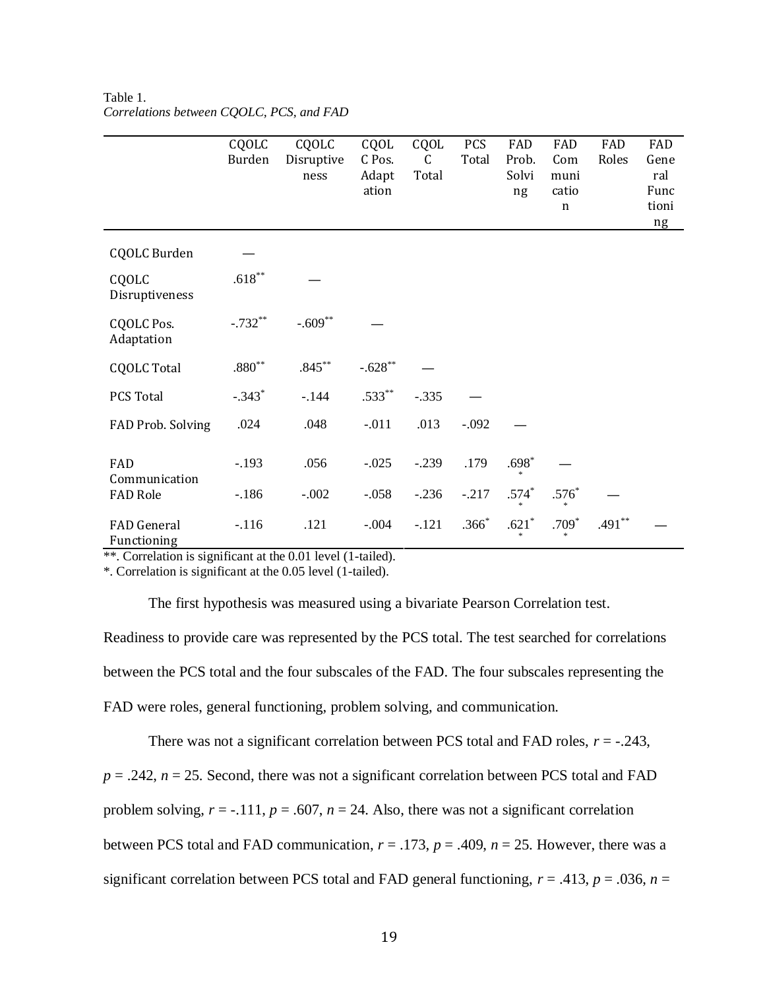|                                   | CQOLC<br>Burden   | CQOLC<br>Disruptive<br>ness | CQOL<br>C Pos.<br>Adapt<br>ation | CQOL<br>C<br>Total | <b>PCS</b><br>Total | FAD<br>Prob.<br>Solvi<br>ng | FAD<br>Com<br>muni<br>catio<br>$\mathbf n$ | FAD<br>Roles | FAD<br>Gene<br>ral<br>Func<br>tioni<br>ng |
|-----------------------------------|-------------------|-----------------------------|----------------------------------|--------------------|---------------------|-----------------------------|--------------------------------------------|--------------|-------------------------------------------|
| <b>CQOLC Burden</b>               |                   |                             |                                  |                    |                     |                             |                                            |              |                                           |
| CQOLC<br>Disruptiveness           | $.618^{\ast\ast}$ |                             |                                  |                    |                     |                             |                                            |              |                                           |
| <b>CQOLC Pos.</b><br>Adaptation   | $-.732**$         | $-.609**$                   |                                  |                    |                     |                             |                                            |              |                                           |
| <b>CQOLC Total</b>                | $.880^{\ast\ast}$ | $.845***$                   | $-.628^{**}$                     |                    |                     |                             |                                            |              |                                           |
| PCS Total                         | $-.343*$          | $-144$                      | $.533***$                        | $-.335$            |                     |                             |                                            |              |                                           |
| FAD Prob. Solving                 | .024              | .048                        | $-.011$                          | .013               | $-.092$             |                             |                                            |              |                                           |
| FAD<br>Communication              | $-.193$           | .056                        | $-.025$                          | $-.239$            | .179                | $.698*$                     |                                            |              |                                           |
| <b>FAD Role</b>                   | $-.186$           | $-.002$                     | $-.058$                          | $-.236$            | $-.217$             | $.574*$                     | $.576*$                                    |              |                                           |
| <b>FAD</b> General<br>Functioning | $-.116$           | .121                        | $-.004$                          | $-.121$            | $.366*$             | $.621^{\ast}$               | $.709*$                                    | $.491**$     |                                           |

Table 1. *Correlations between CQOLC, PCS, and FAD*

\*\*. Correlation is significant at the 0.01 level (1-tailed).

\*. Correlation is significant at the 0.05 level (1-tailed).

The first hypothesis was measured using a bivariate Pearson Correlation test.

Readiness to provide care was represented by the PCS total. The test searched for correlations between the PCS total and the four subscales of the FAD. The four subscales representing the FAD were roles, general functioning, problem solving, and communication.

There was not a significant correlation between PCS total and FAD roles, *r* = -.243,  $p = 0.242$ ,  $n = 25$ . Second, there was not a significant correlation between PCS total and FAD problem solving,  $r = -.111$ ,  $p = .607$ ,  $n = 24$ . Also, there was not a significant correlation between PCS total and FAD communication,  $r = .173$ ,  $p = .409$ ,  $n = 25$ . However, there was a significant correlation between PCS total and FAD general functioning,  $r = .413$ ,  $p = .036$ ,  $n =$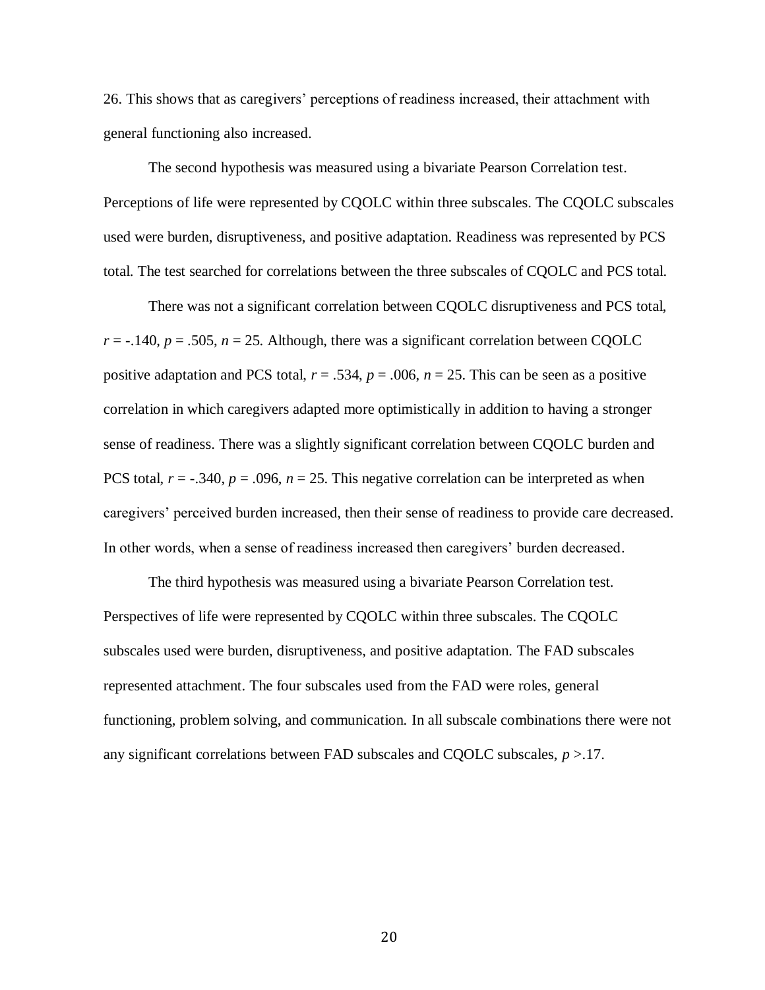26. This shows that as caregivers' perceptions of readiness increased, their attachment with general functioning also increased.

The second hypothesis was measured using a bivariate Pearson Correlation test. Perceptions of life were represented by CQOLC within three subscales. The CQOLC subscales used were burden, disruptiveness, and positive adaptation. Readiness was represented by PCS total. The test searched for correlations between the three subscales of CQOLC and PCS total.

There was not a significant correlation between CQOLC disruptiveness and PCS total,  $r = -.140$ ,  $p = .505$ ,  $n = 25$ . Although, there was a significant correlation between CQOLC positive adaptation and PCS total,  $r = .534$ ,  $p = .006$ ,  $n = 25$ . This can be seen as a positive correlation in which caregivers adapted more optimistically in addition to having a stronger sense of readiness. There was a slightly significant correlation between CQOLC burden and PCS total,  $r = -.340$ ,  $p = .096$ ,  $n = 25$ . This negative correlation can be interpreted as when caregivers' perceived burden increased, then their sense of readiness to provide care decreased. In other words, when a sense of readiness increased then caregivers' burden decreased.

The third hypothesis was measured using a bivariate Pearson Correlation test. Perspectives of life were represented by CQOLC within three subscales. The CQOLC subscales used were burden, disruptiveness, and positive adaptation. The FAD subscales represented attachment. The four subscales used from the FAD were roles, general functioning, problem solving, and communication. In all subscale combinations there were not any significant correlations between FAD subscales and CQOLC subscales, *p* >.17.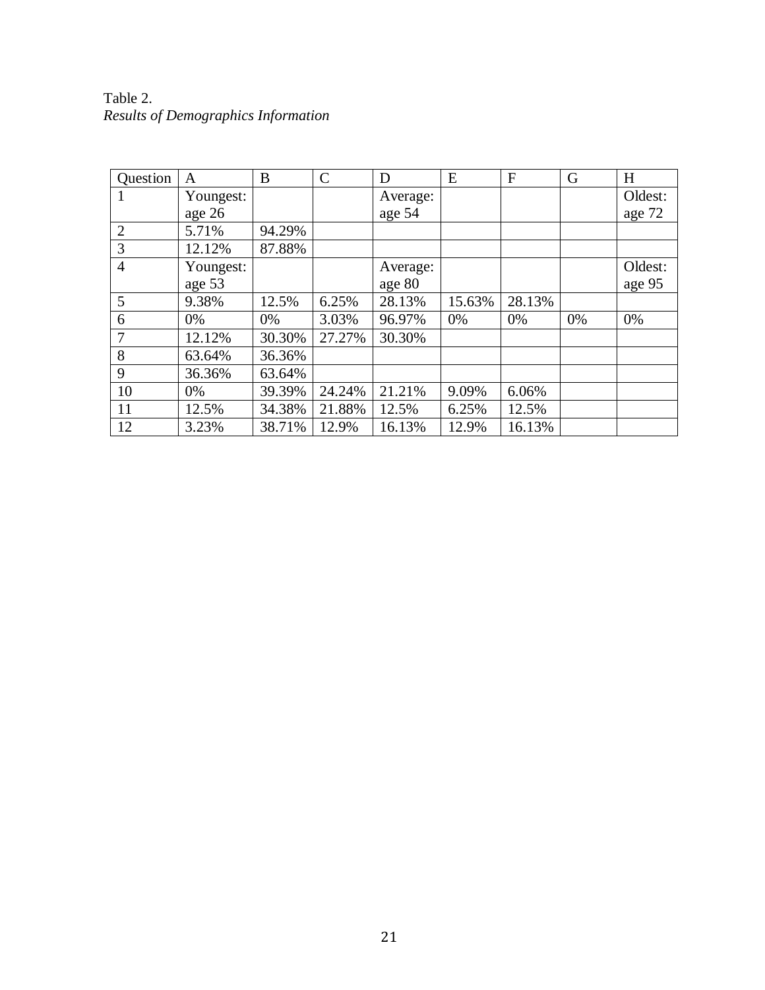| Table 2.                                   |  |
|--------------------------------------------|--|
| <b>Results of Demographics Information</b> |  |

| Question       | A         | B      | $\mathsf{C}$ | D        | E      | F      | G  | H       |
|----------------|-----------|--------|--------------|----------|--------|--------|----|---------|
| $\mathbf{I}$   | Youngest: |        |              | Average: |        |        |    | Oldest: |
|                | age 26    |        |              | age 54   |        |        |    | age 72  |
| $\overline{2}$ | 5.71%     | 94.29% |              |          |        |        |    |         |
| 3              | 12.12%    | 87.88% |              |          |        |        |    |         |
| $\overline{4}$ | Youngest: |        |              | Average: |        |        |    | Oldest: |
|                | age 53    |        |              | age 80   |        |        |    | age 95  |
| 5              | 9.38%     | 12.5%  | 6.25%        | 28.13%   | 15.63% | 28.13% |    |         |
| 6              | 0%        | 0%     | 3.03%        | 96.97%   | 0%     | 0%     | 0% | 0%      |
| 7              | 12.12%    | 30.30% | 27.27%       | 30.30%   |        |        |    |         |
| 8              | 63.64%    | 36.36% |              |          |        |        |    |         |
| 9              | 36.36%    | 63.64% |              |          |        |        |    |         |
| 10             | 0%        | 39.39% | 24.24%       | 21.21%   | 9.09%  | 6.06%  |    |         |
| 11             | 12.5%     | 34.38% | 21.88%       | 12.5%    | 6.25%  | 12.5%  |    |         |
| 12             | 3.23%     | 38.71% | 12.9%        | 16.13%   | 12.9%  | 16.13% |    |         |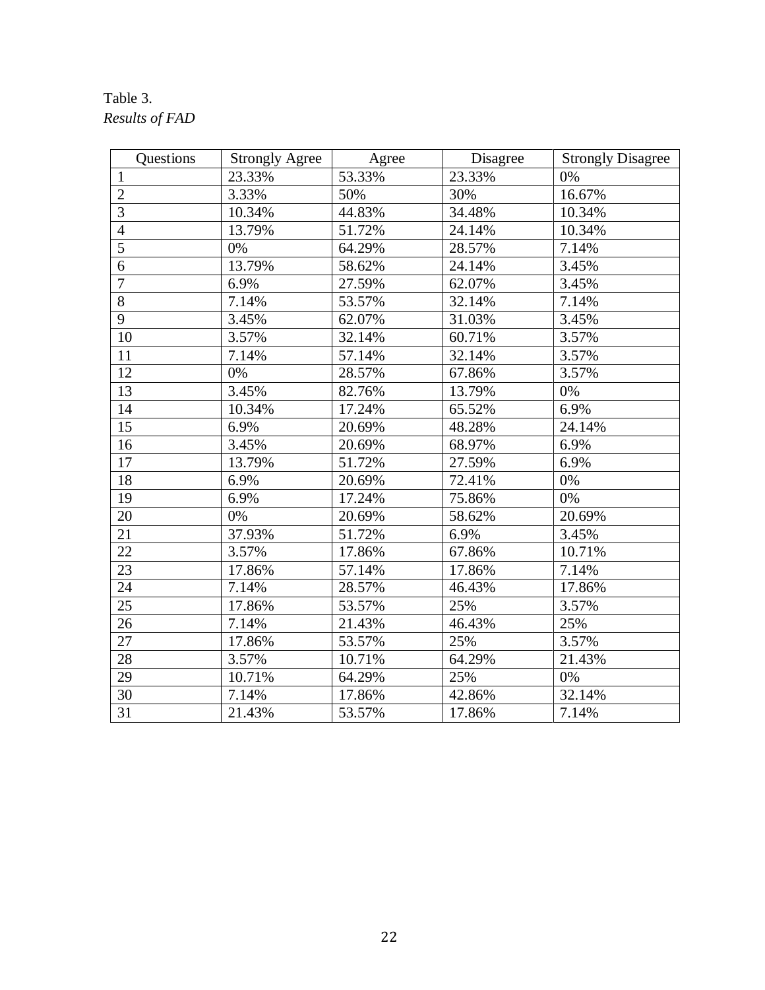## Table 3. *Results of FAD*

| <b>Questions</b> | <b>Strongly Agree</b> | Agree  | Disagree | <b>Strongly Disagree</b> |
|------------------|-----------------------|--------|----------|--------------------------|
| $\mathbf{1}$     | 23.33%                | 53.33% | 23.33%   | 0%                       |
| $\mathbf{2}$     | 3.33%                 | 50%    | 30%      | 16.67%                   |
| $\overline{3}$   | 10.34%                | 44.83% | 34.48%   | 10.34%                   |
| $\overline{4}$   | 13.79%                | 51.72% | 24.14%   | 10.34%                   |
| $\overline{5}$   | 0%                    | 64.29% | 28.57%   | 7.14%                    |
| $\overline{6}$   | 13.79%                | 58.62% | 24.14%   | 3.45%                    |
| $\overline{7}$   | 6.9%                  | 27.59% | 62.07%   | 3.45%                    |
| $\overline{8}$   | 7.14%                 | 53.57% | 32.14%   | 7.14%                    |
| 9                | 3.45%                 | 62.07% | 31.03%   | 3.45%                    |
| 10               | 3.57%                 | 32.14% | 60.71%   | 3.57%                    |
| 11               | 7.14%                 | 57.14% | 32.14%   | 3.57%                    |
| 12               | 0%                    | 28.57% | 67.86%   | 3.57%                    |
| 13               | 3.45%                 | 82.76% | 13.79%   | 0%                       |
| 14               | 10.34%                | 17.24% | 65.52%   | 6.9%                     |
| 15               | 6.9%                  | 20.69% | 48.28%   | 24.14%                   |
| 16               | 3.45%                 | 20.69% | 68.97%   | 6.9%                     |
| 17               | 13.79%                | 51.72% | 27.59%   | 6.9%                     |
| 18               | 6.9%                  | 20.69% | 72.41%   | 0%                       |
| 19               | 6.9%                  | 17.24% | 75.86%   | 0%                       |
| 20               | 0%                    | 20.69% | 58.62%   | 20.69%                   |
| 21               | 37.93%                | 51.72% | 6.9%     | 3.45%                    |
| 22               | 3.57%                 | 17.86% | 67.86%   | 10.71%                   |
| 23               | 17.86%                | 57.14% | 17.86%   | 7.14%                    |
| 24               | 7.14%                 | 28.57% | 46.43%   | 17.86%                   |
| $\overline{25}$  | 17.86%                | 53.57% | 25%      | 3.57%                    |
| 26               | 7.14%                 | 21.43% | 46.43%   | 25%                      |
| 27               | 17.86%                | 53.57% | 25%      | 3.57%                    |
| 28               | 3.57%                 | 10.71% | 64.29%   | 21.43%                   |
| 29               | 10.71%                | 64.29% | 25%      | 0%                       |
| 30               | 7.14%                 | 17.86% | 42.86%   | 32.14%                   |
| $\overline{31}$  | 21.43%                | 53.57% | 17.86%   | 7.14%                    |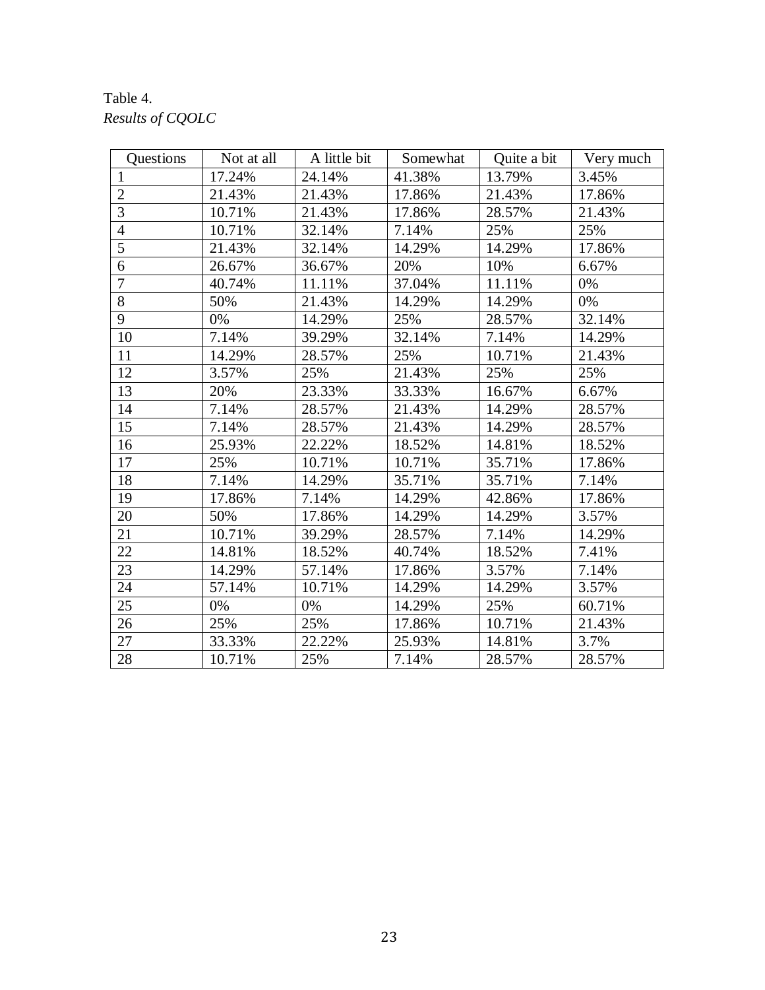## Table 4. *Results of CQOLC*

| Questions      | Not at all | A little bit | Somewhat | Ouite a bit | Very much |
|----------------|------------|--------------|----------|-------------|-----------|
| $\mathbf{1}$   | 17.24%     | 24.14%       | 41.38%   | 13.79%      | 3.45%     |
| $\overline{2}$ | 21.43%     | 21.43%       | 17.86%   | 21.43%      | 17.86%    |
| 3              | 10.71%     | 21.43%       | 17.86%   | 28.57%      | 21.43%    |
| $\overline{4}$ | 10.71%     | 32.14%       | 7.14%    | 25%         | 25%       |
| 5              | 21.43%     | 32.14%       | 14.29%   | 14.29%      | 17.86%    |
| 6              | 26.67%     | 36.67%       | 20%      | 10%         | 6.67%     |
| $\overline{7}$ | 40.74%     | 11.11%       | 37.04%   | 11.11%      | 0%        |
| $\overline{8}$ | 50%        | 21.43%       | 14.29%   | 14.29%      | 0%        |
| 9              | 0%         | 14.29%       | 25%      | 28.57%      | 32.14%    |
| 10             | 7.14%      | 39.29%       | 32.14%   | 7.14%       | 14.29%    |
| 11             | 14.29%     | 28.57%       | 25%      | 10.71%      | 21.43%    |
| 12             | 3.57%      | 25%          | 21.43%   | 25%         | 25%       |
| 13             | 20%        | 23.33%       | 33.33%   | 16.67%      | 6.67%     |
| 14             | 7.14%      | 28.57%       | 21.43%   | 14.29%      | 28.57%    |
| 15             | 7.14%      | 28.57%       | 21.43%   | 14.29%      | 28.57%    |
| 16             | 25.93%     | 22.22%       | 18.52%   | 14.81%      | 18.52%    |
| 17             | 25%        | 10.71%       | 10.71%   | 35.71%      | 17.86%    |
| 18             | 7.14%      | 14.29%       | 35.71%   | 35.71%      | 7.14%     |
| 19             | 17.86%     | 7.14%        | 14.29%   | 42.86%      | 17.86%    |
| 20             | 50%        | 17.86%       | 14.29%   | 14.29%      | 3.57%     |
| 21             | 10.71%     | 39.29%       | 28.57%   | 7.14%       | 14.29%    |
| 22             | 14.81%     | 18.52%       | 40.74%   | 18.52%      | 7.41%     |
| 23             | 14.29%     | 57.14%       | 17.86%   | 3.57%       | 7.14%     |
| 24             | 57.14%     | 10.71%       | 14.29%   | 14.29%      | 3.57%     |
| 25             | 0%         | 0%           | 14.29%   | 25%         | 60.71%    |
| 26             | 25%        | 25%          | 17.86%   | 10.71%      | 21.43%    |
| 27             | 33.33%     | 22.22%       | 25.93%   | 14.81%      | 3.7%      |
| 28             | 10.71%     | 25%          | 7.14%    | 28.57%      | 28.57%    |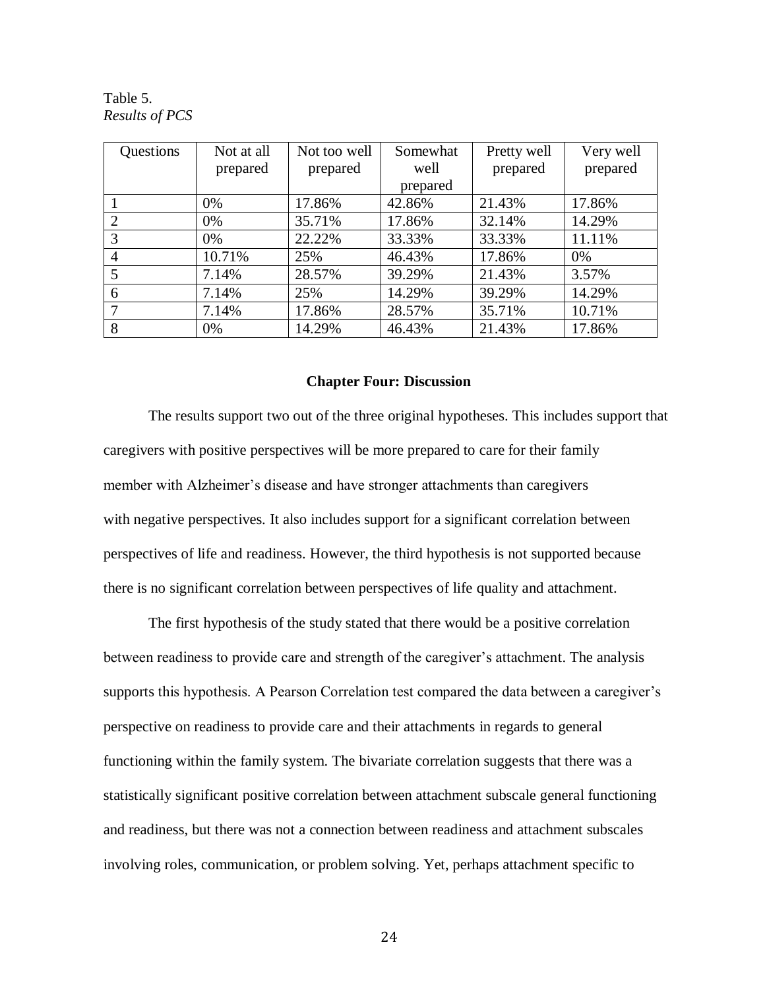Table 5. *Results of PCS*

| Questions      | Not at all | Not too well | Somewhat | Pretty well | Very well |
|----------------|------------|--------------|----------|-------------|-----------|
|                | prepared   | prepared     | well     | prepared    | prepared  |
|                |            |              | prepared |             |           |
|                | 0%         | 17.86%       | 42.86%   | 21.43%      | 17.86%    |
| 2              | $0\%$      | 35.71%       | 17.86%   | 32.14%      | 14.29%    |
| 3              | 0%         | 22.22%       | 33.33%   | 33.33%      | 11.11%    |
| $\overline{4}$ | 10.71%     | 25%          | 46.43%   | 17.86%      | $0\%$     |
| 5              | 7.14%      | 28.57%       | 39.29%   | 21.43%      | 3.57%     |
| 6              | 7.14%      | 25%          | 14.29%   | 39.29%      | 14.29%    |
| 7              | 7.14%      | 17.86%       | 28.57%   | 35.71%      | 10.71%    |
| 8              | 0%         | 14.29%       | 46.43%   | 21.43%      | 17.86%    |

### **Chapter Four: Discussion**

The results support two out of the three original hypotheses. This includes support that caregivers with positive perspectives will be more prepared to care for their family member with Alzheimer's disease and have stronger attachments than caregivers with negative perspectives. It also includes support for a significant correlation between perspectives of life and readiness. However, the third hypothesis is not supported because there is no significant correlation between perspectives of life quality and attachment.

The first hypothesis of the study stated that there would be a positive correlation between readiness to provide care and strength of the caregiver's attachment. The analysis supports this hypothesis. A Pearson Correlation test compared the data between a caregiver's perspective on readiness to provide care and their attachments in regards to general functioning within the family system. The bivariate correlation suggests that there was a statistically significant positive correlation between attachment subscale general functioning and readiness, but there was not a connection between readiness and attachment subscales involving roles, communication, or problem solving. Yet, perhaps attachment specific to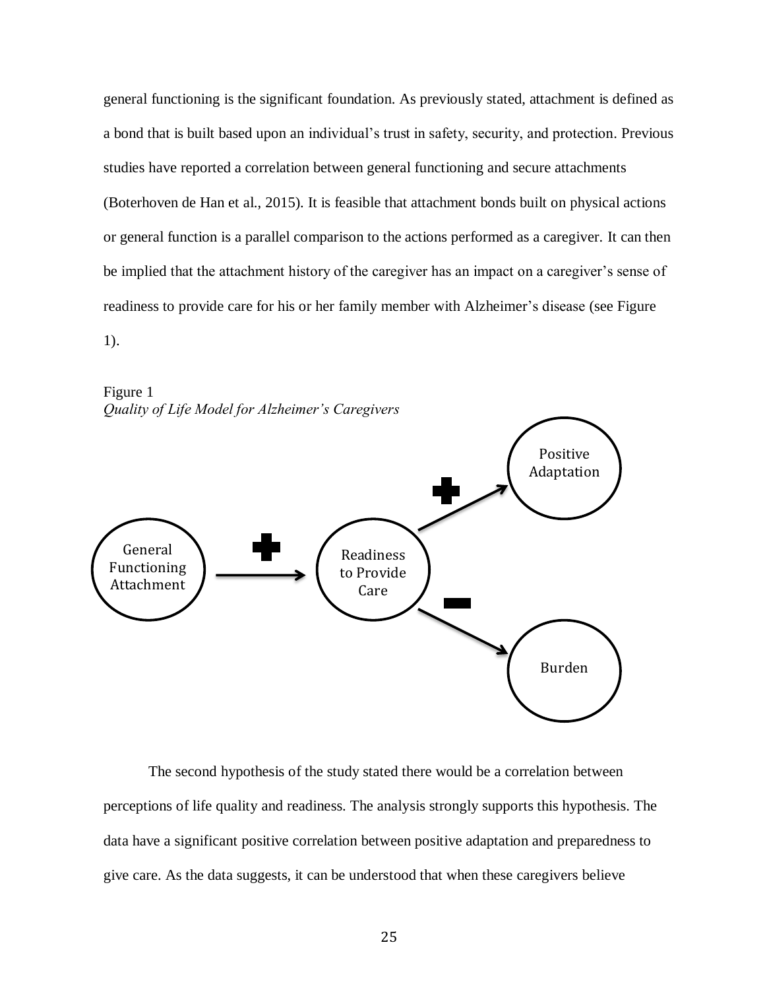general functioning is the significant foundation. As previously stated, attachment is defined as a bond that is built based upon an individual's trust in safety, security, and protection. Previous studies have reported a correlation between general functioning and secure attachments (Boterhoven de Han et al., 2015). It is feasible that attachment bonds built on physical actions or general function is a parallel comparison to the actions performed as a caregiver. It can then be implied that the attachment history of the caregiver has an impact on a caregiver's sense of readiness to provide care for his or her family member with Alzheimer's disease (see Figure

1).



The second hypothesis of the study stated there would be a correlation between perceptions of life quality and readiness. The analysis strongly supports this hypothesis. The data have a significant positive correlation between positive adaptation and preparedness to give care. As the data suggests, it can be understood that when these caregivers believe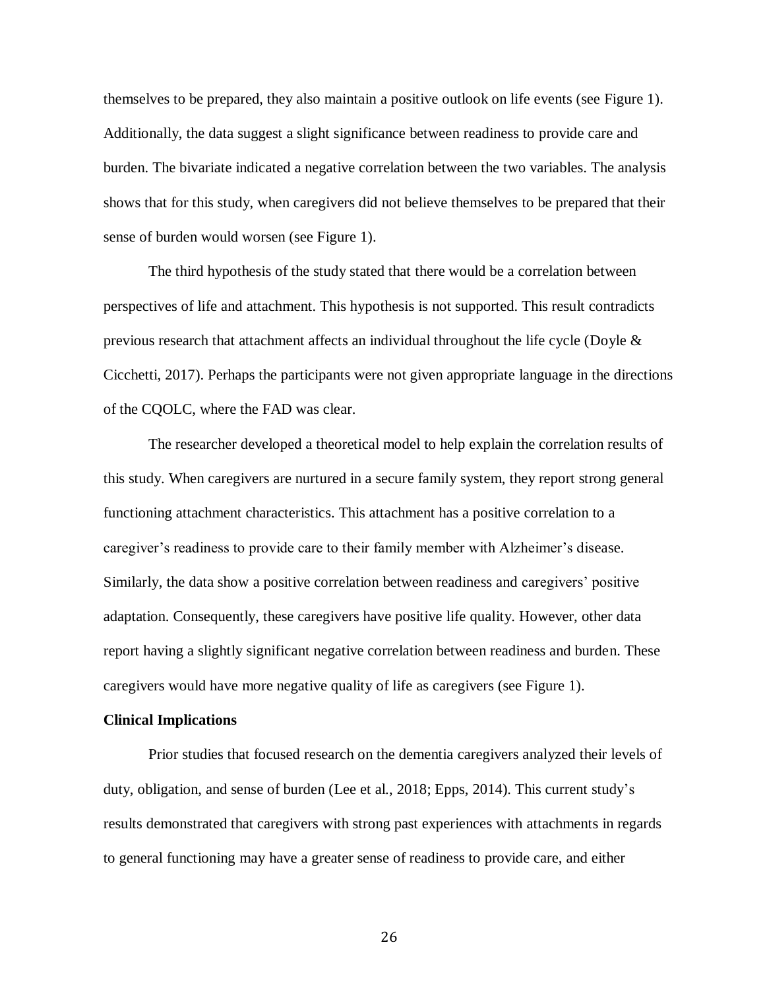themselves to be prepared, they also maintain a positive outlook on life events (see Figure 1). Additionally, the data suggest a slight significance between readiness to provide care and burden. The bivariate indicated a negative correlation between the two variables. The analysis shows that for this study, when caregivers did not believe themselves to be prepared that their sense of burden would worsen (see Figure 1).

The third hypothesis of the study stated that there would be a correlation between perspectives of life and attachment. This hypothesis is not supported. This result contradicts previous research that attachment affects an individual throughout the life cycle (Doyle  $\&$ Cicchetti, 2017). Perhaps the participants were not given appropriate language in the directions of the CQOLC, where the FAD was clear.

The researcher developed a theoretical model to help explain the correlation results of this study. When caregivers are nurtured in a secure family system, they report strong general functioning attachment characteristics. This attachment has a positive correlation to a caregiver's readiness to provide care to their family member with Alzheimer's disease. Similarly, the data show a positive correlation between readiness and caregivers' positive adaptation. Consequently, these caregivers have positive life quality. However, other data report having a slightly significant negative correlation between readiness and burden. These caregivers would have more negative quality of life as caregivers (see Figure 1).

### **Clinical Implications**

Prior studies that focused research on the dementia caregivers analyzed their levels of duty, obligation, and sense of burden (Lee et al., 2018; Epps, 2014). This current study's results demonstrated that caregivers with strong past experiences with attachments in regards to general functioning may have a greater sense of readiness to provide care, and either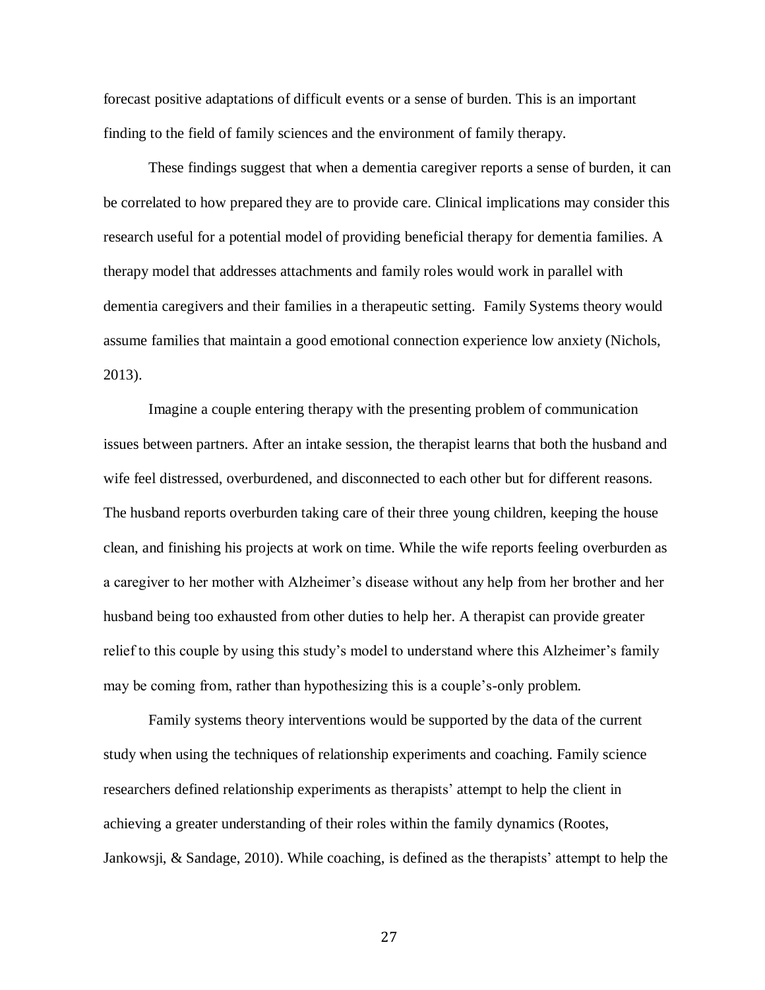forecast positive adaptations of difficult events or a sense of burden. This is an important finding to the field of family sciences and the environment of family therapy.

These findings suggest that when a dementia caregiver reports a sense of burden, it can be correlated to how prepared they are to provide care. Clinical implications may consider this research useful for a potential model of providing beneficial therapy for dementia families. A therapy model that addresses attachments and family roles would work in parallel with dementia caregivers and their families in a therapeutic setting. Family Systems theory would assume families that maintain a good emotional connection experience low anxiety (Nichols, 2013).

Imagine a couple entering therapy with the presenting problem of communication issues between partners. After an intake session, the therapist learns that both the husband and wife feel distressed, overburdened, and disconnected to each other but for different reasons. The husband reports overburden taking care of their three young children, keeping the house clean, and finishing his projects at work on time. While the wife reports feeling overburden as a caregiver to her mother with Alzheimer's disease without any help from her brother and her husband being too exhausted from other duties to help her. A therapist can provide greater relief to this couple by using this study's model to understand where this Alzheimer's family may be coming from, rather than hypothesizing this is a couple's-only problem.

Family systems theory interventions would be supported by the data of the current study when using the techniques of relationship experiments and coaching. Family science researchers defined relationship experiments as therapists' attempt to help the client in achieving a greater understanding of their roles within the family dynamics (Rootes, Jankowsji, & Sandage, 2010). While coaching, is defined as the therapists' attempt to help the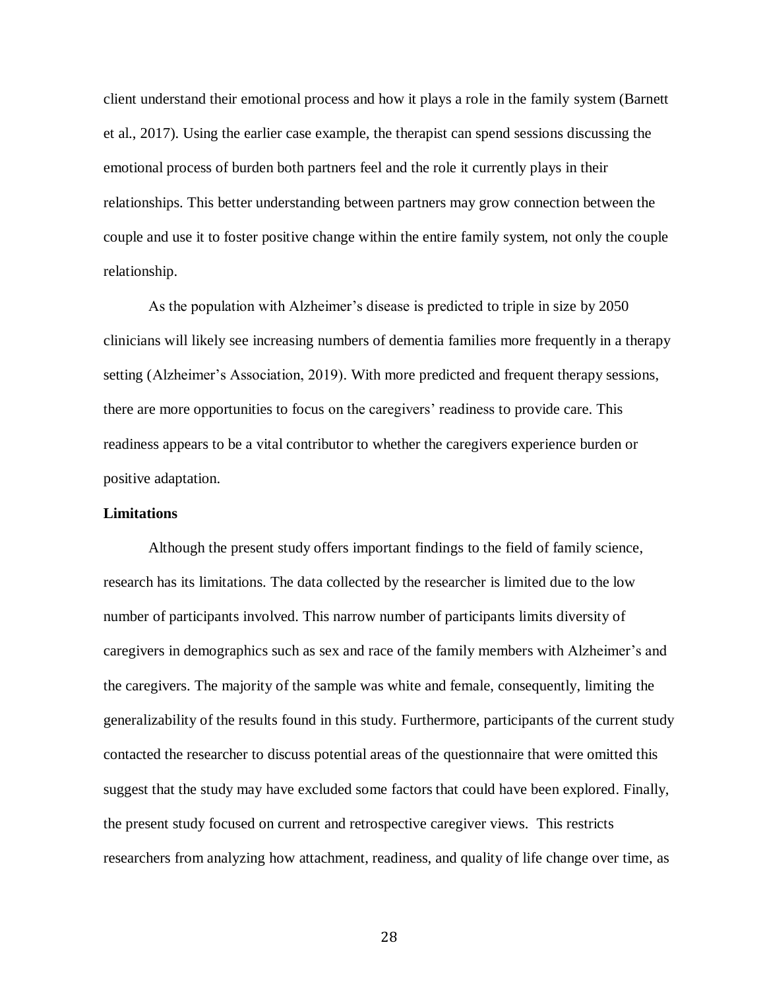client understand their emotional process and how it plays a role in the family system (Barnett et al., 2017). Using the earlier case example, the therapist can spend sessions discussing the emotional process of burden both partners feel and the role it currently plays in their relationships. This better understanding between partners may grow connection between the couple and use it to foster positive change within the entire family system, not only the couple relationship.

As the population with Alzheimer's disease is predicted to triple in size by 2050 clinicians will likely see increasing numbers of dementia families more frequently in a therapy setting (Alzheimer's Association, 2019). With more predicted and frequent therapy sessions, there are more opportunities to focus on the caregivers' readiness to provide care. This readiness appears to be a vital contributor to whether the caregivers experience burden or positive adaptation.

#### **Limitations**

Although the present study offers important findings to the field of family science, research has its limitations. The data collected by the researcher is limited due to the low number of participants involved. This narrow number of participants limits diversity of caregivers in demographics such as sex and race of the family members with Alzheimer's and the caregivers. The majority of the sample was white and female, consequently, limiting the generalizability of the results found in this study. Furthermore, participants of the current study contacted the researcher to discuss potential areas of the questionnaire that were omitted this suggest that the study may have excluded some factors that could have been explored. Finally, the present study focused on current and retrospective caregiver views. This restricts researchers from analyzing how attachment, readiness, and quality of life change over time, as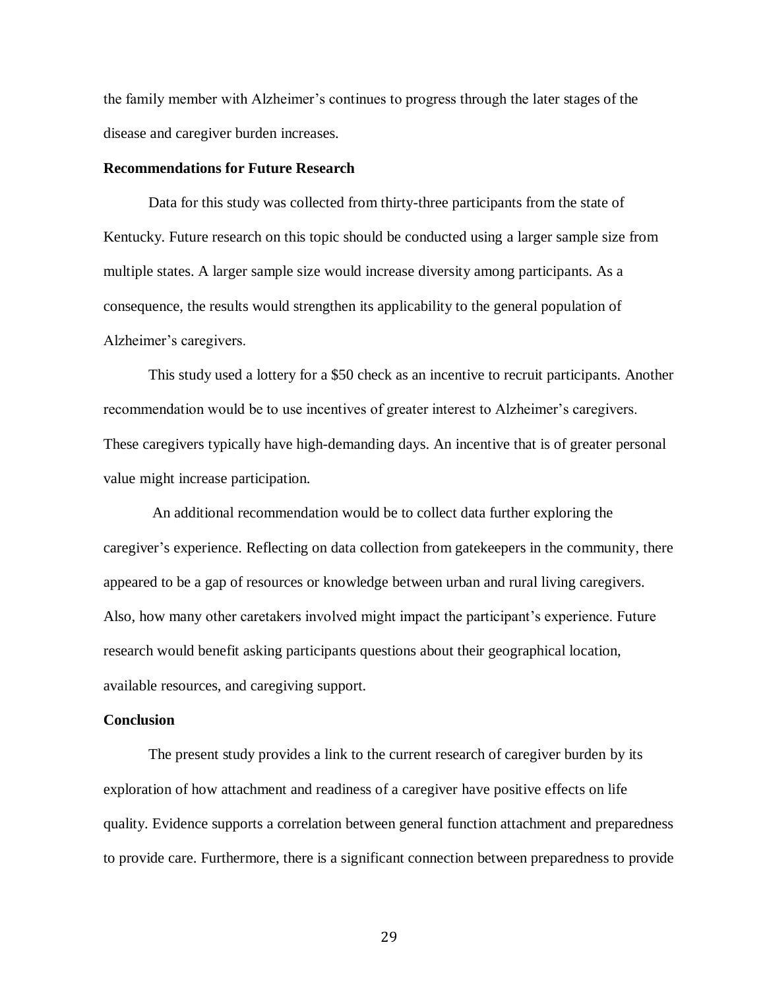the family member with Alzheimer's continues to progress through the later stages of the disease and caregiver burden increases.

### **Recommendations for Future Research**

Data for this study was collected from thirty-three participants from the state of Kentucky. Future research on this topic should be conducted using a larger sample size from multiple states. A larger sample size would increase diversity among participants. As a consequence, the results would strengthen its applicability to the general population of Alzheimer's caregivers.

This study used a lottery for a \$50 check as an incentive to recruit participants. Another recommendation would be to use incentives of greater interest to Alzheimer's caregivers. These caregivers typically have high-demanding days. An incentive that is of greater personal value might increase participation.

An additional recommendation would be to collect data further exploring the caregiver's experience. Reflecting on data collection from gatekeepers in the community, there appeared to be a gap of resources or knowledge between urban and rural living caregivers. Also, how many other caretakers involved might impact the participant's experience. Future research would benefit asking participants questions about their geographical location, available resources, and caregiving support.

### **Conclusion**

The present study provides a link to the current research of caregiver burden by its exploration of how attachment and readiness of a caregiver have positive effects on life quality. Evidence supports a correlation between general function attachment and preparedness to provide care. Furthermore, there is a significant connection between preparedness to provide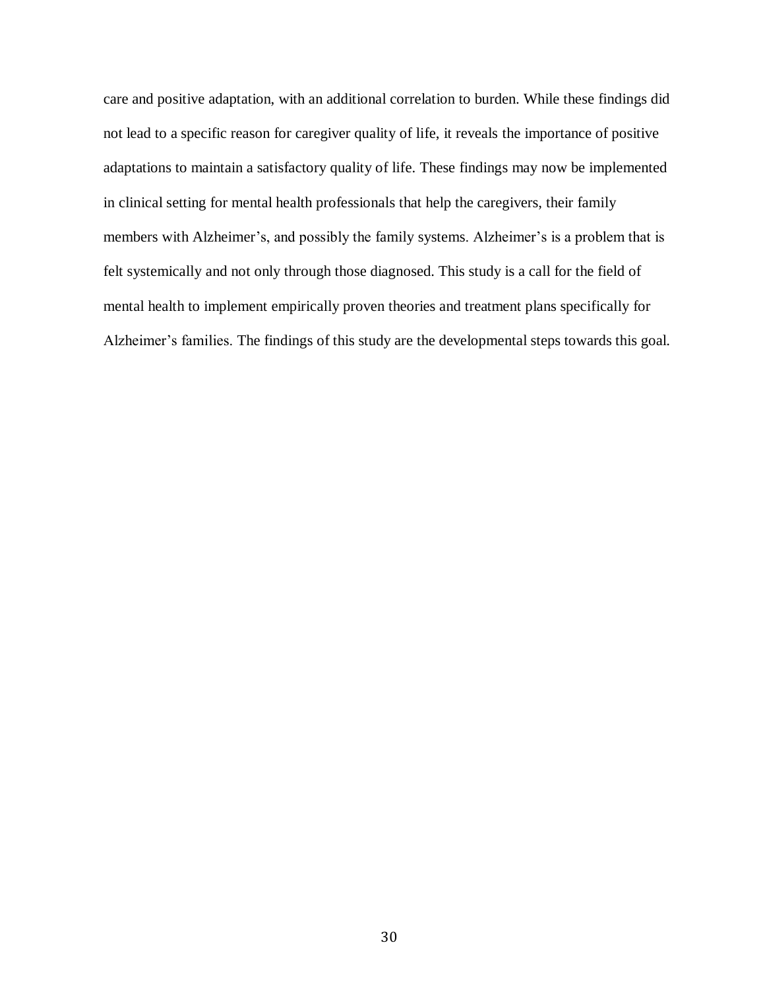care and positive adaptation, with an additional correlation to burden. While these findings did not lead to a specific reason for caregiver quality of life, it reveals the importance of positive adaptations to maintain a satisfactory quality of life. These findings may now be implemented in clinical setting for mental health professionals that help the caregivers, their family members with Alzheimer's, and possibly the family systems. Alzheimer's is a problem that is felt systemically and not only through those diagnosed. This study is a call for the field of mental health to implement empirically proven theories and treatment plans specifically for Alzheimer's families. The findings of this study are the developmental steps towards this goal.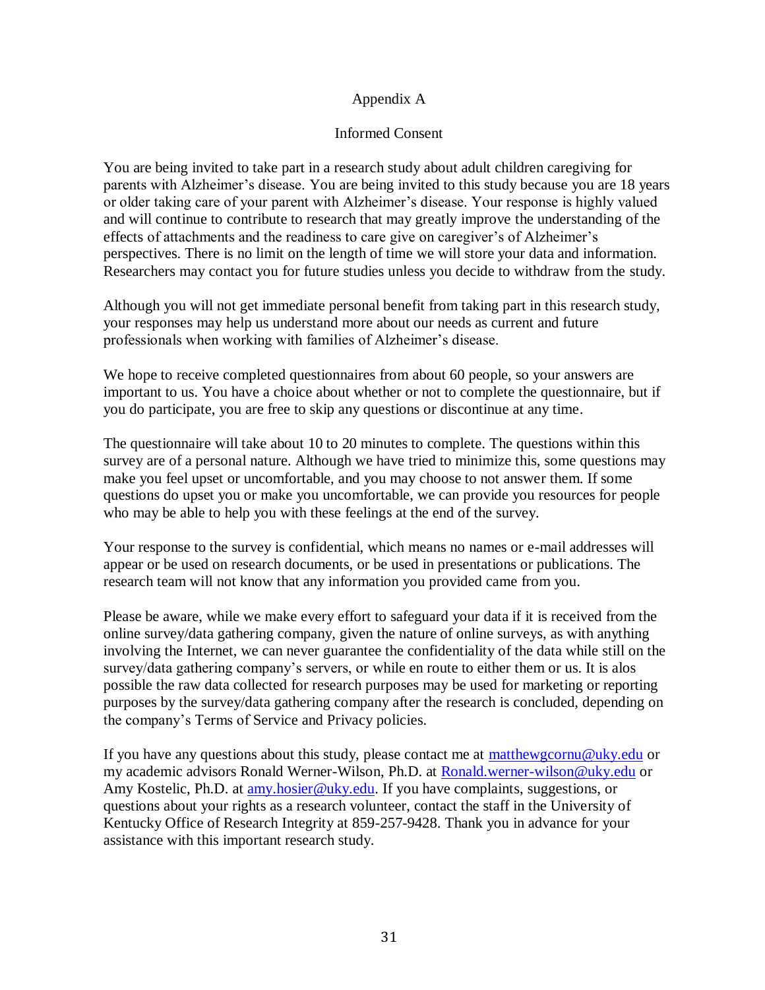## Appendix A

### Informed Consent

You are being invited to take part in a research study about adult children caregiving for parents with Alzheimer's disease. You are being invited to this study because you are 18 years or older taking care of your parent with Alzheimer's disease. Your response is highly valued and will continue to contribute to research that may greatly improve the understanding of the effects of attachments and the readiness to care give on caregiver's of Alzheimer's perspectives. There is no limit on the length of time we will store your data and information. Researchers may contact you for future studies unless you decide to withdraw from the study.

Although you will not get immediate personal benefit from taking part in this research study, your responses may help us understand more about our needs as current and future professionals when working with families of Alzheimer's disease.

We hope to receive completed questionnaires from about 60 people, so your answers are important to us. You have a choice about whether or not to complete the questionnaire, but if you do participate, you are free to skip any questions or discontinue at any time.

The questionnaire will take about 10 to 20 minutes to complete. The questions within this survey are of a personal nature. Although we have tried to minimize this, some questions may make you feel upset or uncomfortable, and you may choose to not answer them. If some questions do upset you or make you uncomfortable, we can provide you resources for people who may be able to help you with these feelings at the end of the survey.

Your response to the survey is confidential, which means no names or e-mail addresses will appear or be used on research documents, or be used in presentations or publications. The research team will not know that any information you provided came from you.

Please be aware, while we make every effort to safeguard your data if it is received from the online survey/data gathering company, given the nature of online surveys, as with anything involving the Internet, we can never guarantee the confidentiality of the data while still on the survey/data gathering company's servers, or while en route to either them or us. It is alos possible the raw data collected for research purposes may be used for marketing or reporting purposes by the survey/data gathering company after the research is concluded, depending on the company's Terms of Service and Privacy policies.

If you have any questions about this study, please contact me at [matthewgcornu@uky.edu](mailto:matthewgcornu@uky.edu) or my academic advisors Ronald Werner-Wilson, Ph.D. at [Ronald.werner-wilson@uky.edu](mailto:Ronald.werner-wilson@uky.edu) or Amy Kostelic, Ph.D. at [amy.hosier@uky.edu.](mailto:amy.hosier@uky.edu) If you have complaints, suggestions, or questions about your rights as a research volunteer, contact the staff in the University of Kentucky Office of Research Integrity at 859-257-9428. Thank you in advance for your assistance with this important research study.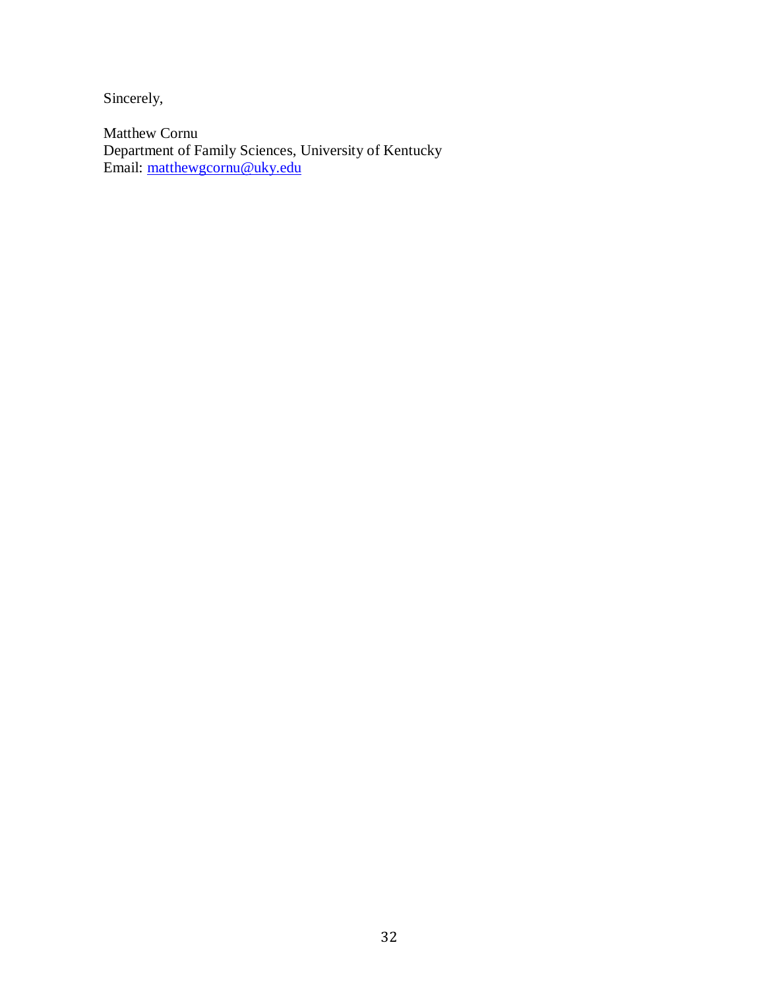Sincerely,

Matthew Cornu Department of Family Sciences, University of Kentucky Email: matthewgcornu@uky.edu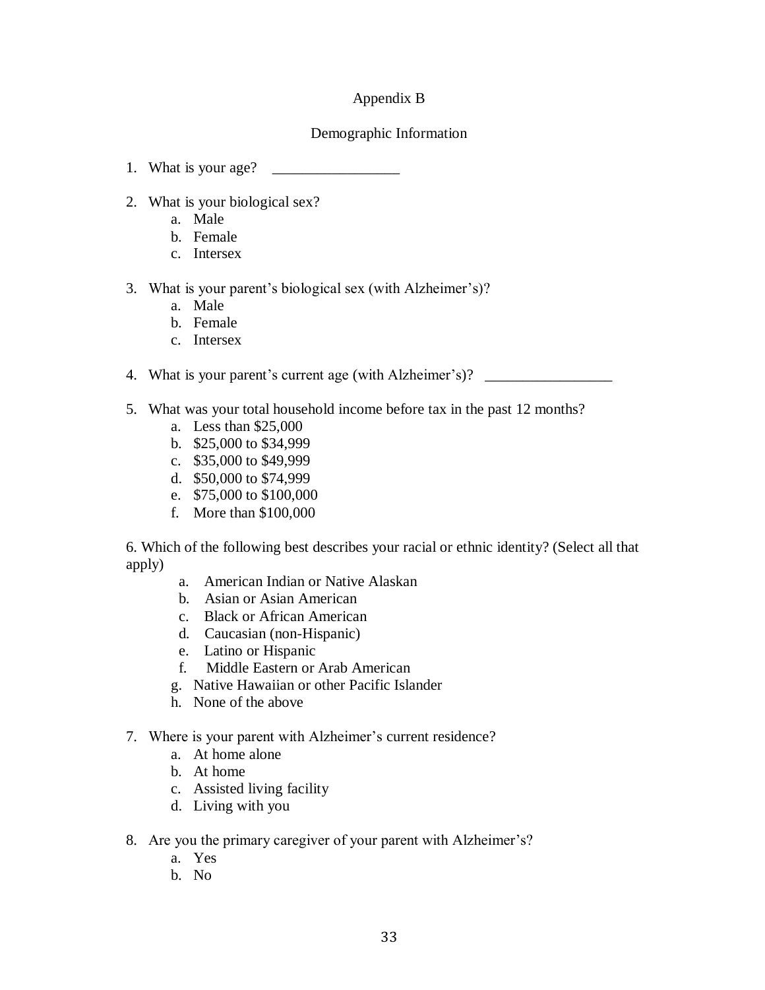## Appendix B

### Demographic Information

- 1. What is your age? \_\_\_\_\_\_\_\_\_\_\_\_\_\_\_\_\_
- 2. What is your biological sex?
	- a. Male
	- b. Female
	- c. Intersex

### 3. What is your parent's biological sex (with Alzheimer's)?

- a. Male
- b. Female
- c. Intersex

4. What is your parent's current age (with Alzheimer's)? \_\_\_\_\_\_\_\_\_\_\_\_\_\_\_\_\_\_\_\_\_\_\_

- 5. What was your total household income before tax in the past 12 months?
	- a. Less than \$25,000
	- b. \$25,000 to \$34,999
	- c. \$35,000 to \$49,999
	- d. \$50,000 to \$74,999
	- e. \$75,000 to \$100,000
	- f. More than \$100,000

6. Which of the following best describes your racial or ethnic identity? (Select all that apply)

- a. American Indian or Native Alaskan
- b. Asian or Asian American
- c. Black or African American
- d. Caucasian (non-Hispanic)
- e. Latino or Hispanic
- f. Middle Eastern or Arab American
- g. Native Hawaiian or other Pacific Islander
- h. None of the above
- 7. Where is your parent with Alzheimer's current residence?
	- a. At home alone
	- b. At home
	- c. Assisted living facility
	- d. Living with you
- 8. Are you the primary caregiver of your parent with Alzheimer's?
	- a. Yes
	- b. No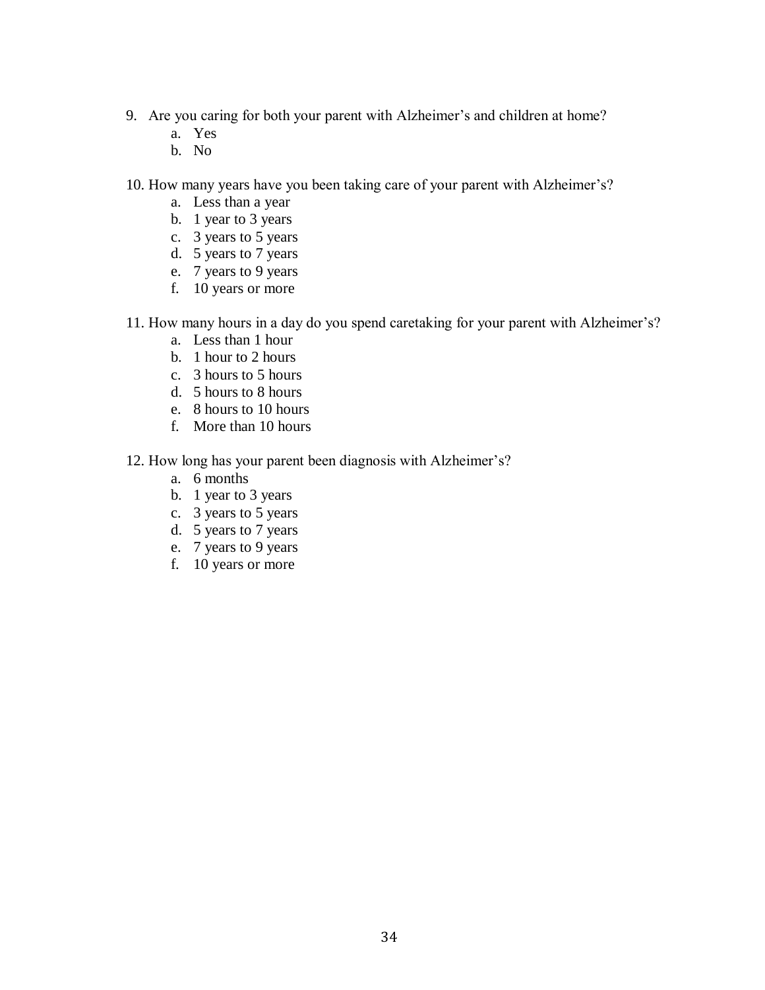- 9. Are you caring for both your parent with Alzheimer's and children at home?
	- a. Yes
	- b. No

10. How many years have you been taking care of your parent with Alzheimer's?

- a. Less than a year
- b. 1 year to 3 years
- c. 3 years to 5 years
- d. 5 years to 7 years
- e. 7 years to 9 years
- f. 10 years or more

11. How many hours in a day do you spend caretaking for your parent with Alzheimer's?

- a. Less than 1 hour
- b. 1 hour to 2 hours
- c. 3 hours to 5 hours
- d. 5 hours to 8 hours
- e. 8 hours to 10 hours
- f. More than 10 hours

12. How long has your parent been diagnosis with Alzheimer's?

- a. 6 months
- b. 1 year to 3 years
- c. 3 years to 5 years
- d. 5 years to 7 years
- e. 7 years to 9 years
- f. 10 years or more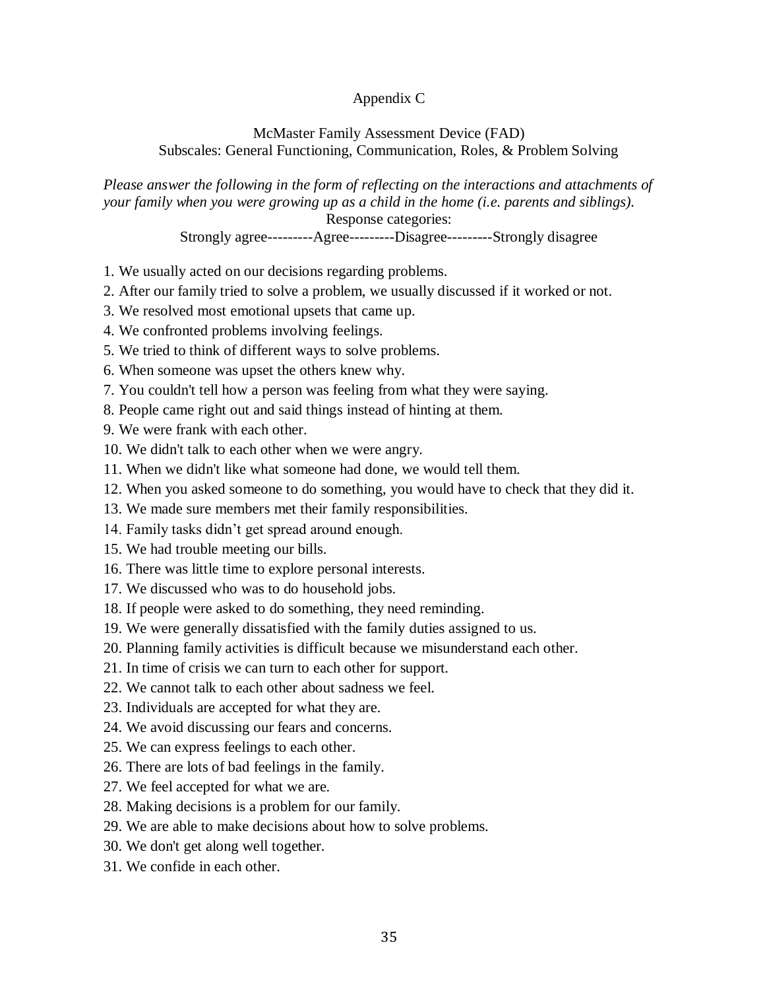## Appendix C

### McMaster Family Assessment Device (FAD) Subscales: General Functioning, Communication, Roles, & Problem Solving

*Please answer the following in the form of reflecting on the interactions and attachments of your family when you were growing up as a child in the home (i.e. parents and siblings).*  Response categories:

Strongly agree---------Agree---------Disagree---------Strongly disagree

- 1. We usually acted on our decisions regarding problems.
- 2. After our family tried to solve a problem, we usually discussed if it worked or not.
- 3. We resolved most emotional upsets that came up.
- 4. We confronted problems involving feelings.
- 5. We tried to think of different ways to solve problems.
- 6. When someone was upset the others knew why.
- 7. You couldn't tell how a person was feeling from what they were saying.
- 8. People came right out and said things instead of hinting at them.
- 9. We were frank with each other.
- 10. We didn't talk to each other when we were angry.
- 11. When we didn't like what someone had done, we would tell them.
- 12. When you asked someone to do something, you would have to check that they did it.
- 13. We made sure members met their family responsibilities.
- 14. Family tasks didn't get spread around enough.
- 15. We had trouble meeting our bills.
- 16. There was little time to explore personal interests.
- 17. We discussed who was to do household jobs.
- 18. If people were asked to do something, they need reminding.
- 19. We were generally dissatisfied with the family duties assigned to us.
- 20. Planning family activities is difficult because we misunderstand each other.
- 21. In time of crisis we can turn to each other for support.
- 22. We cannot talk to each other about sadness we feel.
- 23. Individuals are accepted for what they are.
- 24. We avoid discussing our fears and concerns.
- 25. We can express feelings to each other.
- 26. There are lots of bad feelings in the family.
- 27. We feel accepted for what we are.
- 28. Making decisions is a problem for our family.
- 29. We are able to make decisions about how to solve problems.
- 30. We don't get along well together.
- 31. We confide in each other.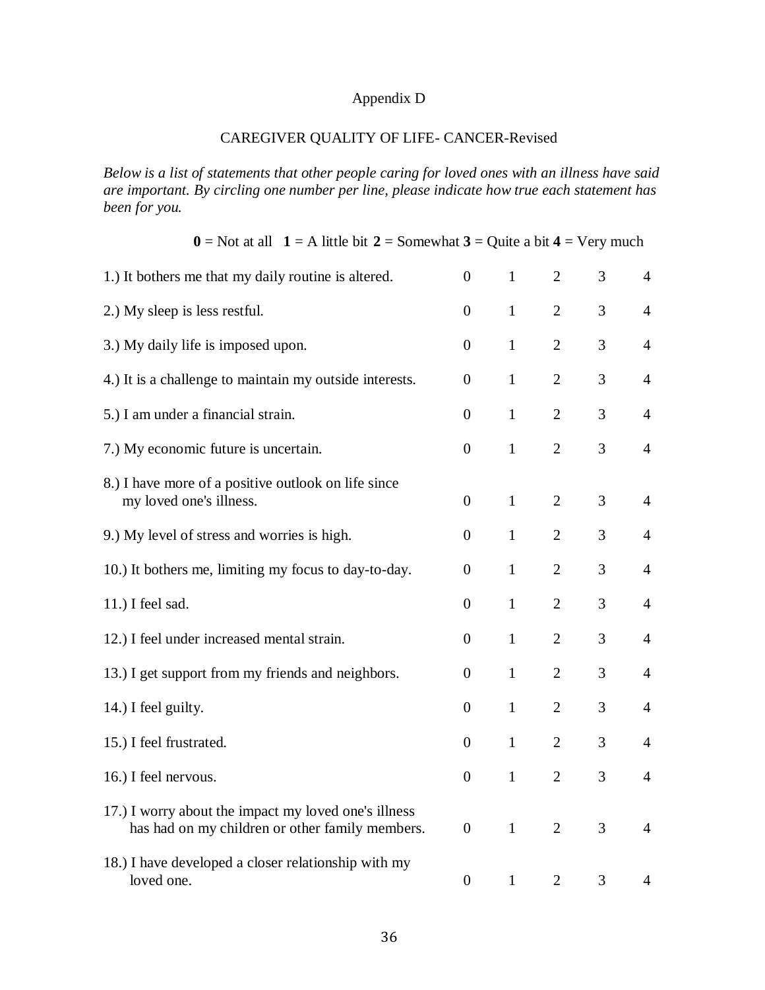## Appendix D

## CAREGIVER QUALITY OF LIFE- CANCER-Revised

*Below is a list of statements that other people caring for loved ones with an illness have said are important. By circling one number per line, please indicate how true each statement has been for you.*

| $0 =$ Not at all $1 =$ A little bit $2 =$ Somewhat $3 =$ Quite a bit $4 =$ Very much                    |                  |              |                |   |                |
|---------------------------------------------------------------------------------------------------------|------------------|--------------|----------------|---|----------------|
| 1.) It bothers me that my daily routine is altered.                                                     | $\boldsymbol{0}$ | $\mathbf{1}$ | $\overline{2}$ | 3 | $\overline{4}$ |
| 2.) My sleep is less restful.                                                                           | $\boldsymbol{0}$ | $\mathbf{1}$ | $\overline{2}$ | 3 | $\overline{4}$ |
| 3.) My daily life is imposed upon.                                                                      | $\overline{0}$   | $\mathbf{1}$ | $\overline{2}$ | 3 | $\overline{4}$ |
| 4.) It is a challenge to maintain my outside interests.                                                 | $\boldsymbol{0}$ | $\mathbf{1}$ | $\overline{2}$ | 3 | $\overline{4}$ |
| 5.) I am under a financial strain.                                                                      | $\boldsymbol{0}$ | $\mathbf{1}$ | $\overline{2}$ | 3 | $\overline{4}$ |
| 7.) My economic future is uncertain.                                                                    | $\boldsymbol{0}$ | $\mathbf{1}$ | $\overline{2}$ | 3 | $\overline{4}$ |
| 8.) I have more of a positive outlook on life since<br>my loved one's illness.                          | $\boldsymbol{0}$ | $\mathbf{1}$ | $\overline{2}$ | 3 | $\overline{4}$ |
| 9.) My level of stress and worries is high.                                                             | $\boldsymbol{0}$ | $\mathbf{1}$ | $\overline{2}$ | 3 | $\overline{4}$ |
| 10.) It bothers me, limiting my focus to day-to-day.                                                    | $\overline{0}$   | $\mathbf{1}$ | $\overline{2}$ | 3 | $\overline{4}$ |
| 11.) I feel sad.                                                                                        | $\boldsymbol{0}$ | $\mathbf{1}$ | $\overline{2}$ | 3 | $\overline{4}$ |
| 12.) I feel under increased mental strain.                                                              | $\boldsymbol{0}$ | $\mathbf{1}$ | $\overline{2}$ | 3 | $\overline{4}$ |
| 13.) I get support from my friends and neighbors.                                                       | $\boldsymbol{0}$ | $\mathbf{1}$ | $\overline{2}$ | 3 | $\overline{4}$ |
| 14.) I feel guilty.                                                                                     | $\boldsymbol{0}$ | $\mathbf{1}$ | $\overline{2}$ | 3 | $\overline{4}$ |
| 15.) I feel frustrated.                                                                                 | $\boldsymbol{0}$ | $\mathbf{1}$ | $\overline{2}$ | 3 | $\overline{4}$ |
| 16.) I feel nervous.                                                                                    | $\boldsymbol{0}$ | $\mathbf{1}$ | $\overline{2}$ | 3 | $\overline{4}$ |
| 17.) I worry about the impact my loved one's illness<br>has had on my children or other family members. | $\overline{0}$   | $\mathbf{1}$ | 2              | 3 | 4              |
| 18.) I have developed a closer relationship with my<br>loved one.                                       | $\overline{0}$   | $\mathbf{1}$ | 2              | 3 | 4              |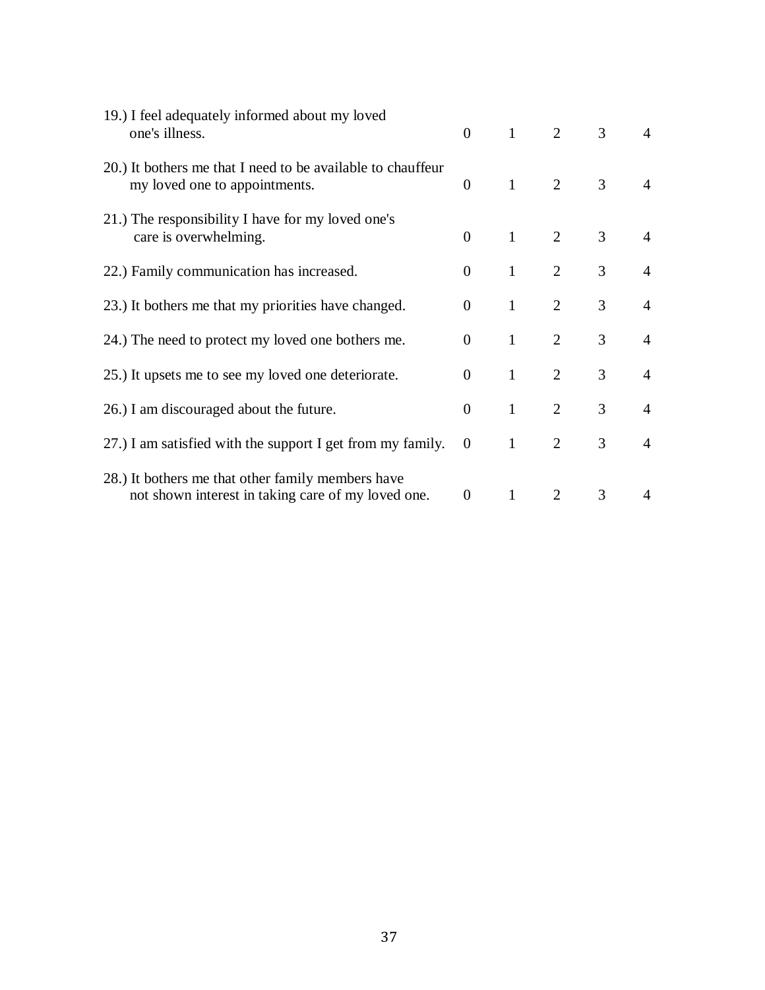| 19.) I feel adequately informed about my loved<br>one's illness.                                        | $\overline{0}$ | $\mathbf{1}$ | $\overline{2}$ | 3              | $\overline{4}$ |
|---------------------------------------------------------------------------------------------------------|----------------|--------------|----------------|----------------|----------------|
| 20.) It bothers me that I need to be available to chauffeur<br>my loved one to appointments.            | $\overline{0}$ | $\mathbf{1}$ | 2              | 3              | $\overline{4}$ |
| 21.) The responsibility I have for my loved one's<br>care is overwhelming.                              | $\overline{0}$ | $\mathbf{1}$ | $\overline{2}$ | 3              | $\overline{4}$ |
| 22.) Family communication has increased.                                                                | $\Omega$       | $\mathbf{1}$ | $\overline{2}$ | 3              | $\overline{4}$ |
| 23.) It bothers me that my priorities have changed.                                                     | $\overline{0}$ | $\mathbf{1}$ | 2              | $\overline{3}$ | $\overline{4}$ |
| 24.) The need to protect my loved one bothers me.                                                       | $\Omega$       | $\mathbf{1}$ | $\overline{2}$ | 3              | $\overline{4}$ |
| 25.) It upsets me to see my loved one deteriorate.                                                      | $\overline{0}$ | $\mathbf{1}$ | 2              | $\overline{3}$ | $\overline{4}$ |
| 26.) I am discouraged about the future.                                                                 | $\theta$       | $\mathbf{1}$ | $\overline{2}$ | 3              | $\overline{4}$ |
| 27.) I am satisfied with the support I get from my family.                                              | $\overline{0}$ | $\mathbf{1}$ | 2              | 3              | $\overline{4}$ |
| 28.) It bothers me that other family members have<br>not shown interest in taking care of my loved one. | $\overline{0}$ | $\mathbf{1}$ | 2              | 3              | 4              |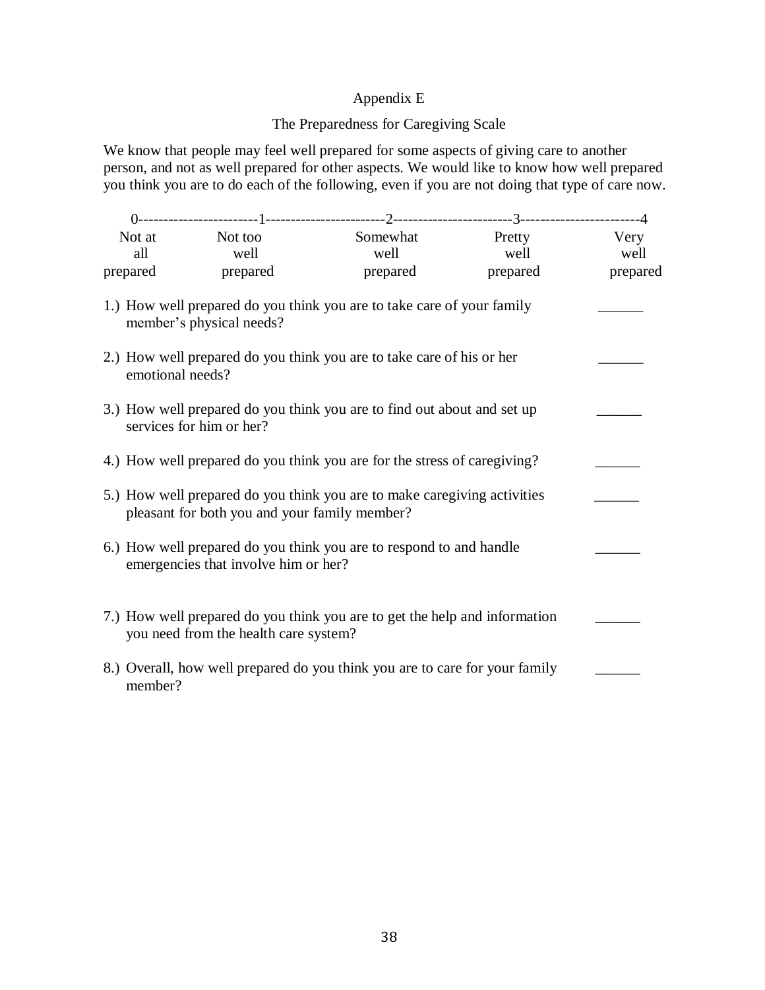## Appendix E

## The Preparedness for Caregiving Scale

We know that people may feel well prepared for some aspects of giving care to another person, and not as well prepared for other aspects. We would like to know how well prepared you think you are to do each of the following, even if you are not doing that type of care now.

| Not at Not too                                                                                                            |                                       |                                                                             | Somewhat Pretty | Very     |
|---------------------------------------------------------------------------------------------------------------------------|---------------------------------------|-----------------------------------------------------------------------------|-----------------|----------|
| all                                                                                                                       | well                                  | well                                                                        | well            | well     |
| prepared                                                                                                                  | prepared                              | prepared                                                                    | prepared        | prepared |
|                                                                                                                           | member's physical needs?              | 1.) How well prepared do you think you are to take care of your family      |                 |          |
| emotional needs?                                                                                                          |                                       | 2.) How well prepared do you think you are to take care of his or her       |                 |          |
| 3.) How well prepared do you think you are to find out about and set up<br>services for him or her?                       |                                       |                                                                             |                 |          |
|                                                                                                                           |                                       | 4.) How well prepared do you think you are for the stress of caregiving?    |                 |          |
| 5.) How well prepared do you think you are to make caregiving activities<br>pleasant for both you and your family member? |                                       |                                                                             |                 |          |
| 6.) How well prepared do you think you are to respond to and handle<br>emergencies that involve him or her?               |                                       |                                                                             |                 |          |
|                                                                                                                           | you need from the health care system? | 7.) How well prepared do you think you are to get the help and information  |                 |          |
| member?                                                                                                                   |                                       | 8.) Overall, how well prepared do you think you are to care for your family |                 |          |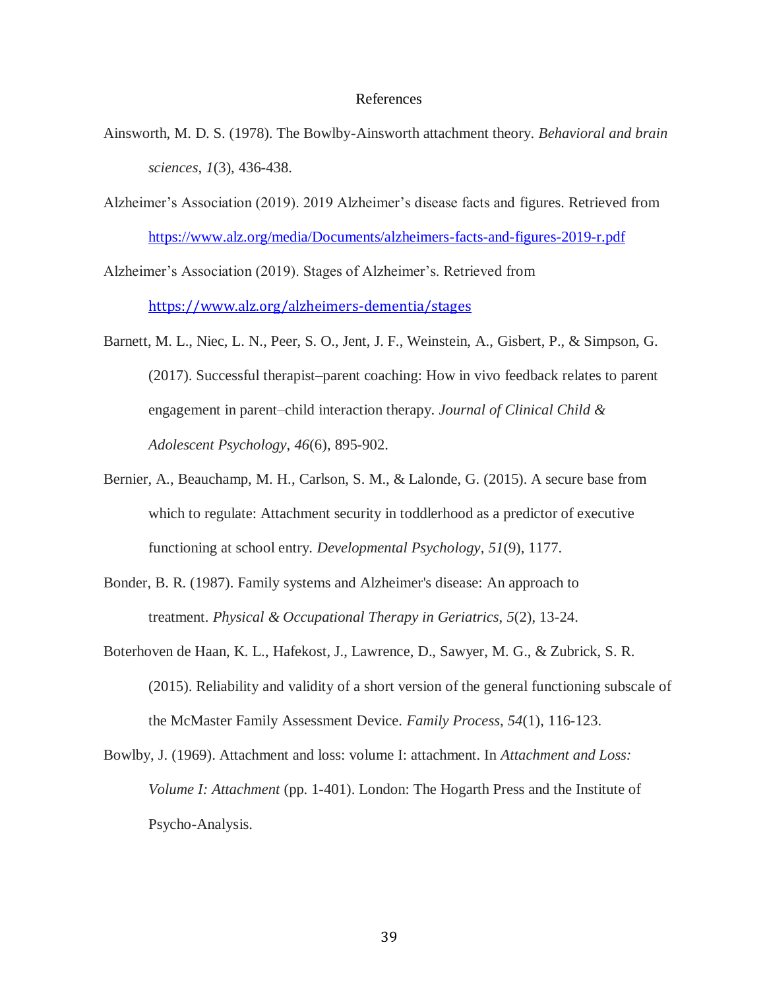### References

- Ainsworth, M. D. S. (1978). The Bowlby-Ainsworth attachment theory. *Behavioral and brain sciences*, *1*(3), 436-438.
- Alzheimer's Association (2019). 2019 Alzheimer's disease facts and figures. Retrieved from <https://www.alz.org/media/Documents/alzheimers-facts-and-figures-2019-r.pdf>

Alzheimer's Association (2019). Stages of Alzheimer's. Retrieved from <https://www.alz.org/alzheimers-dementia/stages>

- Barnett, M. L., Niec, L. N., Peer, S. O., Jent, J. F., Weinstein, A., Gisbert, P., & Simpson, G. (2017). Successful therapist–parent coaching: How in vivo feedback relates to parent engagement in parent–child interaction therapy. *Journal of Clinical Child & Adolescent Psychology*, *46*(6), 895-902.
- Bernier, A., Beauchamp, M. H., Carlson, S. M., & Lalonde, G. (2015). A secure base from which to regulate: Attachment security in toddlerhood as a predictor of executive functioning at school entry. *Developmental Psychology*, *51*(9), 1177.
- Bonder, B. R. (1987). Family systems and Alzheimer's disease: An approach to treatment. *Physical & Occupational Therapy in Geriatrics*, *5*(2), 13-24.
- Boterhoven de Haan, K. L., Hafekost, J., Lawrence, D., Sawyer, M. G., & Zubrick, S. R. (2015). Reliability and validity of a short version of the general functioning subscale of the McMaster Family Assessment Device. *Family Process*, *54*(1), 116-123.
- Bowlby, J. (1969). Attachment and loss: volume I: attachment. In *Attachment and Loss: Volume I: Attachment* (pp. 1-401). London: The Hogarth Press and the Institute of Psycho-Analysis.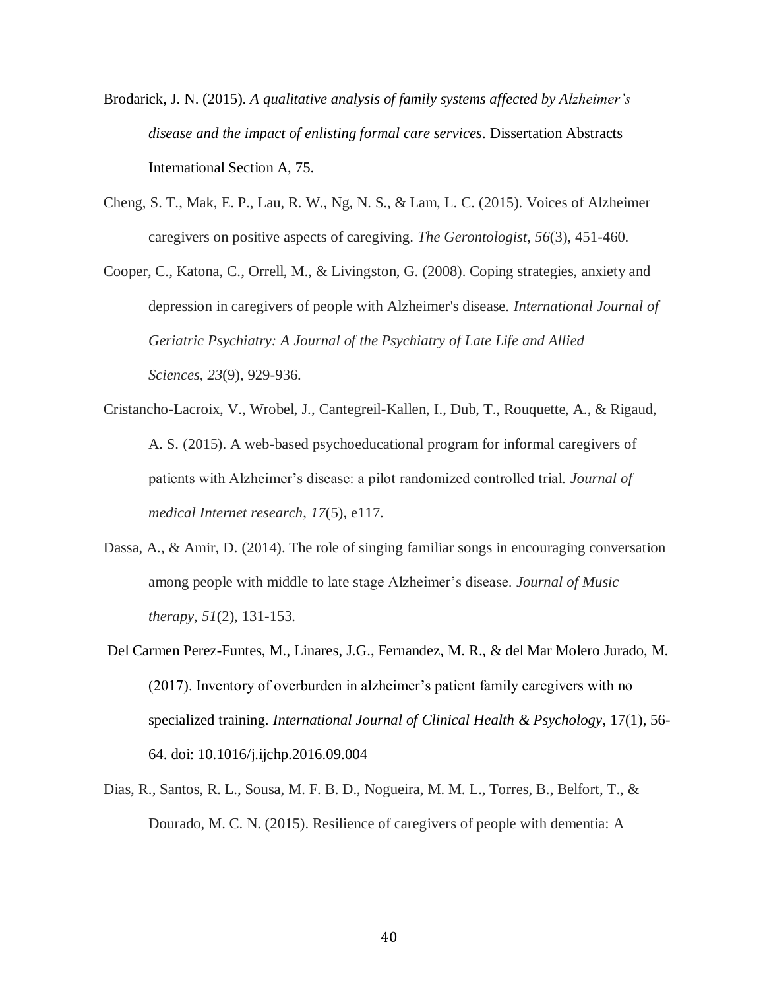- Brodarick, J. N. (2015). *A qualitative analysis of family systems affected by Alzheimer's disease and the impact of enlisting formal care services*. Dissertation Abstracts International Section A, 75*.*
- Cheng, S. T., Mak, E. P., Lau, R. W., Ng, N. S., & Lam, L. C. (2015). Voices of Alzheimer caregivers on positive aspects of caregiving. *The Gerontologist*, *56*(3), 451-460.
- Cooper, C., Katona, C., Orrell, M., & Livingston, G. (2008). Coping strategies, anxiety and depression in caregivers of people with Alzheimer's disease. *International Journal of Geriatric Psychiatry: A Journal of the Psychiatry of Late Life and Allied Sciences*, *23*(9), 929-936.
- Cristancho-Lacroix, V., Wrobel, J., Cantegreil-Kallen, I., Dub, T., Rouquette, A., & Rigaud, A. S. (2015). A web-based psychoeducational program for informal caregivers of patients with Alzheimer's disease: a pilot randomized controlled trial. *Journal of medical Internet research*, *17*(5), e117.
- Dassa, A., & Amir, D. (2014). The role of singing familiar songs in encouraging conversation among people with middle to late stage Alzheimer's disease. *Journal of Music therapy*, *51*(2), 131-153.
- Del Carmen Perez-Funtes, M., Linares, J.G., Fernandez, M. R., & del Mar Molero Jurado, M. (2017). Inventory of overburden in alzheimer's patient family caregivers with no specialized training. *International Journal of Clinical Health & Psychology*, 17(1), 56- 64. doi: 10.1016/j.ijchp.2016.09.004
- Dias, R., Santos, R. L., Sousa, M. F. B. D., Nogueira, M. M. L., Torres, B., Belfort, T., & Dourado, M. C. N. (2015). Resilience of caregivers of people with dementia: A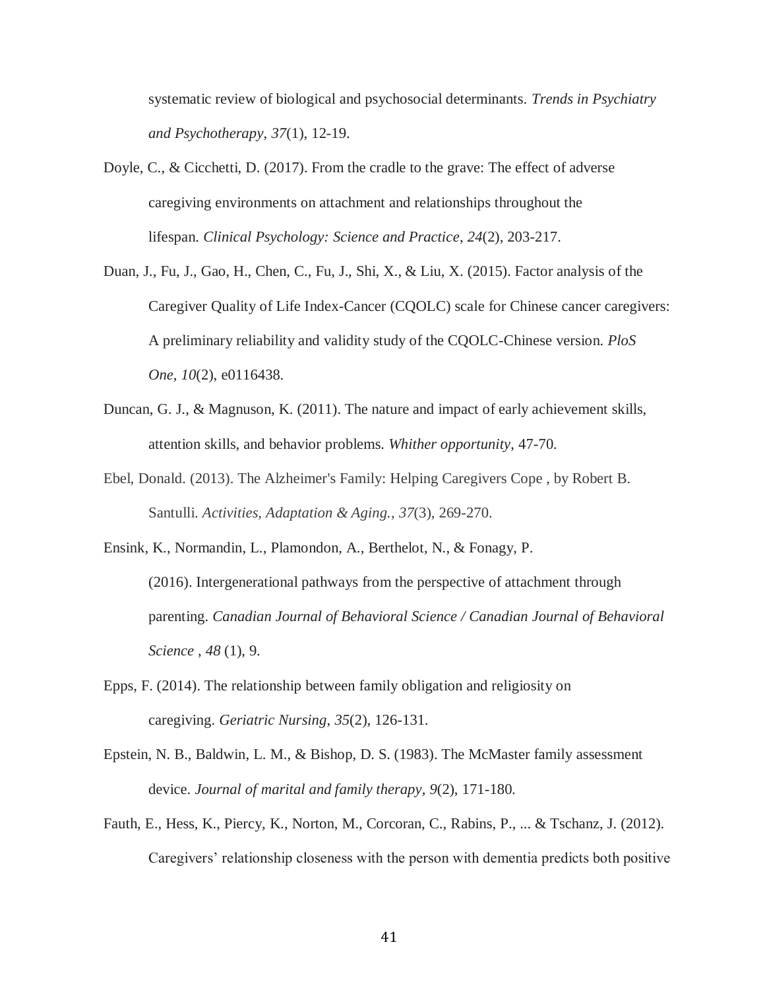systematic review of biological and psychosocial determinants. *Trends in Psychiatry and Psychotherapy*, *37*(1), 12-19.

- Doyle, C., & Cicchetti, D. (2017). From the cradle to the grave: The effect of adverse caregiving environments on attachment and relationships throughout the lifespan. *Clinical Psychology: Science and Practice*, *24*(2), 203-217.
- Duan, J., Fu, J., Gao, H., Chen, C., Fu, J., Shi, X., & Liu, X. (2015). Factor analysis of the Caregiver Quality of Life Index-Cancer (CQOLC) scale for Chinese cancer caregivers: A preliminary reliability and validity study of the CQOLC-Chinese version. *PloS One*, *10*(2), e0116438.
- Duncan, G. J., & Magnuson, K. (2011). The nature and impact of early achievement skills, attention skills, and behavior problems. *Whither opportunity*, 47-70.
- Ebel, Donald. (2013). The Alzheimer's Family: Helping Caregivers Cope , by Robert B. Santulli. *Activities, Adaptation & Aging., 37*(3), 269-270.
- Ensink, K., Normandin, L., Plamondon, A., Berthelot, N., & Fonagy, P. (2016). Intergenerational pathways from the perspective of attachment through parenting. *Canadian Journal of Behavioral Science / Canadian Journal of Behavioral Science* , *48* (1), 9.
- Epps, F. (2014). The relationship between family obligation and religiosity on caregiving. *Geriatric Nursing*, *35*(2), 126-131.
- Epstein, N. B., Baldwin, L. M., & Bishop, D. S. (1983). The McMaster family assessment device. *Journal of marital and family therapy*, *9*(2), 171-180.
- Fauth, E., Hess, K., Piercy, K., Norton, M., Corcoran, C., Rabins, P., ... & Tschanz, J. (2012). Caregivers' relationship closeness with the person with dementia predicts both positive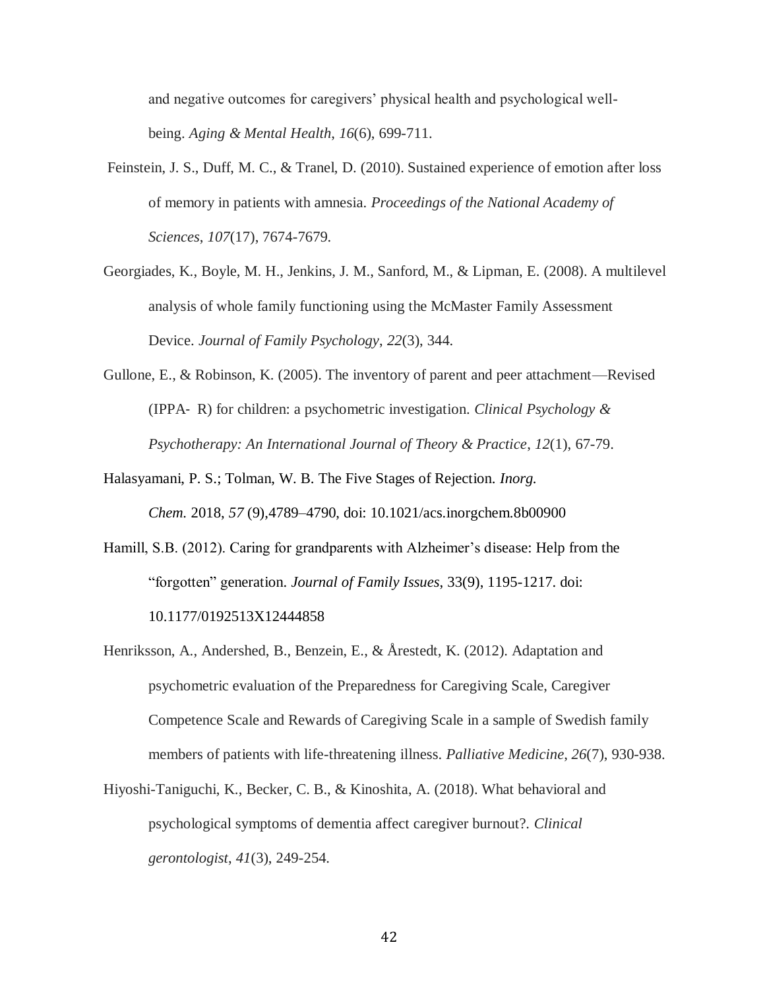and negative outcomes for caregivers' physical health and psychological wellbeing. *Aging & Mental Health*, *16*(6), 699-711.

- Feinstein, J. S., Duff, M. C., & Tranel, D. (2010). Sustained experience of emotion after loss of memory in patients with amnesia. *Proceedings of the National Academy of Sciences*, *107*(17), 7674-7679.
- Georgiades, K., Boyle, M. H., Jenkins, J. M., Sanford, M., & Lipman, E. (2008). A multilevel analysis of whole family functioning using the McMaster Family Assessment Device. *Journal of Family Psychology*, *22*(3), 344.
- Gullone, E., & Robinson, K. (2005). The inventory of parent and peer attachment—Revised (IPPA‐ R) for children: a psychometric investigation. *Clinical Psychology & Psychotherapy: An International Journal of Theory & Practice*, *12*(1), 67-79.
- Halasyamani, P. S.; Tolman, W. B. The Five Stages of Rejection. *Inorg. Chem.* 2018, *57* (9),4789–4790, doi: 10.1021/acs.inorgchem.8b00900
- Hamill, S.B. (2012). Caring for grandparents with Alzheimer's disease: Help from the "forgotten" generation. *Journal of Family Issues*, 33(9), 1195-1217. doi: 10.1177/0192513X12444858
- Henriksson, A., Andershed, B., Benzein, E., & Årestedt, K. (2012). Adaptation and psychometric evaluation of the Preparedness for Caregiving Scale, Caregiver Competence Scale and Rewards of Caregiving Scale in a sample of Swedish family members of patients with life-threatening illness. *Palliative Medicine*, *26*(7), 930-938.
- Hiyoshi-Taniguchi, K., Becker, C. B., & Kinoshita, A. (2018). What behavioral and psychological symptoms of dementia affect caregiver burnout?. *Clinical gerontologist*, *41*(3), 249-254.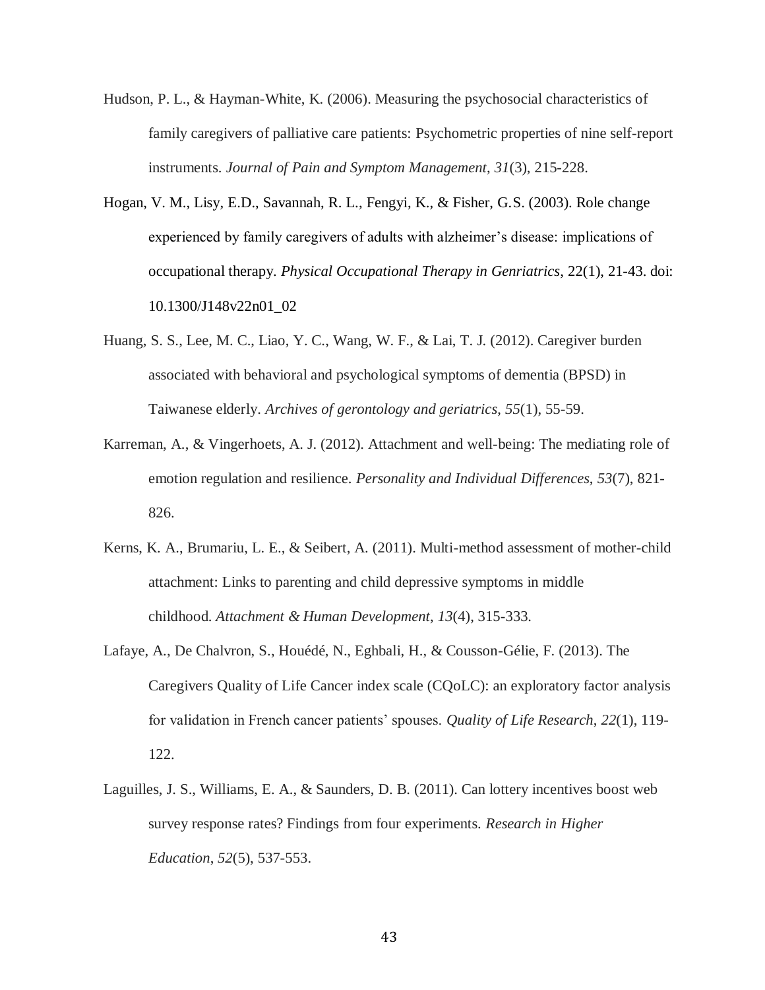- Hudson, P. L., & Hayman-White, K. (2006). Measuring the psychosocial characteristics of family caregivers of palliative care patients: Psychometric properties of nine self-report instruments. *Journal of Pain and Symptom Management*, *31*(3), 215-228.
- Hogan, V. M., Lisy, E.D., Savannah, R. L., Fengyi, K., & Fisher, G.S. (2003). Role change experienced by family caregivers of adults with alzheimer's disease: implications of occupational therapy. *Physical Occupational Therapy in Genriatrics*, 22(1), 21-43. doi: 10.1300/J148v22n01\_02
- Huang, S. S., Lee, M. C., Liao, Y. C., Wang, W. F., & Lai, T. J. (2012). Caregiver burden associated with behavioral and psychological symptoms of dementia (BPSD) in Taiwanese elderly. *Archives of gerontology and geriatrics*, *55*(1), 55-59.
- Karreman, A., & Vingerhoets, A. J. (2012). Attachment and well-being: The mediating role of emotion regulation and resilience. *Personality and Individual Differences*, *53*(7), 821- 826.
- Kerns, K. A., Brumariu, L. E., & Seibert, A. (2011). Multi-method assessment of mother-child attachment: Links to parenting and child depressive symptoms in middle childhood. *Attachment & Human Development*, *13*(4), 315-333.
- Lafaye, A., De Chalvron, S., Houédé, N., Eghbali, H., & Cousson-Gélie, F. (2013). The Caregivers Quality of Life Cancer index scale (CQoLC): an exploratory factor analysis for validation in French cancer patients' spouses. *Quality of Life Research*, *22*(1), 119- 122.
- Laguilles, J. S., Williams, E. A., & Saunders, D. B. (2011). Can lottery incentives boost web survey response rates? Findings from four experiments. *Research in Higher Education*, *52*(5), 537-553.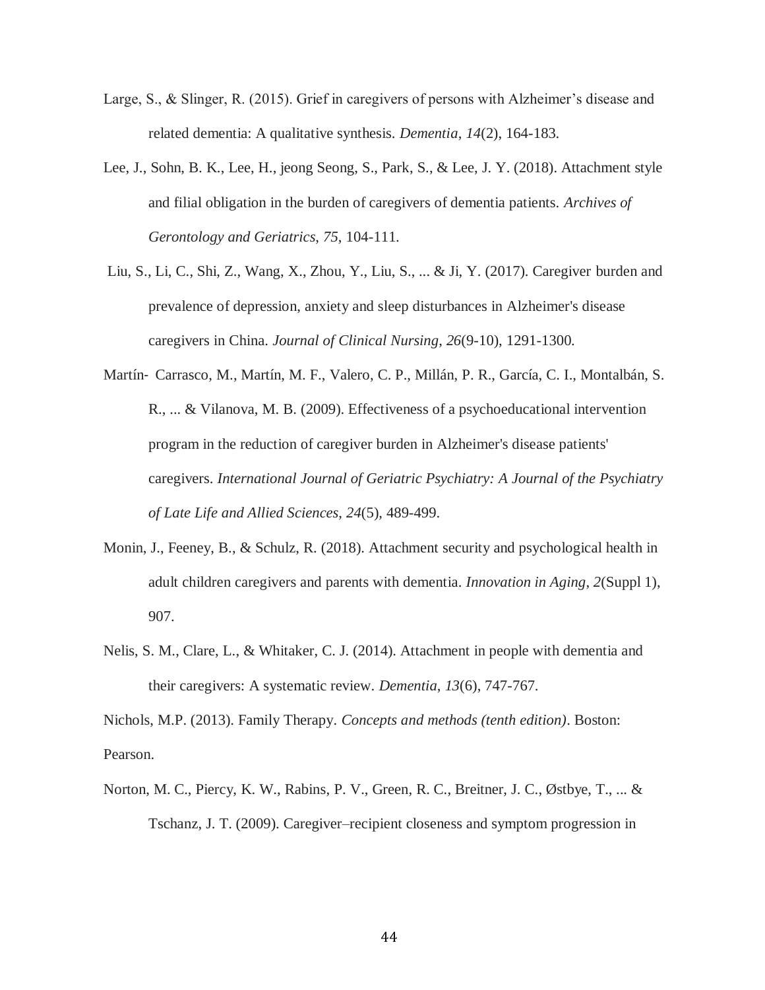- Large, S., & Slinger, R. (2015). Grief in caregivers of persons with Alzheimer's disease and related dementia: A qualitative synthesis. *Dementia*, *14*(2), 164-183.
- Lee, J., Sohn, B. K., Lee, H., jeong Seong, S., Park, S., & Lee, J. Y. (2018). Attachment style and filial obligation in the burden of caregivers of dementia patients. *Archives of Gerontology and Geriatrics*, *75*, 104-111.
- Liu, S., Li, C., Shi, Z., Wang, X., Zhou, Y., Liu, S., ... & Ji, Y. (2017). Caregiver burden and prevalence of depression, anxiety and sleep disturbances in Alzheimer's disease caregivers in China. *Journal of Clinical Nursing*, *26*(9-10), 1291-1300.
- Martín‐ Carrasco, M., Martín, M. F., Valero, C. P., Millán, P. R., García, C. I., Montalbán, S. R., ... & Vilanova, M. B. (2009). Effectiveness of a psychoeducational intervention program in the reduction of caregiver burden in Alzheimer's disease patients' caregivers. *International Journal of Geriatric Psychiatry: A Journal of the Psychiatry of Late Life and Allied Sciences*, *24*(5), 489-499.
- Monin, J., Feeney, B., & Schulz, R. (2018). Attachment security and psychological health in adult children caregivers and parents with dementia. *Innovation in Aging*, *2*(Suppl 1), 907.
- Nelis, S. M., Clare, L., & Whitaker, C. J. (2014). Attachment in people with dementia and their caregivers: A systematic review. *Dementia*, *13*(6), 747-767.

Nichols, M.P. (2013). Family Therapy. *Concepts and methods (tenth edition)*. Boston: Pearson.

Norton, M. C., Piercy, K. W., Rabins, P. V., Green, R. C., Breitner, J. C., Østbye, T., ... & Tschanz, J. T. (2009). Caregiver–recipient closeness and symptom progression in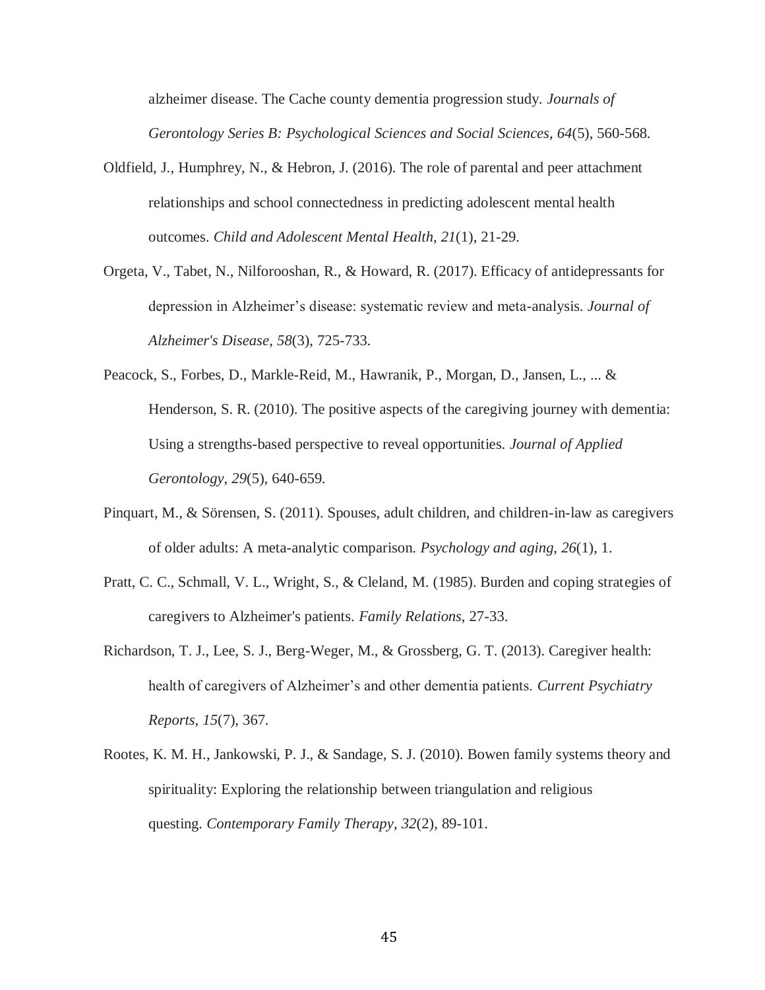alzheimer disease. The Cache county dementia progression study. *Journals of Gerontology Series B: Psychological Sciences and Social Sciences*, *64*(5), 560-568.

- Oldfield, J., Humphrey, N., & Hebron, J. (2016). The role of parental and peer attachment relationships and school connectedness in predicting adolescent mental health outcomes. *Child and Adolescent Mental Health*, *21*(1), 21-29.
- Orgeta, V., Tabet, N., Nilforooshan, R., & Howard, R. (2017). Efficacy of antidepressants for depression in Alzheimer's disease: systematic review and meta-analysis. *Journal of Alzheimer's Disease*, *58*(3), 725-733.
- Peacock, S., Forbes, D., Markle-Reid, M., Hawranik, P., Morgan, D., Jansen, L., ... & Henderson, S. R. (2010). The positive aspects of the caregiving journey with dementia: Using a strengths-based perspective to reveal opportunities. *Journal of Applied Gerontology*, *29*(5), 640-659.
- Pinquart, M., & Sörensen, S. (2011). Spouses, adult children, and children-in-law as caregivers of older adults: A meta-analytic comparison. *Psychology and aging*, *26*(1), 1.
- Pratt, C. C., Schmall, V. L., Wright, S., & Cleland, M. (1985). Burden and coping strategies of caregivers to Alzheimer's patients. *Family Relations*, 27-33.
- Richardson, T. J., Lee, S. J., Berg-Weger, M., & Grossberg, G. T. (2013). Caregiver health: health of caregivers of Alzheimer's and other dementia patients. *Current Psychiatry Reports*, *15*(7), 367.
- Rootes, K. M. H., Jankowski, P. J., & Sandage, S. J. (2010). Bowen family systems theory and spirituality: Exploring the relationship between triangulation and religious questing. *Contemporary Family Therapy*, *32*(2), 89-101.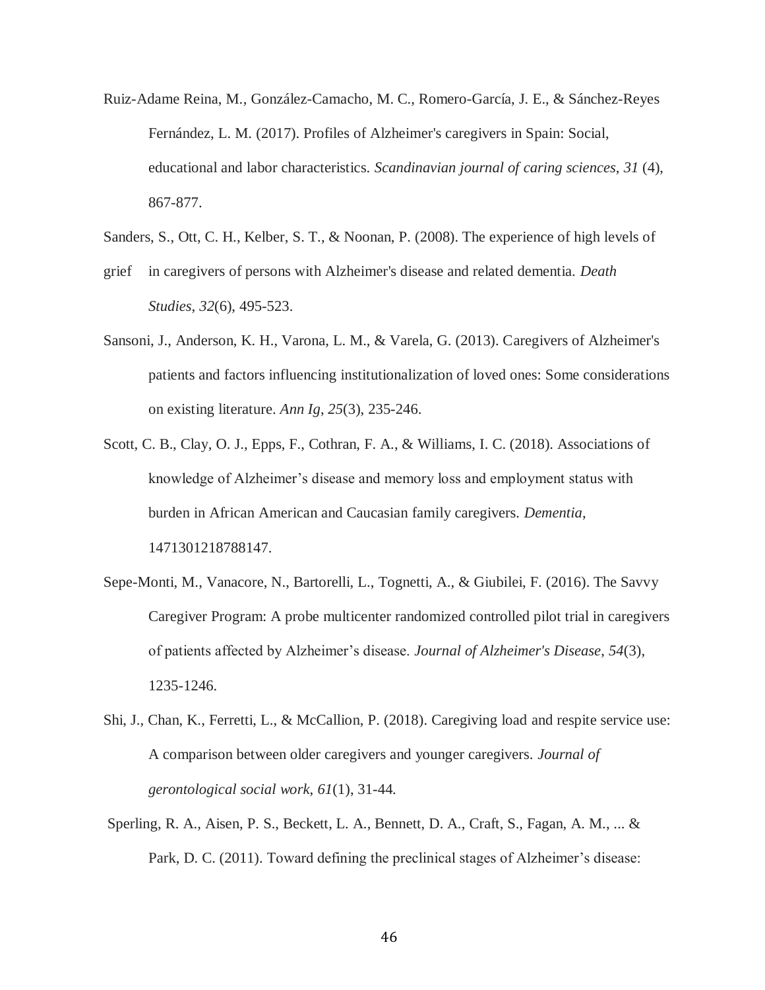- Ruiz-Adame Reina, M., González-Camacho, M. C., Romero-García, J. E., & Sánchez-Reyes Fernández, L. M. (2017). Profiles of Alzheimer's caregivers in Spain: Social, educational and labor characteristics. *Scandinavian journal of caring sciences*, *31* (4), 867-877.
- Sanders, S., Ott, C. H., Kelber, S. T., & Noonan, P. (2008). The experience of high levels of
- grief in caregivers of persons with Alzheimer's disease and related dementia. *Death Studies*, *32*(6), 495-523.
- Sansoni, J., Anderson, K. H., Varona, L. M., & Varela, G. (2013). Caregivers of Alzheimer's patients and factors influencing institutionalization of loved ones: Some considerations on existing literature. *Ann Ig*, *25*(3), 235-246.
- Scott, C. B., Clay, O. J., Epps, F., Cothran, F. A., & Williams, I. C. (2018). Associations of knowledge of Alzheimer's disease and memory loss and employment status with burden in African American and Caucasian family caregivers. *Dementia*, 1471301218788147.
- Sepe-Monti, M., Vanacore, N., Bartorelli, L., Tognetti, A., & Giubilei, F. (2016). The Savvy Caregiver Program: A probe multicenter randomized controlled pilot trial in caregivers of patients affected by Alzheimer's disease. *Journal of Alzheimer's Disease*, *54*(3), 1235-1246.
- Shi, J., Chan, K., Ferretti, L., & McCallion, P. (2018). Caregiving load and respite service use: A comparison between older caregivers and younger caregivers. *Journal of gerontological social work*, *61*(1), 31-44.
- Sperling, R. A., Aisen, P. S., Beckett, L. A., Bennett, D. A., Craft, S., Fagan, A. M., ... & Park, D. C. (2011). Toward defining the preclinical stages of Alzheimer's disease: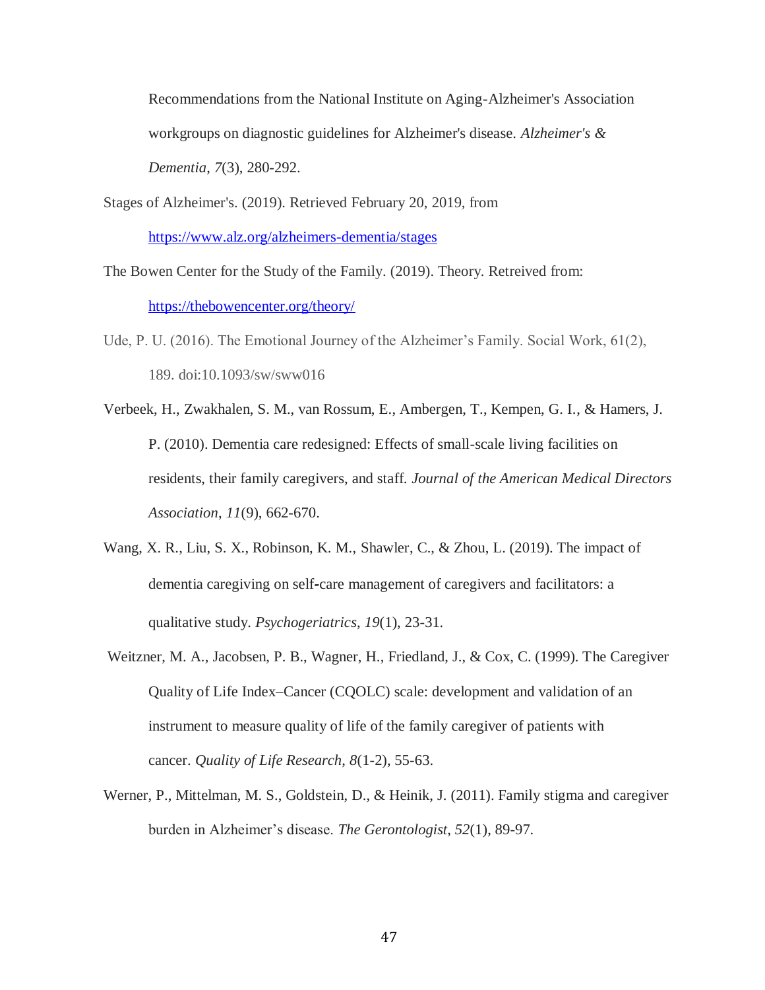Recommendations from the National Institute on Aging-Alzheimer's Association workgroups on diagnostic guidelines for Alzheimer's disease. *Alzheimer's & Dementia*, *7*(3), 280-292.

Stages of Alzheimer's. (2019). Retrieved February 20, 2019, from <https://www.alz.org/alzheimers-dementia/stages>

The Bowen Center for the Study of the Family. (2019). Theory. Retreived from: <https://thebowencenter.org/theory/>

- Ude, P. U. (2016). The Emotional Journey of the Alzheimer's Family. Social Work, 61(2), 189. doi:10.1093/sw/sww016
- Verbeek, H., Zwakhalen, S. M., van Rossum, E., Ambergen, T., Kempen, G. I., & Hamers, J. P. (2010). Dementia care redesigned: Effects of small-scale living facilities on residents, their family caregivers, and staff. *Journal of the American Medical Directors Association*, *11*(9), 662-670.
- Wang, X. R., Liu, S. X., Robinson, K. M., Shawler, C., & Zhou, L. (2019). The impact of dementia caregiving on self**‐**care management of caregivers and facilitators: a qualitative study. *Psychogeriatrics*, *19*(1), 23-31.
- Weitzner, M. A., Jacobsen, P. B., Wagner, H., Friedland, J., & Cox, C. (1999). The Caregiver Quality of Life Index–Cancer (CQOLC) scale: development and validation of an instrument to measure quality of life of the family caregiver of patients with cancer. *Quality of Life Research*, *8*(1-2), 55-63.
- Werner, P., Mittelman, M. S., Goldstein, D., & Heinik, J. (2011). Family stigma and caregiver burden in Alzheimer's disease. *The Gerontologist*, *52*(1), 89-97.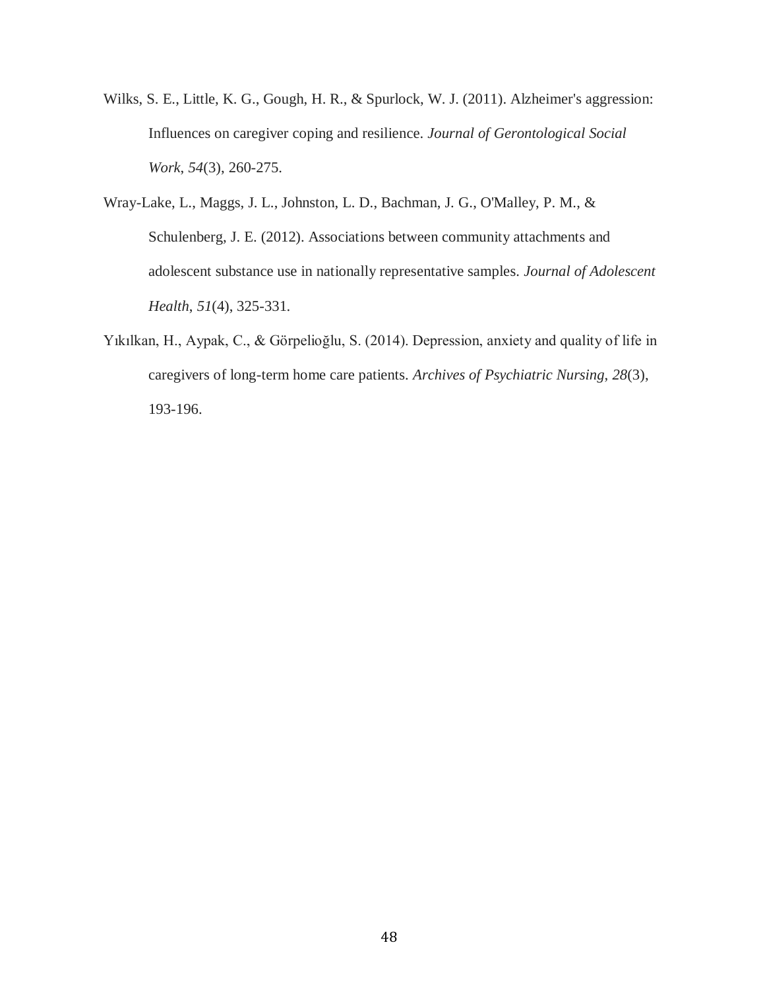- Wilks, S. E., Little, K. G., Gough, H. R., & Spurlock, W. J. (2011). Alzheimer's aggression: Influences on caregiver coping and resilience. *Journal of Gerontological Social Work*, *54*(3), 260-275.
- Wray-Lake, L., Maggs, J. L., Johnston, L. D., Bachman, J. G., O'Malley, P. M., & Schulenberg, J. E. (2012). Associations between community attachments and adolescent substance use in nationally representative samples. *Journal of Adolescent Health*, *51*(4), 325-331.
- Yıkılkan, H., Aypak, C., & Görpelioğlu, S. (2014). Depression, anxiety and quality of life in caregivers of long-term home care patients. *Archives of Psychiatric Nursing*, *28*(3), 193-196.